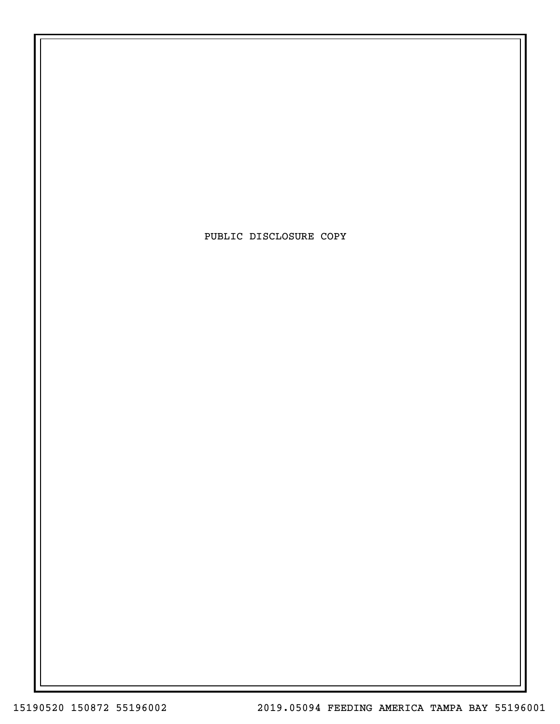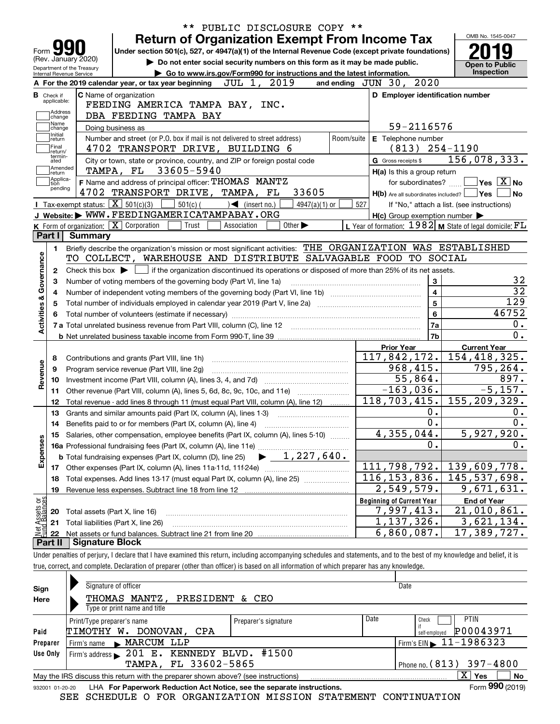| <b>Return of Organization Exempt From Income Tax</b><br>Under section 501(c), 527, or 4947(a)(1) of the Internal Revenue Code (except private foundations)<br>Form<br>(Rev. January 2020)<br>Do not enter social security numbers on this form as it may be made public. |                                                             | OMB No. 1545-0047                                       |
|--------------------------------------------------------------------------------------------------------------------------------------------------------------------------------------------------------------------------------------------------------------------------|-------------------------------------------------------------|---------------------------------------------------------|
|                                                                                                                                                                                                                                                                          |                                                             |                                                         |
|                                                                                                                                                                                                                                                                          |                                                             |                                                         |
|                                                                                                                                                                                                                                                                          |                                                             | <b>Open to Public</b>                                   |
| Department of the Treasury<br>Go to www.irs.gov/Form990 for instructions and the latest information.<br>Internal Revenue Service                                                                                                                                         |                                                             | Inspection                                              |
| JUL 1, 2019<br>A For the 2019 calendar year, or tax year beginning                                                                                                                                                                                                       | and ending $JUN$ $30$ , $2020$                              |                                                         |
| <b>C</b> Name of organization<br><b>B</b> Check if                                                                                                                                                                                                                       | D Employer identification number                            |                                                         |
| applicable:<br>FEEDING AMERICA TAMPA BAY, INC.                                                                                                                                                                                                                           |                                                             |                                                         |
| Address<br>DBA FEEDING TAMPA BAY<br>change                                                                                                                                                                                                                               |                                                             |                                                         |
| Name<br>Doing business as<br>change                                                                                                                                                                                                                                      | 59-2116576                                                  |                                                         |
| Initial<br>Number and street (or P.O. box if mail is not delivered to street address)<br>Room/suite<br>return                                                                                                                                                            | E Telephone number                                          |                                                         |
| Final<br>4702 TRANSPORT DRIVE, BUILDING 6<br>return/<br>termin-                                                                                                                                                                                                          | $(813)$ 254-1190                                            |                                                         |
| City or town, state or province, country, and ZIP or foreign postal code<br>ated<br>Amended                                                                                                                                                                              | G Gross receipts \$                                         | 156,078,333.                                            |
| TAMPA, FL 33605-5940<br>∣return<br>Applica-                                                                                                                                                                                                                              | H(a) Is this a group return                                 |                                                         |
| F Name and address of principal officer: THOMAS MANTZ<br>tion<br>pending                                                                                                                                                                                                 | for subordinates?                                           | $\sqrt{}$ Yes $\sqrt{}$ $\overline{\rm X}$ $\sqrt{}$ No |
| 4702 TRANSPORT DRIVE, TAMPA, FL<br>33605                                                                                                                                                                                                                                 | $H(b)$ Are all subordinates included? $\Box$ Yes            | $ $ No                                                  |
| <b>I</b> Tax-exempt status: $\boxed{\mathbf{X}}$ 501(c)(3)<br>$501(c)$ (<br>$\mathcal{A}$ (insert no.)<br>$4947(a)(1)$ or                                                                                                                                                | 527                                                         | If "No," attach a list. (see instructions)              |
| J Website: WWW.FEEDINGAMERICATAMPABAY.ORG                                                                                                                                                                                                                                | $H(c)$ Group exemption number $\blacktriangleright$         |                                                         |
| K Form of organization: $\boxed{\mathbf{X}}$ Corporation<br>Trust<br>Association<br>Other $\blacktriangleright$<br>Part I<br>Summary                                                                                                                                     | L Year of formation: $1982$ M State of legal domicile: $FL$ |                                                         |
|                                                                                                                                                                                                                                                                          |                                                             |                                                         |
| Briefly describe the organization's mission or most significant activities: THE ORGANIZATION WAS ESTABLISHED<br>1.<br>TO COLLECT, WAREHOUSE AND DISTRIBUTE SALVAGABLE FOOD TO SOCIAL                                                                                     |                                                             |                                                         |
|                                                                                                                                                                                                                                                                          |                                                             |                                                         |
| Check this box $\triangleright$ $\blacksquare$ if the organization discontinued its operations or disposed of more than 25% of its net assets.<br>2                                                                                                                      |                                                             | 32                                                      |
| Number of voting members of the governing body (Part VI, line 1a)<br>З                                                                                                                                                                                                   | 3<br>$\overline{4}$                                         | $\overline{32}$                                         |
| 4                                                                                                                                                                                                                                                                        | $\overline{5}$                                              | $\overline{129}$                                        |
| Activities & Governance                                                                                                                                                                                                                                                  | 6                                                           | 46752                                                   |
|                                                                                                                                                                                                                                                                          | 7a                                                          | 0.                                                      |
|                                                                                                                                                                                                                                                                          | 7 <sub>b</sub>                                              | $\overline{0}$ .                                        |
|                                                                                                                                                                                                                                                                          | <b>Prior Year</b>                                           | <b>Current Year</b>                                     |
| 8                                                                                                                                                                                                                                                                        | $117,842,172.$ 154,418,325.                                 |                                                         |
| Revenue<br>Program service revenue (Part VIII, line 2g)<br>9                                                                                                                                                                                                             | 968, 415.                                                   | 795,264.                                                |
| 10                                                                                                                                                                                                                                                                       | 55,864.                                                     | 897.                                                    |
| Other revenue (Part VIII, column (A), lines 5, 6d, 8c, 9c, 10c, and 11e)<br>11                                                                                                                                                                                           | $-163,036.$                                                 | $-5, 157.$                                              |
| Total revenue - add lines 8 through 11 (must equal Part VIII, column (A), line 12)<br>12                                                                                                                                                                                 | $118, 703, 415.$ 155, 209, 329.                             |                                                         |
| Grants and similar amounts paid (Part IX, column (A), lines 1-3)<br>13                                                                                                                                                                                                   | 0.                                                          | 0.                                                      |
| Benefits paid to or for members (Part IX, column (A), line 4)<br>14                                                                                                                                                                                                      | $\overline{0}$ .                                            | $\overline{0}$ .                                        |
| 15 Salaries, other compensation, employee benefits (Part IX, column (A), lines 5-10)                                                                                                                                                                                     | 4,355,044.                                                  | 5,927,920.                                              |
|                                                                                                                                                                                                                                                                          | 0.                                                          | 0.                                                      |
| Expenses<br>$\blacktriangleright$ 1,227,640.<br><b>b</b> Total fundraising expenses (Part IX, column (D), line 25)                                                                                                                                                       |                                                             |                                                         |
| 17                                                                                                                                                                                                                                                                       | 111,798,792.                                                | 139,609,778.                                            |
| Total expenses. Add lines 13-17 (must equal Part IX, column (A), line 25)<br>18                                                                                                                                                                                          | 116, 153, 836.                                              | 145, 537, 698.                                          |
| Revenue less expenses. Subtract line 18 from line 12<br>19                                                                                                                                                                                                               | 2,549,579.                                                  | 9,671,631.                                              |
|                                                                                                                                                                                                                                                                          | <b>Beginning of Current Year</b>                            | <b>End of Year</b>                                      |
| Total assets (Part X, line 16)<br>20                                                                                                                                                                                                                                     | 7,997,413.                                                  | 21,010,861.                                             |
|                                                                                                                                                                                                                                                                          | 1,137,326.                                                  | 3,621,134.                                              |
| Total liabilities (Part X, line 26)<br>21                                                                                                                                                                                                                                |                                                             |                                                         |
| Net Assets or<br>Fund Balances<br>22                                                                                                                                                                                                                                     | $6,860,087$ .                                               | 17,389,727.                                             |
| <b>Signature Block</b><br>Part II                                                                                                                                                                                                                                        |                                                             |                                                         |
| Under penalties of perjury, I declare that I have examined this return, including accompanying schedules and statements, and to the best of my knowledge and belief, it is                                                                                               |                                                             |                                                         |

| Sign                                                                                                  | Signature of officer                                                   |                      |                            | Date                                        |  |  |  |
|-------------------------------------------------------------------------------------------------------|------------------------------------------------------------------------|----------------------|----------------------------|---------------------------------------------|--|--|--|
| Here                                                                                                  | THOMAS MANTZ, PRESIDENT                                                | & CEO                |                            |                                             |  |  |  |
|                                                                                                       | Type or print name and title                                           |                      |                            |                                             |  |  |  |
|                                                                                                       | Print/Type preparer's name                                             | Preparer's signature | Date                       | <b>PTIN</b><br>Check                        |  |  |  |
| Paid                                                                                                  | DONOVAN,<br>ТІМОТНҮ W <b>.</b><br>CPA                                  |                      |                            | P00043971<br>self-employed                  |  |  |  |
| Preparer                                                                                              | MARCUM LLP<br>Firm's name<br>$\mathbf{r}$                              |                      |                            | Firm's EIN $\blacktriangleright$ 11-1986323 |  |  |  |
| Use Only                                                                                              | Firm's address > 201 E. KENNEDY BLVD. #1500                            |                      |                            |                                             |  |  |  |
|                                                                                                       | TAMPA, FL 33602-5865                                                   |                      | Phone no. $(813)$ 397-4800 |                                             |  |  |  |
| x.<br><b>Yes</b><br>May the IRS discuss this return with the preparer shown above? (see instructions) |                                                                        |                      |                            |                                             |  |  |  |
| 932001 01-20-20                                                                                       | LHA For Paperwork Reduction Act Notice, see the separate instructions. |                      |                            | Form 990 (2019)                             |  |  |  |

SEE SCHEDULE O FOR ORGANIZATION MISSION STATEMENT CONTINUATION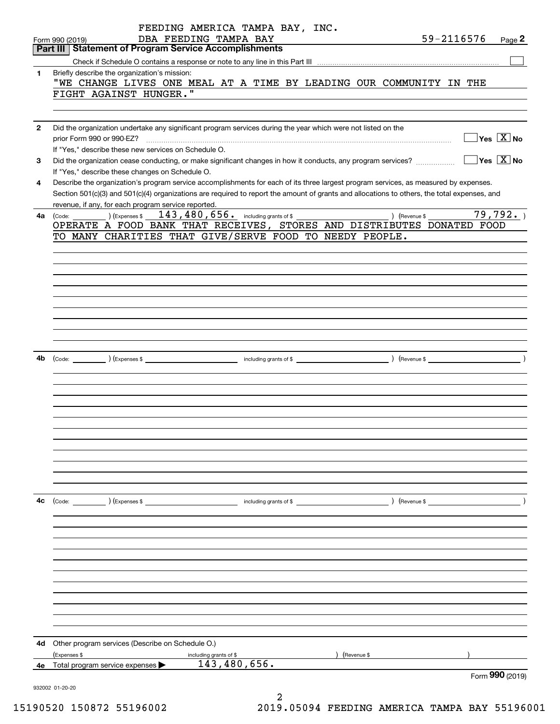|              | FEEDING AMERICA TAMPA BAY, INC.                                                                                                              |            |                                                 |
|--------------|----------------------------------------------------------------------------------------------------------------------------------------------|------------|-------------------------------------------------|
|              | DBA FEEDING TAMPA BAY<br>Form 990 (2019)                                                                                                     | 59-2116576 | Page $2$                                        |
|              | Part III   Statement of Program Service Accomplishments                                                                                      |            |                                                 |
|              |                                                                                                                                              |            |                                                 |
| 1.           | Briefly describe the organization's mission:                                                                                                 |            |                                                 |
|              | "WE CHANGE LIVES ONE MEAL AT A TIME BY LEADING OUR COMMUNITY IN THE                                                                          |            |                                                 |
|              | FIGHT AGAINST HUNGER."                                                                                                                       |            |                                                 |
|              |                                                                                                                                              |            |                                                 |
|              |                                                                                                                                              |            |                                                 |
| $\mathbf{2}$ | Did the organization undertake any significant program services during the year which were not listed on the                                 |            |                                                 |
|              | prior Form 990 or 990-EZ?                                                                                                                    |            | $\boxed{\phantom{1}}$ Yes $\boxed{\text{X}}$ No |
|              | If "Yes," describe these new services on Schedule O.                                                                                         |            |                                                 |
| 3            | Did the organization cease conducting, or make significant changes in how it conducts, any program services?                                 |            | $\boxed{\phantom{1}}$ Yes $\boxed{\text{X}}$ No |
|              | If "Yes," describe these changes on Schedule O.                                                                                              |            |                                                 |
| 4            | Describe the organization's program service accomplishments for each of its three largest program services, as measured by expenses.         |            |                                                 |
|              | Section 501(c)(3) and 501(c)(4) organizations are required to report the amount of grants and allocations to others, the total expenses, and |            |                                                 |
|              | revenue, if any, for each program service reported.                                                                                          |            |                                                 |
|              | 4a (Code: ) (Expenses $$143,480,656$ including grants of $$$<br>) (Revenue \$                                                                |            | 79,792.                                         |
|              | OPERATE A FOOD BANK THAT RECEIVES, STORES AND DISTRIBUTES DONATED FOOD                                                                       |            |                                                 |
|              | TO MANY CHARITIES THAT GIVE/SERVE FOOD TO NEEDY PEOPLE.                                                                                      |            |                                                 |
|              |                                                                                                                                              |            |                                                 |
|              |                                                                                                                                              |            |                                                 |
|              |                                                                                                                                              |            |                                                 |
|              |                                                                                                                                              |            |                                                 |
|              |                                                                                                                                              |            |                                                 |
|              |                                                                                                                                              |            |                                                 |
|              |                                                                                                                                              |            |                                                 |
|              |                                                                                                                                              |            |                                                 |
|              |                                                                                                                                              |            |                                                 |
|              |                                                                                                                                              |            |                                                 |
|              |                                                                                                                                              |            |                                                 |
| 4b           |                                                                                                                                              |            |                                                 |
|              |                                                                                                                                              |            |                                                 |
|              |                                                                                                                                              |            |                                                 |
|              |                                                                                                                                              |            |                                                 |
|              |                                                                                                                                              |            |                                                 |
|              |                                                                                                                                              |            |                                                 |
|              |                                                                                                                                              |            |                                                 |
|              |                                                                                                                                              |            |                                                 |
|              |                                                                                                                                              |            |                                                 |
|              |                                                                                                                                              |            |                                                 |
|              |                                                                                                                                              |            |                                                 |
|              |                                                                                                                                              |            |                                                 |
|              |                                                                                                                                              |            |                                                 |
| 4с           | (Code: ) (Expenses \$<br>$\sqrt{$ (Revenue \$<br>including grants of \$                                                                      |            |                                                 |
|              |                                                                                                                                              |            |                                                 |
|              |                                                                                                                                              |            |                                                 |
|              |                                                                                                                                              |            |                                                 |
|              |                                                                                                                                              |            |                                                 |
|              |                                                                                                                                              |            |                                                 |
|              |                                                                                                                                              |            |                                                 |
|              |                                                                                                                                              |            |                                                 |
|              |                                                                                                                                              |            |                                                 |
|              |                                                                                                                                              |            |                                                 |
|              |                                                                                                                                              |            |                                                 |
|              |                                                                                                                                              |            |                                                 |
|              |                                                                                                                                              |            |                                                 |
|              |                                                                                                                                              |            |                                                 |
| 4d -         | Other program services (Describe on Schedule O.)                                                                                             |            |                                                 |
|              | (Expenses \$<br>(Revenue \$<br>including grants of \$                                                                                        |            |                                                 |
| 4е           | 143,480,656.<br>Total program service expenses                                                                                               |            |                                                 |
|              |                                                                                                                                              |            | Form 990 (2019)                                 |
|              | 932002 01-20-20                                                                                                                              |            |                                                 |

2 15190520 150872 55196002 2019.05094 FEEDING AMERICA TAMPA BAY 55196001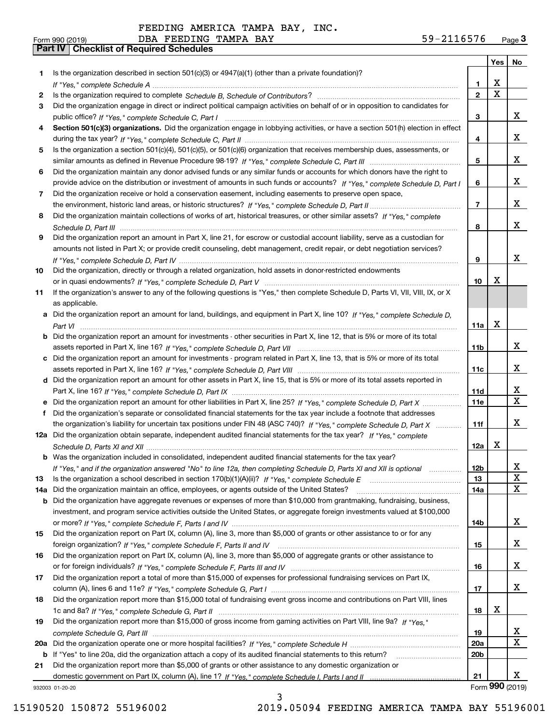| FEEDING AMERICA TAMPA BAY, INC. |  |  |
|---------------------------------|--|--|

| Is the organization described in section $501(c)(3)$ or $4947(a)(1)$ (other than a private foundation)?<br>1<br>X<br>1<br>$\overline{\mathbf{x}}$<br>$\overline{2}$<br>2<br>Did the organization engage in direct or indirect political campaign activities on behalf of or in opposition to candidates for<br>3<br>x<br>3<br>Section 501(c)(3) organizations. Did the organization engage in lobbying activities, or have a section 501(h) election in effect<br>4<br>x<br>4<br>Is the organization a section 501(c)(4), 501(c)(5), or 501(c)(6) organization that receives membership dues, assessments, or<br>5<br>x<br>5<br>Did the organization maintain any donor advised funds or any similar funds or accounts for which donors have the right to<br>6<br>x<br>provide advice on the distribution or investment of amounts in such funds or accounts? If "Yes," complete Schedule D, Part I<br>6<br>Did the organization receive or hold a conservation easement, including easements to preserve open space,<br>7<br>x<br>$\overline{7}$<br>Did the organization maintain collections of works of art, historical treasures, or other similar assets? If "Yes," complete<br>8<br>x<br>8<br>Did the organization report an amount in Part X, line 21, for escrow or custodial account liability, serve as a custodian for<br>9<br>amounts not listed in Part X; or provide credit counseling, debt management, credit repair, or debt negotiation services?<br>x<br>9<br>Did the organization, directly or through a related organization, hold assets in donor-restricted endowments<br>10<br>X<br>10<br>If the organization's answer to any of the following questions is "Yes," then complete Schedule D, Parts VI, VII, VIII, IX, or X<br>11<br>as applicable.<br>a Did the organization report an amount for land, buildings, and equipment in Part X, line 10? If "Yes," complete Schedule D,<br>X<br>11a<br>Did the organization report an amount for investments - other securities in Part X, line 12, that is 5% or more of its total<br>x<br>11 <sub>b</sub><br>Did the organization report an amount for investments - program related in Part X, line 13, that is 5% or more of its total<br>x<br>11c<br>d Did the organization report an amount for other assets in Part X, line 15, that is 5% or more of its total assets reported in<br>x<br>11d<br>$\mathbf x$<br>11e<br>Did the organization's separate or consolidated financial statements for the tax year include a footnote that addresses<br>x<br>the organization's liability for uncertain tax positions under FIN 48 (ASC 740)? If "Yes," complete Schedule D, Part X<br>11f<br>12a Did the organization obtain separate, independent audited financial statements for the tax year? If "Yes," complete<br>x<br>12a<br><b>b</b> Was the organization included in consolidated, independent audited financial statements for the tax year?<br>If "Yes," and if the organization answered "No" to line 12a, then completing Schedule D, Parts XI and XII is optional<br>12b<br>ᅀ<br>X<br>13<br>13<br>X<br>Did the organization maintain an office, employees, or agents outside of the United States?<br>14a<br>14a<br>Did the organization have aggregate revenues or expenses of more than \$10,000 from grantmaking, fundraising, business,<br>b<br>investment, and program service activities outside the United States, or aggregate foreign investments valued at \$100,000<br>x<br>14b<br>Did the organization report on Part IX, column (A), line 3, more than \$5,000 of grants or other assistance to or for any<br>15<br>x<br>15<br>Did the organization report on Part IX, column (A), line 3, more than \$5,000 of aggregate grants or other assistance to<br>16<br>x<br>16<br>Did the organization report a total of more than \$15,000 of expenses for professional fundraising services on Part IX,<br>17<br>x<br>17<br>Did the organization report more than \$15,000 total of fundraising event gross income and contributions on Part VIII, lines<br>18<br>х<br>18<br>Did the organization report more than \$15,000 of gross income from gaming activities on Part VIII, line 9a? If "Yes."<br>19<br>X<br>19<br>X<br><b>20a</b><br>20a<br>20 <sub>b</sub><br>If "Yes" to line 20a, did the organization attach a copy of its audited financial statements to this return?<br>b<br>Did the organization report more than \$5,000 of grants or other assistance to any domestic organization or<br>21<br>x<br>21<br>Form 990 (2019)<br>932003 01-20-20 |  | Yes | No |
|------------------------------------------------------------------------------------------------------------------------------------------------------------------------------------------------------------------------------------------------------------------------------------------------------------------------------------------------------------------------------------------------------------------------------------------------------------------------------------------------------------------------------------------------------------------------------------------------------------------------------------------------------------------------------------------------------------------------------------------------------------------------------------------------------------------------------------------------------------------------------------------------------------------------------------------------------------------------------------------------------------------------------------------------------------------------------------------------------------------------------------------------------------------------------------------------------------------------------------------------------------------------------------------------------------------------------------------------------------------------------------------------------------------------------------------------------------------------------------------------------------------------------------------------------------------------------------------------------------------------------------------------------------------------------------------------------------------------------------------------------------------------------------------------------------------------------------------------------------------------------------------------------------------------------------------------------------------------------------------------------------------------------------------------------------------------------------------------------------------------------------------------------------------------------------------------------------------------------------------------------------------------------------------------------------------------------------------------------------------------------------------------------------------------------------------------------------------------------------------------------------------------------------------------------------------------------------------------------------------------------------------------------------------------------------------------------------------------------------------------------------------------------------------------------------------------------------------------------------------------------------------------------------------------------------------------------------------------------------------------------------------------------------------------------------------------------------------------------------------------------------------------------------------------------------------------------------------------------------------------------------------------------------------------------------------------------------------------------------------------------------------------------------------------------------------------------------------------------------------------------------------------------------------------------------------------------------------------------------------------------------------------------------------------------------------------------------------------------------------------------------------------------------------------------------------------------------------------------------------------------------------------------------------------------------------------------------------------------------------------------------------------------------------------------------------------------------------------------------------------------------------------------------------------------------------------------------------------------------------------------------------------------------------------------------------------------------------------------------------------------------------------------------------------------------------------------------------------------------------------------------------------------------------------------------|--|-----|----|
|                                                                                                                                                                                                                                                                                                                                                                                                                                                                                                                                                                                                                                                                                                                                                                                                                                                                                                                                                                                                                                                                                                                                                                                                                                                                                                                                                                                                                                                                                                                                                                                                                                                                                                                                                                                                                                                                                                                                                                                                                                                                                                                                                                                                                                                                                                                                                                                                                                                                                                                                                                                                                                                                                                                                                                                                                                                                                                                                                                                                                                                                                                                                                                                                                                                                                                                                                                                                                                                                                                                                                                                                                                                                                                                                                                                                                                                                                                                                                                                                                                                                                                                                                                                                                                                                                                                                                                                                                                                                                                                                                            |  |     |    |
|                                                                                                                                                                                                                                                                                                                                                                                                                                                                                                                                                                                                                                                                                                                                                                                                                                                                                                                                                                                                                                                                                                                                                                                                                                                                                                                                                                                                                                                                                                                                                                                                                                                                                                                                                                                                                                                                                                                                                                                                                                                                                                                                                                                                                                                                                                                                                                                                                                                                                                                                                                                                                                                                                                                                                                                                                                                                                                                                                                                                                                                                                                                                                                                                                                                                                                                                                                                                                                                                                                                                                                                                                                                                                                                                                                                                                                                                                                                                                                                                                                                                                                                                                                                                                                                                                                                                                                                                                                                                                                                                                            |  |     |    |
|                                                                                                                                                                                                                                                                                                                                                                                                                                                                                                                                                                                                                                                                                                                                                                                                                                                                                                                                                                                                                                                                                                                                                                                                                                                                                                                                                                                                                                                                                                                                                                                                                                                                                                                                                                                                                                                                                                                                                                                                                                                                                                                                                                                                                                                                                                                                                                                                                                                                                                                                                                                                                                                                                                                                                                                                                                                                                                                                                                                                                                                                                                                                                                                                                                                                                                                                                                                                                                                                                                                                                                                                                                                                                                                                                                                                                                                                                                                                                                                                                                                                                                                                                                                                                                                                                                                                                                                                                                                                                                                                                            |  |     |    |
|                                                                                                                                                                                                                                                                                                                                                                                                                                                                                                                                                                                                                                                                                                                                                                                                                                                                                                                                                                                                                                                                                                                                                                                                                                                                                                                                                                                                                                                                                                                                                                                                                                                                                                                                                                                                                                                                                                                                                                                                                                                                                                                                                                                                                                                                                                                                                                                                                                                                                                                                                                                                                                                                                                                                                                                                                                                                                                                                                                                                                                                                                                                                                                                                                                                                                                                                                                                                                                                                                                                                                                                                                                                                                                                                                                                                                                                                                                                                                                                                                                                                                                                                                                                                                                                                                                                                                                                                                                                                                                                                                            |  |     |    |
|                                                                                                                                                                                                                                                                                                                                                                                                                                                                                                                                                                                                                                                                                                                                                                                                                                                                                                                                                                                                                                                                                                                                                                                                                                                                                                                                                                                                                                                                                                                                                                                                                                                                                                                                                                                                                                                                                                                                                                                                                                                                                                                                                                                                                                                                                                                                                                                                                                                                                                                                                                                                                                                                                                                                                                                                                                                                                                                                                                                                                                                                                                                                                                                                                                                                                                                                                                                                                                                                                                                                                                                                                                                                                                                                                                                                                                                                                                                                                                                                                                                                                                                                                                                                                                                                                                                                                                                                                                                                                                                                                            |  |     |    |
|                                                                                                                                                                                                                                                                                                                                                                                                                                                                                                                                                                                                                                                                                                                                                                                                                                                                                                                                                                                                                                                                                                                                                                                                                                                                                                                                                                                                                                                                                                                                                                                                                                                                                                                                                                                                                                                                                                                                                                                                                                                                                                                                                                                                                                                                                                                                                                                                                                                                                                                                                                                                                                                                                                                                                                                                                                                                                                                                                                                                                                                                                                                                                                                                                                                                                                                                                                                                                                                                                                                                                                                                                                                                                                                                                                                                                                                                                                                                                                                                                                                                                                                                                                                                                                                                                                                                                                                                                                                                                                                                                            |  |     |    |
|                                                                                                                                                                                                                                                                                                                                                                                                                                                                                                                                                                                                                                                                                                                                                                                                                                                                                                                                                                                                                                                                                                                                                                                                                                                                                                                                                                                                                                                                                                                                                                                                                                                                                                                                                                                                                                                                                                                                                                                                                                                                                                                                                                                                                                                                                                                                                                                                                                                                                                                                                                                                                                                                                                                                                                                                                                                                                                                                                                                                                                                                                                                                                                                                                                                                                                                                                                                                                                                                                                                                                                                                                                                                                                                                                                                                                                                                                                                                                                                                                                                                                                                                                                                                                                                                                                                                                                                                                                                                                                                                                            |  |     |    |
|                                                                                                                                                                                                                                                                                                                                                                                                                                                                                                                                                                                                                                                                                                                                                                                                                                                                                                                                                                                                                                                                                                                                                                                                                                                                                                                                                                                                                                                                                                                                                                                                                                                                                                                                                                                                                                                                                                                                                                                                                                                                                                                                                                                                                                                                                                                                                                                                                                                                                                                                                                                                                                                                                                                                                                                                                                                                                                                                                                                                                                                                                                                                                                                                                                                                                                                                                                                                                                                                                                                                                                                                                                                                                                                                                                                                                                                                                                                                                                                                                                                                                                                                                                                                                                                                                                                                                                                                                                                                                                                                                            |  |     |    |
|                                                                                                                                                                                                                                                                                                                                                                                                                                                                                                                                                                                                                                                                                                                                                                                                                                                                                                                                                                                                                                                                                                                                                                                                                                                                                                                                                                                                                                                                                                                                                                                                                                                                                                                                                                                                                                                                                                                                                                                                                                                                                                                                                                                                                                                                                                                                                                                                                                                                                                                                                                                                                                                                                                                                                                                                                                                                                                                                                                                                                                                                                                                                                                                                                                                                                                                                                                                                                                                                                                                                                                                                                                                                                                                                                                                                                                                                                                                                                                                                                                                                                                                                                                                                                                                                                                                                                                                                                                                                                                                                                            |  |     |    |
|                                                                                                                                                                                                                                                                                                                                                                                                                                                                                                                                                                                                                                                                                                                                                                                                                                                                                                                                                                                                                                                                                                                                                                                                                                                                                                                                                                                                                                                                                                                                                                                                                                                                                                                                                                                                                                                                                                                                                                                                                                                                                                                                                                                                                                                                                                                                                                                                                                                                                                                                                                                                                                                                                                                                                                                                                                                                                                                                                                                                                                                                                                                                                                                                                                                                                                                                                                                                                                                                                                                                                                                                                                                                                                                                                                                                                                                                                                                                                                                                                                                                                                                                                                                                                                                                                                                                                                                                                                                                                                                                                            |  |     |    |
|                                                                                                                                                                                                                                                                                                                                                                                                                                                                                                                                                                                                                                                                                                                                                                                                                                                                                                                                                                                                                                                                                                                                                                                                                                                                                                                                                                                                                                                                                                                                                                                                                                                                                                                                                                                                                                                                                                                                                                                                                                                                                                                                                                                                                                                                                                                                                                                                                                                                                                                                                                                                                                                                                                                                                                                                                                                                                                                                                                                                                                                                                                                                                                                                                                                                                                                                                                                                                                                                                                                                                                                                                                                                                                                                                                                                                                                                                                                                                                                                                                                                                                                                                                                                                                                                                                                                                                                                                                                                                                                                                            |  |     |    |
|                                                                                                                                                                                                                                                                                                                                                                                                                                                                                                                                                                                                                                                                                                                                                                                                                                                                                                                                                                                                                                                                                                                                                                                                                                                                                                                                                                                                                                                                                                                                                                                                                                                                                                                                                                                                                                                                                                                                                                                                                                                                                                                                                                                                                                                                                                                                                                                                                                                                                                                                                                                                                                                                                                                                                                                                                                                                                                                                                                                                                                                                                                                                                                                                                                                                                                                                                                                                                                                                                                                                                                                                                                                                                                                                                                                                                                                                                                                                                                                                                                                                                                                                                                                                                                                                                                                                                                                                                                                                                                                                                            |  |     |    |
|                                                                                                                                                                                                                                                                                                                                                                                                                                                                                                                                                                                                                                                                                                                                                                                                                                                                                                                                                                                                                                                                                                                                                                                                                                                                                                                                                                                                                                                                                                                                                                                                                                                                                                                                                                                                                                                                                                                                                                                                                                                                                                                                                                                                                                                                                                                                                                                                                                                                                                                                                                                                                                                                                                                                                                                                                                                                                                                                                                                                                                                                                                                                                                                                                                                                                                                                                                                                                                                                                                                                                                                                                                                                                                                                                                                                                                                                                                                                                                                                                                                                                                                                                                                                                                                                                                                                                                                                                                                                                                                                                            |  |     |    |
|                                                                                                                                                                                                                                                                                                                                                                                                                                                                                                                                                                                                                                                                                                                                                                                                                                                                                                                                                                                                                                                                                                                                                                                                                                                                                                                                                                                                                                                                                                                                                                                                                                                                                                                                                                                                                                                                                                                                                                                                                                                                                                                                                                                                                                                                                                                                                                                                                                                                                                                                                                                                                                                                                                                                                                                                                                                                                                                                                                                                                                                                                                                                                                                                                                                                                                                                                                                                                                                                                                                                                                                                                                                                                                                                                                                                                                                                                                                                                                                                                                                                                                                                                                                                                                                                                                                                                                                                                                                                                                                                                            |  |     |    |
|                                                                                                                                                                                                                                                                                                                                                                                                                                                                                                                                                                                                                                                                                                                                                                                                                                                                                                                                                                                                                                                                                                                                                                                                                                                                                                                                                                                                                                                                                                                                                                                                                                                                                                                                                                                                                                                                                                                                                                                                                                                                                                                                                                                                                                                                                                                                                                                                                                                                                                                                                                                                                                                                                                                                                                                                                                                                                                                                                                                                                                                                                                                                                                                                                                                                                                                                                                                                                                                                                                                                                                                                                                                                                                                                                                                                                                                                                                                                                                                                                                                                                                                                                                                                                                                                                                                                                                                                                                                                                                                                                            |  |     |    |
|                                                                                                                                                                                                                                                                                                                                                                                                                                                                                                                                                                                                                                                                                                                                                                                                                                                                                                                                                                                                                                                                                                                                                                                                                                                                                                                                                                                                                                                                                                                                                                                                                                                                                                                                                                                                                                                                                                                                                                                                                                                                                                                                                                                                                                                                                                                                                                                                                                                                                                                                                                                                                                                                                                                                                                                                                                                                                                                                                                                                                                                                                                                                                                                                                                                                                                                                                                                                                                                                                                                                                                                                                                                                                                                                                                                                                                                                                                                                                                                                                                                                                                                                                                                                                                                                                                                                                                                                                                                                                                                                                            |  |     |    |
|                                                                                                                                                                                                                                                                                                                                                                                                                                                                                                                                                                                                                                                                                                                                                                                                                                                                                                                                                                                                                                                                                                                                                                                                                                                                                                                                                                                                                                                                                                                                                                                                                                                                                                                                                                                                                                                                                                                                                                                                                                                                                                                                                                                                                                                                                                                                                                                                                                                                                                                                                                                                                                                                                                                                                                                                                                                                                                                                                                                                                                                                                                                                                                                                                                                                                                                                                                                                                                                                                                                                                                                                                                                                                                                                                                                                                                                                                                                                                                                                                                                                                                                                                                                                                                                                                                                                                                                                                                                                                                                                                            |  |     |    |
|                                                                                                                                                                                                                                                                                                                                                                                                                                                                                                                                                                                                                                                                                                                                                                                                                                                                                                                                                                                                                                                                                                                                                                                                                                                                                                                                                                                                                                                                                                                                                                                                                                                                                                                                                                                                                                                                                                                                                                                                                                                                                                                                                                                                                                                                                                                                                                                                                                                                                                                                                                                                                                                                                                                                                                                                                                                                                                                                                                                                                                                                                                                                                                                                                                                                                                                                                                                                                                                                                                                                                                                                                                                                                                                                                                                                                                                                                                                                                                                                                                                                                                                                                                                                                                                                                                                                                                                                                                                                                                                                                            |  |     |    |
|                                                                                                                                                                                                                                                                                                                                                                                                                                                                                                                                                                                                                                                                                                                                                                                                                                                                                                                                                                                                                                                                                                                                                                                                                                                                                                                                                                                                                                                                                                                                                                                                                                                                                                                                                                                                                                                                                                                                                                                                                                                                                                                                                                                                                                                                                                                                                                                                                                                                                                                                                                                                                                                                                                                                                                                                                                                                                                                                                                                                                                                                                                                                                                                                                                                                                                                                                                                                                                                                                                                                                                                                                                                                                                                                                                                                                                                                                                                                                                                                                                                                                                                                                                                                                                                                                                                                                                                                                                                                                                                                                            |  |     |    |
|                                                                                                                                                                                                                                                                                                                                                                                                                                                                                                                                                                                                                                                                                                                                                                                                                                                                                                                                                                                                                                                                                                                                                                                                                                                                                                                                                                                                                                                                                                                                                                                                                                                                                                                                                                                                                                                                                                                                                                                                                                                                                                                                                                                                                                                                                                                                                                                                                                                                                                                                                                                                                                                                                                                                                                                                                                                                                                                                                                                                                                                                                                                                                                                                                                                                                                                                                                                                                                                                                                                                                                                                                                                                                                                                                                                                                                                                                                                                                                                                                                                                                                                                                                                                                                                                                                                                                                                                                                                                                                                                                            |  |     |    |
|                                                                                                                                                                                                                                                                                                                                                                                                                                                                                                                                                                                                                                                                                                                                                                                                                                                                                                                                                                                                                                                                                                                                                                                                                                                                                                                                                                                                                                                                                                                                                                                                                                                                                                                                                                                                                                                                                                                                                                                                                                                                                                                                                                                                                                                                                                                                                                                                                                                                                                                                                                                                                                                                                                                                                                                                                                                                                                                                                                                                                                                                                                                                                                                                                                                                                                                                                                                                                                                                                                                                                                                                                                                                                                                                                                                                                                                                                                                                                                                                                                                                                                                                                                                                                                                                                                                                                                                                                                                                                                                                                            |  |     |    |
|                                                                                                                                                                                                                                                                                                                                                                                                                                                                                                                                                                                                                                                                                                                                                                                                                                                                                                                                                                                                                                                                                                                                                                                                                                                                                                                                                                                                                                                                                                                                                                                                                                                                                                                                                                                                                                                                                                                                                                                                                                                                                                                                                                                                                                                                                                                                                                                                                                                                                                                                                                                                                                                                                                                                                                                                                                                                                                                                                                                                                                                                                                                                                                                                                                                                                                                                                                                                                                                                                                                                                                                                                                                                                                                                                                                                                                                                                                                                                                                                                                                                                                                                                                                                                                                                                                                                                                                                                                                                                                                                                            |  |     |    |
|                                                                                                                                                                                                                                                                                                                                                                                                                                                                                                                                                                                                                                                                                                                                                                                                                                                                                                                                                                                                                                                                                                                                                                                                                                                                                                                                                                                                                                                                                                                                                                                                                                                                                                                                                                                                                                                                                                                                                                                                                                                                                                                                                                                                                                                                                                                                                                                                                                                                                                                                                                                                                                                                                                                                                                                                                                                                                                                                                                                                                                                                                                                                                                                                                                                                                                                                                                                                                                                                                                                                                                                                                                                                                                                                                                                                                                                                                                                                                                                                                                                                                                                                                                                                                                                                                                                                                                                                                                                                                                                                                            |  |     |    |
|                                                                                                                                                                                                                                                                                                                                                                                                                                                                                                                                                                                                                                                                                                                                                                                                                                                                                                                                                                                                                                                                                                                                                                                                                                                                                                                                                                                                                                                                                                                                                                                                                                                                                                                                                                                                                                                                                                                                                                                                                                                                                                                                                                                                                                                                                                                                                                                                                                                                                                                                                                                                                                                                                                                                                                                                                                                                                                                                                                                                                                                                                                                                                                                                                                                                                                                                                                                                                                                                                                                                                                                                                                                                                                                                                                                                                                                                                                                                                                                                                                                                                                                                                                                                                                                                                                                                                                                                                                                                                                                                                            |  |     |    |
|                                                                                                                                                                                                                                                                                                                                                                                                                                                                                                                                                                                                                                                                                                                                                                                                                                                                                                                                                                                                                                                                                                                                                                                                                                                                                                                                                                                                                                                                                                                                                                                                                                                                                                                                                                                                                                                                                                                                                                                                                                                                                                                                                                                                                                                                                                                                                                                                                                                                                                                                                                                                                                                                                                                                                                                                                                                                                                                                                                                                                                                                                                                                                                                                                                                                                                                                                                                                                                                                                                                                                                                                                                                                                                                                                                                                                                                                                                                                                                                                                                                                                                                                                                                                                                                                                                                                                                                                                                                                                                                                                            |  |     |    |
|                                                                                                                                                                                                                                                                                                                                                                                                                                                                                                                                                                                                                                                                                                                                                                                                                                                                                                                                                                                                                                                                                                                                                                                                                                                                                                                                                                                                                                                                                                                                                                                                                                                                                                                                                                                                                                                                                                                                                                                                                                                                                                                                                                                                                                                                                                                                                                                                                                                                                                                                                                                                                                                                                                                                                                                                                                                                                                                                                                                                                                                                                                                                                                                                                                                                                                                                                                                                                                                                                                                                                                                                                                                                                                                                                                                                                                                                                                                                                                                                                                                                                                                                                                                                                                                                                                                                                                                                                                                                                                                                                            |  |     |    |
|                                                                                                                                                                                                                                                                                                                                                                                                                                                                                                                                                                                                                                                                                                                                                                                                                                                                                                                                                                                                                                                                                                                                                                                                                                                                                                                                                                                                                                                                                                                                                                                                                                                                                                                                                                                                                                                                                                                                                                                                                                                                                                                                                                                                                                                                                                                                                                                                                                                                                                                                                                                                                                                                                                                                                                                                                                                                                                                                                                                                                                                                                                                                                                                                                                                                                                                                                                                                                                                                                                                                                                                                                                                                                                                                                                                                                                                                                                                                                                                                                                                                                                                                                                                                                                                                                                                                                                                                                                                                                                                                                            |  |     |    |
|                                                                                                                                                                                                                                                                                                                                                                                                                                                                                                                                                                                                                                                                                                                                                                                                                                                                                                                                                                                                                                                                                                                                                                                                                                                                                                                                                                                                                                                                                                                                                                                                                                                                                                                                                                                                                                                                                                                                                                                                                                                                                                                                                                                                                                                                                                                                                                                                                                                                                                                                                                                                                                                                                                                                                                                                                                                                                                                                                                                                                                                                                                                                                                                                                                                                                                                                                                                                                                                                                                                                                                                                                                                                                                                                                                                                                                                                                                                                                                                                                                                                                                                                                                                                                                                                                                                                                                                                                                                                                                                                                            |  |     |    |
|                                                                                                                                                                                                                                                                                                                                                                                                                                                                                                                                                                                                                                                                                                                                                                                                                                                                                                                                                                                                                                                                                                                                                                                                                                                                                                                                                                                                                                                                                                                                                                                                                                                                                                                                                                                                                                                                                                                                                                                                                                                                                                                                                                                                                                                                                                                                                                                                                                                                                                                                                                                                                                                                                                                                                                                                                                                                                                                                                                                                                                                                                                                                                                                                                                                                                                                                                                                                                                                                                                                                                                                                                                                                                                                                                                                                                                                                                                                                                                                                                                                                                                                                                                                                                                                                                                                                                                                                                                                                                                                                                            |  |     |    |
|                                                                                                                                                                                                                                                                                                                                                                                                                                                                                                                                                                                                                                                                                                                                                                                                                                                                                                                                                                                                                                                                                                                                                                                                                                                                                                                                                                                                                                                                                                                                                                                                                                                                                                                                                                                                                                                                                                                                                                                                                                                                                                                                                                                                                                                                                                                                                                                                                                                                                                                                                                                                                                                                                                                                                                                                                                                                                                                                                                                                                                                                                                                                                                                                                                                                                                                                                                                                                                                                                                                                                                                                                                                                                                                                                                                                                                                                                                                                                                                                                                                                                                                                                                                                                                                                                                                                                                                                                                                                                                                                                            |  |     |    |
|                                                                                                                                                                                                                                                                                                                                                                                                                                                                                                                                                                                                                                                                                                                                                                                                                                                                                                                                                                                                                                                                                                                                                                                                                                                                                                                                                                                                                                                                                                                                                                                                                                                                                                                                                                                                                                                                                                                                                                                                                                                                                                                                                                                                                                                                                                                                                                                                                                                                                                                                                                                                                                                                                                                                                                                                                                                                                                                                                                                                                                                                                                                                                                                                                                                                                                                                                                                                                                                                                                                                                                                                                                                                                                                                                                                                                                                                                                                                                                                                                                                                                                                                                                                                                                                                                                                                                                                                                                                                                                                                                            |  |     |    |
|                                                                                                                                                                                                                                                                                                                                                                                                                                                                                                                                                                                                                                                                                                                                                                                                                                                                                                                                                                                                                                                                                                                                                                                                                                                                                                                                                                                                                                                                                                                                                                                                                                                                                                                                                                                                                                                                                                                                                                                                                                                                                                                                                                                                                                                                                                                                                                                                                                                                                                                                                                                                                                                                                                                                                                                                                                                                                                                                                                                                                                                                                                                                                                                                                                                                                                                                                                                                                                                                                                                                                                                                                                                                                                                                                                                                                                                                                                                                                                                                                                                                                                                                                                                                                                                                                                                                                                                                                                                                                                                                                            |  |     |    |
|                                                                                                                                                                                                                                                                                                                                                                                                                                                                                                                                                                                                                                                                                                                                                                                                                                                                                                                                                                                                                                                                                                                                                                                                                                                                                                                                                                                                                                                                                                                                                                                                                                                                                                                                                                                                                                                                                                                                                                                                                                                                                                                                                                                                                                                                                                                                                                                                                                                                                                                                                                                                                                                                                                                                                                                                                                                                                                                                                                                                                                                                                                                                                                                                                                                                                                                                                                                                                                                                                                                                                                                                                                                                                                                                                                                                                                                                                                                                                                                                                                                                                                                                                                                                                                                                                                                                                                                                                                                                                                                                                            |  |     |    |
|                                                                                                                                                                                                                                                                                                                                                                                                                                                                                                                                                                                                                                                                                                                                                                                                                                                                                                                                                                                                                                                                                                                                                                                                                                                                                                                                                                                                                                                                                                                                                                                                                                                                                                                                                                                                                                                                                                                                                                                                                                                                                                                                                                                                                                                                                                                                                                                                                                                                                                                                                                                                                                                                                                                                                                                                                                                                                                                                                                                                                                                                                                                                                                                                                                                                                                                                                                                                                                                                                                                                                                                                                                                                                                                                                                                                                                                                                                                                                                                                                                                                                                                                                                                                                                                                                                                                                                                                                                                                                                                                                            |  |     |    |
|                                                                                                                                                                                                                                                                                                                                                                                                                                                                                                                                                                                                                                                                                                                                                                                                                                                                                                                                                                                                                                                                                                                                                                                                                                                                                                                                                                                                                                                                                                                                                                                                                                                                                                                                                                                                                                                                                                                                                                                                                                                                                                                                                                                                                                                                                                                                                                                                                                                                                                                                                                                                                                                                                                                                                                                                                                                                                                                                                                                                                                                                                                                                                                                                                                                                                                                                                                                                                                                                                                                                                                                                                                                                                                                                                                                                                                                                                                                                                                                                                                                                                                                                                                                                                                                                                                                                                                                                                                                                                                                                                            |  |     |    |
|                                                                                                                                                                                                                                                                                                                                                                                                                                                                                                                                                                                                                                                                                                                                                                                                                                                                                                                                                                                                                                                                                                                                                                                                                                                                                                                                                                                                                                                                                                                                                                                                                                                                                                                                                                                                                                                                                                                                                                                                                                                                                                                                                                                                                                                                                                                                                                                                                                                                                                                                                                                                                                                                                                                                                                                                                                                                                                                                                                                                                                                                                                                                                                                                                                                                                                                                                                                                                                                                                                                                                                                                                                                                                                                                                                                                                                                                                                                                                                                                                                                                                                                                                                                                                                                                                                                                                                                                                                                                                                                                                            |  |     |    |
|                                                                                                                                                                                                                                                                                                                                                                                                                                                                                                                                                                                                                                                                                                                                                                                                                                                                                                                                                                                                                                                                                                                                                                                                                                                                                                                                                                                                                                                                                                                                                                                                                                                                                                                                                                                                                                                                                                                                                                                                                                                                                                                                                                                                                                                                                                                                                                                                                                                                                                                                                                                                                                                                                                                                                                                                                                                                                                                                                                                                                                                                                                                                                                                                                                                                                                                                                                                                                                                                                                                                                                                                                                                                                                                                                                                                                                                                                                                                                                                                                                                                                                                                                                                                                                                                                                                                                                                                                                                                                                                                                            |  |     |    |
|                                                                                                                                                                                                                                                                                                                                                                                                                                                                                                                                                                                                                                                                                                                                                                                                                                                                                                                                                                                                                                                                                                                                                                                                                                                                                                                                                                                                                                                                                                                                                                                                                                                                                                                                                                                                                                                                                                                                                                                                                                                                                                                                                                                                                                                                                                                                                                                                                                                                                                                                                                                                                                                                                                                                                                                                                                                                                                                                                                                                                                                                                                                                                                                                                                                                                                                                                                                                                                                                                                                                                                                                                                                                                                                                                                                                                                                                                                                                                                                                                                                                                                                                                                                                                                                                                                                                                                                                                                                                                                                                                            |  |     |    |
|                                                                                                                                                                                                                                                                                                                                                                                                                                                                                                                                                                                                                                                                                                                                                                                                                                                                                                                                                                                                                                                                                                                                                                                                                                                                                                                                                                                                                                                                                                                                                                                                                                                                                                                                                                                                                                                                                                                                                                                                                                                                                                                                                                                                                                                                                                                                                                                                                                                                                                                                                                                                                                                                                                                                                                                                                                                                                                                                                                                                                                                                                                                                                                                                                                                                                                                                                                                                                                                                                                                                                                                                                                                                                                                                                                                                                                                                                                                                                                                                                                                                                                                                                                                                                                                                                                                                                                                                                                                                                                                                                            |  |     |    |
|                                                                                                                                                                                                                                                                                                                                                                                                                                                                                                                                                                                                                                                                                                                                                                                                                                                                                                                                                                                                                                                                                                                                                                                                                                                                                                                                                                                                                                                                                                                                                                                                                                                                                                                                                                                                                                                                                                                                                                                                                                                                                                                                                                                                                                                                                                                                                                                                                                                                                                                                                                                                                                                                                                                                                                                                                                                                                                                                                                                                                                                                                                                                                                                                                                                                                                                                                                                                                                                                                                                                                                                                                                                                                                                                                                                                                                                                                                                                                                                                                                                                                                                                                                                                                                                                                                                                                                                                                                                                                                                                                            |  |     |    |
|                                                                                                                                                                                                                                                                                                                                                                                                                                                                                                                                                                                                                                                                                                                                                                                                                                                                                                                                                                                                                                                                                                                                                                                                                                                                                                                                                                                                                                                                                                                                                                                                                                                                                                                                                                                                                                                                                                                                                                                                                                                                                                                                                                                                                                                                                                                                                                                                                                                                                                                                                                                                                                                                                                                                                                                                                                                                                                                                                                                                                                                                                                                                                                                                                                                                                                                                                                                                                                                                                                                                                                                                                                                                                                                                                                                                                                                                                                                                                                                                                                                                                                                                                                                                                                                                                                                                                                                                                                                                                                                                                            |  |     |    |
|                                                                                                                                                                                                                                                                                                                                                                                                                                                                                                                                                                                                                                                                                                                                                                                                                                                                                                                                                                                                                                                                                                                                                                                                                                                                                                                                                                                                                                                                                                                                                                                                                                                                                                                                                                                                                                                                                                                                                                                                                                                                                                                                                                                                                                                                                                                                                                                                                                                                                                                                                                                                                                                                                                                                                                                                                                                                                                                                                                                                                                                                                                                                                                                                                                                                                                                                                                                                                                                                                                                                                                                                                                                                                                                                                                                                                                                                                                                                                                                                                                                                                                                                                                                                                                                                                                                                                                                                                                                                                                                                                            |  |     |    |
|                                                                                                                                                                                                                                                                                                                                                                                                                                                                                                                                                                                                                                                                                                                                                                                                                                                                                                                                                                                                                                                                                                                                                                                                                                                                                                                                                                                                                                                                                                                                                                                                                                                                                                                                                                                                                                                                                                                                                                                                                                                                                                                                                                                                                                                                                                                                                                                                                                                                                                                                                                                                                                                                                                                                                                                                                                                                                                                                                                                                                                                                                                                                                                                                                                                                                                                                                                                                                                                                                                                                                                                                                                                                                                                                                                                                                                                                                                                                                                                                                                                                                                                                                                                                                                                                                                                                                                                                                                                                                                                                                            |  |     |    |
|                                                                                                                                                                                                                                                                                                                                                                                                                                                                                                                                                                                                                                                                                                                                                                                                                                                                                                                                                                                                                                                                                                                                                                                                                                                                                                                                                                                                                                                                                                                                                                                                                                                                                                                                                                                                                                                                                                                                                                                                                                                                                                                                                                                                                                                                                                                                                                                                                                                                                                                                                                                                                                                                                                                                                                                                                                                                                                                                                                                                                                                                                                                                                                                                                                                                                                                                                                                                                                                                                                                                                                                                                                                                                                                                                                                                                                                                                                                                                                                                                                                                                                                                                                                                                                                                                                                                                                                                                                                                                                                                                            |  |     |    |
|                                                                                                                                                                                                                                                                                                                                                                                                                                                                                                                                                                                                                                                                                                                                                                                                                                                                                                                                                                                                                                                                                                                                                                                                                                                                                                                                                                                                                                                                                                                                                                                                                                                                                                                                                                                                                                                                                                                                                                                                                                                                                                                                                                                                                                                                                                                                                                                                                                                                                                                                                                                                                                                                                                                                                                                                                                                                                                                                                                                                                                                                                                                                                                                                                                                                                                                                                                                                                                                                                                                                                                                                                                                                                                                                                                                                                                                                                                                                                                                                                                                                                                                                                                                                                                                                                                                                                                                                                                                                                                                                                            |  |     |    |
|                                                                                                                                                                                                                                                                                                                                                                                                                                                                                                                                                                                                                                                                                                                                                                                                                                                                                                                                                                                                                                                                                                                                                                                                                                                                                                                                                                                                                                                                                                                                                                                                                                                                                                                                                                                                                                                                                                                                                                                                                                                                                                                                                                                                                                                                                                                                                                                                                                                                                                                                                                                                                                                                                                                                                                                                                                                                                                                                                                                                                                                                                                                                                                                                                                                                                                                                                                                                                                                                                                                                                                                                                                                                                                                                                                                                                                                                                                                                                                                                                                                                                                                                                                                                                                                                                                                                                                                                                                                                                                                                                            |  |     |    |
|                                                                                                                                                                                                                                                                                                                                                                                                                                                                                                                                                                                                                                                                                                                                                                                                                                                                                                                                                                                                                                                                                                                                                                                                                                                                                                                                                                                                                                                                                                                                                                                                                                                                                                                                                                                                                                                                                                                                                                                                                                                                                                                                                                                                                                                                                                                                                                                                                                                                                                                                                                                                                                                                                                                                                                                                                                                                                                                                                                                                                                                                                                                                                                                                                                                                                                                                                                                                                                                                                                                                                                                                                                                                                                                                                                                                                                                                                                                                                                                                                                                                                                                                                                                                                                                                                                                                                                                                                                                                                                                                                            |  |     |    |
|                                                                                                                                                                                                                                                                                                                                                                                                                                                                                                                                                                                                                                                                                                                                                                                                                                                                                                                                                                                                                                                                                                                                                                                                                                                                                                                                                                                                                                                                                                                                                                                                                                                                                                                                                                                                                                                                                                                                                                                                                                                                                                                                                                                                                                                                                                                                                                                                                                                                                                                                                                                                                                                                                                                                                                                                                                                                                                                                                                                                                                                                                                                                                                                                                                                                                                                                                                                                                                                                                                                                                                                                                                                                                                                                                                                                                                                                                                                                                                                                                                                                                                                                                                                                                                                                                                                                                                                                                                                                                                                                                            |  |     |    |
|                                                                                                                                                                                                                                                                                                                                                                                                                                                                                                                                                                                                                                                                                                                                                                                                                                                                                                                                                                                                                                                                                                                                                                                                                                                                                                                                                                                                                                                                                                                                                                                                                                                                                                                                                                                                                                                                                                                                                                                                                                                                                                                                                                                                                                                                                                                                                                                                                                                                                                                                                                                                                                                                                                                                                                                                                                                                                                                                                                                                                                                                                                                                                                                                                                                                                                                                                                                                                                                                                                                                                                                                                                                                                                                                                                                                                                                                                                                                                                                                                                                                                                                                                                                                                                                                                                                                                                                                                                                                                                                                                            |  |     |    |
|                                                                                                                                                                                                                                                                                                                                                                                                                                                                                                                                                                                                                                                                                                                                                                                                                                                                                                                                                                                                                                                                                                                                                                                                                                                                                                                                                                                                                                                                                                                                                                                                                                                                                                                                                                                                                                                                                                                                                                                                                                                                                                                                                                                                                                                                                                                                                                                                                                                                                                                                                                                                                                                                                                                                                                                                                                                                                                                                                                                                                                                                                                                                                                                                                                                                                                                                                                                                                                                                                                                                                                                                                                                                                                                                                                                                                                                                                                                                                                                                                                                                                                                                                                                                                                                                                                                                                                                                                                                                                                                                                            |  |     |    |
|                                                                                                                                                                                                                                                                                                                                                                                                                                                                                                                                                                                                                                                                                                                                                                                                                                                                                                                                                                                                                                                                                                                                                                                                                                                                                                                                                                                                                                                                                                                                                                                                                                                                                                                                                                                                                                                                                                                                                                                                                                                                                                                                                                                                                                                                                                                                                                                                                                                                                                                                                                                                                                                                                                                                                                                                                                                                                                                                                                                                                                                                                                                                                                                                                                                                                                                                                                                                                                                                                                                                                                                                                                                                                                                                                                                                                                                                                                                                                                                                                                                                                                                                                                                                                                                                                                                                                                                                                                                                                                                                                            |  |     |    |
|                                                                                                                                                                                                                                                                                                                                                                                                                                                                                                                                                                                                                                                                                                                                                                                                                                                                                                                                                                                                                                                                                                                                                                                                                                                                                                                                                                                                                                                                                                                                                                                                                                                                                                                                                                                                                                                                                                                                                                                                                                                                                                                                                                                                                                                                                                                                                                                                                                                                                                                                                                                                                                                                                                                                                                                                                                                                                                                                                                                                                                                                                                                                                                                                                                                                                                                                                                                                                                                                                                                                                                                                                                                                                                                                                                                                                                                                                                                                                                                                                                                                                                                                                                                                                                                                                                                                                                                                                                                                                                                                                            |  |     |    |
|                                                                                                                                                                                                                                                                                                                                                                                                                                                                                                                                                                                                                                                                                                                                                                                                                                                                                                                                                                                                                                                                                                                                                                                                                                                                                                                                                                                                                                                                                                                                                                                                                                                                                                                                                                                                                                                                                                                                                                                                                                                                                                                                                                                                                                                                                                                                                                                                                                                                                                                                                                                                                                                                                                                                                                                                                                                                                                                                                                                                                                                                                                                                                                                                                                                                                                                                                                                                                                                                                                                                                                                                                                                                                                                                                                                                                                                                                                                                                                                                                                                                                                                                                                                                                                                                                                                                                                                                                                                                                                                                                            |  |     |    |
|                                                                                                                                                                                                                                                                                                                                                                                                                                                                                                                                                                                                                                                                                                                                                                                                                                                                                                                                                                                                                                                                                                                                                                                                                                                                                                                                                                                                                                                                                                                                                                                                                                                                                                                                                                                                                                                                                                                                                                                                                                                                                                                                                                                                                                                                                                                                                                                                                                                                                                                                                                                                                                                                                                                                                                                                                                                                                                                                                                                                                                                                                                                                                                                                                                                                                                                                                                                                                                                                                                                                                                                                                                                                                                                                                                                                                                                                                                                                                                                                                                                                                                                                                                                                                                                                                                                                                                                                                                                                                                                                                            |  |     |    |
|                                                                                                                                                                                                                                                                                                                                                                                                                                                                                                                                                                                                                                                                                                                                                                                                                                                                                                                                                                                                                                                                                                                                                                                                                                                                                                                                                                                                                                                                                                                                                                                                                                                                                                                                                                                                                                                                                                                                                                                                                                                                                                                                                                                                                                                                                                                                                                                                                                                                                                                                                                                                                                                                                                                                                                                                                                                                                                                                                                                                                                                                                                                                                                                                                                                                                                                                                                                                                                                                                                                                                                                                                                                                                                                                                                                                                                                                                                                                                                                                                                                                                                                                                                                                                                                                                                                                                                                                                                                                                                                                                            |  |     |    |

932003 01-20-20

3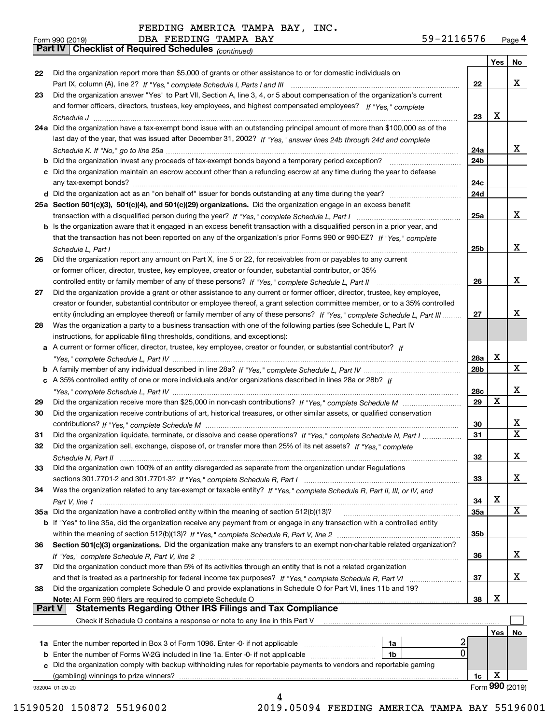*(continued)*

| Form 990 (2019) |                                                       | DBA FEEDING TAMPA BAY |  | 59-2116576 | Page 4 |
|-----------------|-------------------------------------------------------|-----------------------|--|------------|--------|
|                 | Part IV   Checklist of Required Schedules (continued) |                       |  |            |        |

|               |                                                                                                                                                                                  |     | Yes | No              |
|---------------|----------------------------------------------------------------------------------------------------------------------------------------------------------------------------------|-----|-----|-----------------|
| 22            | Did the organization report more than \$5,000 of grants or other assistance to or for domestic individuals on                                                                    |     |     |                 |
|               | Part IX, column (A), line 2? If "Yes," complete Schedule I, Parts I and III [11] [11] [12] [12] [12] Part IX, column (A), line 2? If "Yes," complete Schedule I, Parts I and III | 22  |     | x               |
| 23            | Did the organization answer "Yes" to Part VII, Section A, line 3, 4, or 5 about compensation of the organization's current                                                       |     |     |                 |
|               | and former officers, directors, trustees, key employees, and highest compensated employees? If "Yes," complete                                                                   |     |     |                 |
|               |                                                                                                                                                                                  | 23  | x   |                 |
|               | 24a Did the organization have a tax-exempt bond issue with an outstanding principal amount of more than \$100,000 as of the                                                      |     |     |                 |
|               | last day of the year, that was issued after December 31, 2002? If "Yes," answer lines 24b through 24d and complete                                                               |     |     |                 |
|               |                                                                                                                                                                                  | 24a |     | x               |
|               | <b>b</b> Did the organization invest any proceeds of tax-exempt bonds beyond a temporary period exception?                                                                       | 24b |     |                 |
|               | c Did the organization maintain an escrow account other than a refunding escrow at any time during the year to defease                                                           |     |     |                 |
|               | any tax-exempt bonds?                                                                                                                                                            | 24c |     |                 |
|               |                                                                                                                                                                                  | 24d |     |                 |
|               | 25a Section 501(c)(3), 501(c)(4), and 501(c)(29) organizations. Did the organization engage in an excess benefit                                                                 |     |     |                 |
|               |                                                                                                                                                                                  | 25a |     | x               |
|               | b Is the organization aware that it engaged in an excess benefit transaction with a disqualified person in a prior year, and                                                     |     |     |                 |
|               |                                                                                                                                                                                  |     |     |                 |
|               | that the transaction has not been reported on any of the organization's prior Forms 990 or 990-EZ? If "Yes." complete                                                            |     |     | x               |
|               | Schedule L. Part I                                                                                                                                                               | 25b |     |                 |
| 26            | Did the organization report any amount on Part X, line 5 or 22, for receivables from or payables to any current                                                                  |     |     |                 |
|               | or former officer, director, trustee, key employee, creator or founder, substantial contributor, or 35%                                                                          |     |     |                 |
|               |                                                                                                                                                                                  | 26  |     | x               |
| 27            | Did the organization provide a grant or other assistance to any current or former officer, director, trustee, key employee,                                                      |     |     |                 |
|               | creator or founder, substantial contributor or employee thereof, a grant selection committee member, or to a 35% controlled                                                      |     |     |                 |
|               | entity (including an employee thereof) or family member of any of these persons? If "Yes," complete Schedule L, Part III                                                         | 27  |     | x               |
| 28            | Was the organization a party to a business transaction with one of the following parties (see Schedule L, Part IV                                                                |     |     |                 |
|               | instructions, for applicable filing thresholds, conditions, and exceptions):                                                                                                     |     |     |                 |
|               | a A current or former officer, director, trustee, key employee, creator or founder, or substantial contributor? If                                                               |     |     |                 |
|               |                                                                                                                                                                                  | 28a | x   |                 |
|               |                                                                                                                                                                                  | 28b |     | X               |
|               | c A 35% controlled entity of one or more individuals and/or organizations described in lines 28a or 28b? If                                                                      |     |     |                 |
|               |                                                                                                                                                                                  | 28c |     | x               |
| 29            |                                                                                                                                                                                  | 29  | X   |                 |
| 30            | Did the organization receive contributions of art, historical treasures, or other similar assets, or qualified conservation                                                      |     |     |                 |
|               |                                                                                                                                                                                  | 30  |     | x               |
| 31            | Did the organization liquidate, terminate, or dissolve and cease operations? If "Yes," complete Schedule N, Part I                                                               | 31  |     | $\mathbf X$     |
| 32            | Did the organization sell, exchange, dispose of, or transfer more than 25% of its net assets? If "Yes." complete                                                                 |     |     |                 |
|               | Schedule N, Part II                                                                                                                                                              | 32  |     | x               |
| 33            | Did the organization own 100% of an entity disregarded as separate from the organization under Regulations                                                                       |     |     |                 |
|               |                                                                                                                                                                                  | 33  |     | X               |
| 34            | Was the organization related to any tax-exempt or taxable entity? If "Yes," complete Schedule R, Part II, III, or IV, and                                                        |     |     |                 |
|               |                                                                                                                                                                                  | 34  | X   |                 |
|               |                                                                                                                                                                                  | 35a |     | X               |
|               | b If "Yes" to line 35a, did the organization receive any payment from or engage in any transaction with a controlled entity                                                      |     |     |                 |
|               |                                                                                                                                                                                  | 35b |     |                 |
| 36            | Section 501(c)(3) organizations. Did the organization make any transfers to an exempt non-charitable related organization?                                                       |     |     |                 |
|               |                                                                                                                                                                                  | 36  |     | x               |
| 37            | Did the organization conduct more than 5% of its activities through an entity that is not a related organization                                                                 |     |     |                 |
|               |                                                                                                                                                                                  | 37  |     | x               |
| 38            | Did the organization complete Schedule O and provide explanations in Schedule O for Part VI, lines 11b and 19?                                                                   |     |     |                 |
|               |                                                                                                                                                                                  |     | X   |                 |
| <b>Part V</b> | Note: All Form 990 filers are required to complete Schedule O<br><b>Statements Regarding Other IRS Filings and Tax Compliance</b>                                                | 38  |     |                 |
|               | Check if Schedule O contains a response or note to any line in this Part V                                                                                                       |     |     |                 |
|               |                                                                                                                                                                                  |     |     |                 |
|               | 2                                                                                                                                                                                |     | Yes | No              |
|               | <b>1a</b> Enter the number reported in Box 3 of Form 1096. Enter -0- if not applicable <i>manumumumum</i><br>1a<br>0                                                             |     |     |                 |
|               | <b>b</b> Enter the number of Forms W-2G included in line 1a. Enter -0- if not applicable <i>manumumumum</i><br>1b                                                                |     |     |                 |
|               | c Did the organization comply with backup withholding rules for reportable payments to vendors and reportable gaming                                                             |     |     |                 |
|               | (gambling) winnings to prize winners?                                                                                                                                            | 1c  | х   |                 |
|               | 932004 01-20-20                                                                                                                                                                  |     |     | Form 990 (2019) |
|               | 4                                                                                                                                                                                |     |     |                 |

 <sup>15190520 150872 55196002 2019.05094</sup> FEEDING AMERICA TAMPA BAY 55196001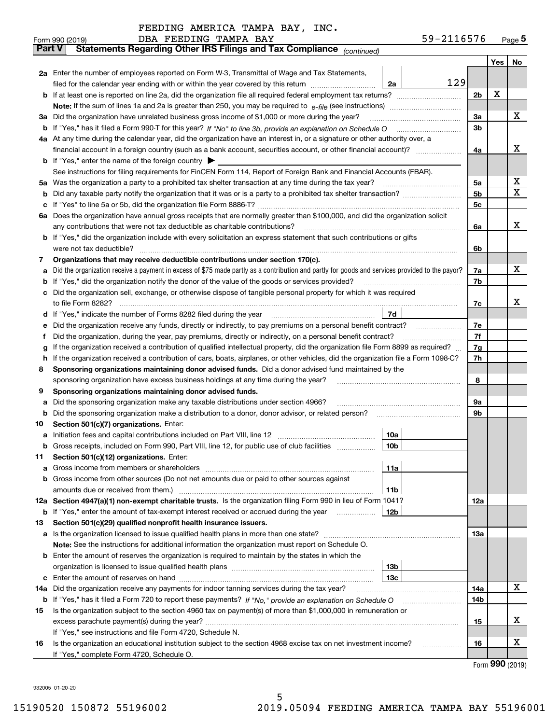|               | 59-2116576<br>DBA FEEDING TAMPA BAY<br>Form 990 (2019)                                                                                                                                                                                           |                |   | Page <sub>5</sub> |  |  |  |  |
|---------------|--------------------------------------------------------------------------------------------------------------------------------------------------------------------------------------------------------------------------------------------------|----------------|---|-------------------|--|--|--|--|
| <b>Part V</b> | Statements Regarding Other IRS Filings and Tax Compliance (continued)                                                                                                                                                                            |                |   |                   |  |  |  |  |
|               |                                                                                                                                                                                                                                                  |                |   | Yes   No          |  |  |  |  |
|               | 2a Enter the number of employees reported on Form W-3, Transmittal of Wage and Tax Statements,                                                                                                                                                   |                |   |                   |  |  |  |  |
|               | 129<br>filed for the calendar year ending with or within the year covered by this return <i>manumumumum</i><br>2a                                                                                                                                |                |   |                   |  |  |  |  |
|               |                                                                                                                                                                                                                                                  | 2 <sub>b</sub> | х |                   |  |  |  |  |
|               |                                                                                                                                                                                                                                                  |                |   |                   |  |  |  |  |
|               | 3a Did the organization have unrelated business gross income of \$1,000 or more during the year?                                                                                                                                                 | 3a             |   | х                 |  |  |  |  |
|               |                                                                                                                                                                                                                                                  | 3 <sub>b</sub> |   |                   |  |  |  |  |
|               | 4a At any time during the calendar year, did the organization have an interest in, or a signature or other authority over, a                                                                                                                     |                |   |                   |  |  |  |  |
|               |                                                                                                                                                                                                                                                  | 4a             |   | х                 |  |  |  |  |
|               | <b>b</b> If "Yes," enter the name of the foreign country $\blacktriangleright$                                                                                                                                                                   |                |   |                   |  |  |  |  |
|               | See instructions for filing requirements for FinCEN Form 114, Report of Foreign Bank and Financial Accounts (FBAR).                                                                                                                              |                |   |                   |  |  |  |  |
|               |                                                                                                                                                                                                                                                  | 5a             |   | х                 |  |  |  |  |
| b             |                                                                                                                                                                                                                                                  | 5b             |   | x                 |  |  |  |  |
| c             |                                                                                                                                                                                                                                                  | 5c             |   |                   |  |  |  |  |
|               | 6a Does the organization have annual gross receipts that are normally greater than \$100,000, and did the organization solicit                                                                                                                   |                |   |                   |  |  |  |  |
|               |                                                                                                                                                                                                                                                  | 6a             |   | х                 |  |  |  |  |
|               | <b>b</b> If "Yes," did the organization include with every solicitation an express statement that such contributions or gifts                                                                                                                    |                |   |                   |  |  |  |  |
|               |                                                                                                                                                                                                                                                  | 6b             |   |                   |  |  |  |  |
| 7             | Organizations that may receive deductible contributions under section 170(c).                                                                                                                                                                    |                |   |                   |  |  |  |  |
| а             | Did the organization receive a payment in excess of \$75 made partly as a contribution and partly for goods and services provided to the payor?                                                                                                  | 7a             |   | х                 |  |  |  |  |
|               | <b>b</b> If "Yes," did the organization notify the donor of the value of the goods or services provided?                                                                                                                                         | 7b             |   |                   |  |  |  |  |
|               | c Did the organization sell, exchange, or otherwise dispose of tangible personal property for which it was required                                                                                                                              |                |   | x                 |  |  |  |  |
|               |                                                                                                                                                                                                                                                  | 7c             |   |                   |  |  |  |  |
|               | 7d                                                                                                                                                                                                                                               | 7e             |   |                   |  |  |  |  |
| е             | Did the organization receive any funds, directly or indirectly, to pay premiums on a personal benefit contract?                                                                                                                                  | 7f             |   |                   |  |  |  |  |
| f             | Did the organization, during the year, pay premiums, directly or indirectly, on a personal benefit contract?<br>If the organization received a contribution of qualified intellectual property, did the organization file Form 8899 as required? | 7g             |   |                   |  |  |  |  |
| g<br>h.       | If the organization received a contribution of cars, boats, airplanes, or other vehicles, did the organization file a Form 1098-C?                                                                                                               | 7h             |   |                   |  |  |  |  |
| 8             | Sponsoring organizations maintaining donor advised funds. Did a donor advised fund maintained by the                                                                                                                                             |                |   |                   |  |  |  |  |
|               | sponsoring organization have excess business holdings at any time during the year?                                                                                                                                                               | 8              |   |                   |  |  |  |  |
| 9             | Sponsoring organizations maintaining donor advised funds.                                                                                                                                                                                        |                |   |                   |  |  |  |  |
| а             | Did the sponsoring organization make any taxable distributions under section 4966?                                                                                                                                                               | 9а             |   |                   |  |  |  |  |
| b             | Did the sponsoring organization make a distribution to a donor, donor advisor, or related person?                                                                                                                                                | 9b             |   |                   |  |  |  |  |
| 10            | Section 501(c)(7) organizations. Enter:                                                                                                                                                                                                          |                |   |                   |  |  |  |  |
|               | 10a                                                                                                                                                                                                                                              |                |   |                   |  |  |  |  |
|               | 10b <br>Gross receipts, included on Form 990, Part VIII, line 12, for public use of club facilities                                                                                                                                              |                |   |                   |  |  |  |  |
| 11            | Section 501(c)(12) organizations. Enter:                                                                                                                                                                                                         |                |   |                   |  |  |  |  |
| a             | Gross income from members or shareholders<br>11a                                                                                                                                                                                                 |                |   |                   |  |  |  |  |
|               | b Gross income from other sources (Do not net amounts due or paid to other sources against                                                                                                                                                       |                |   |                   |  |  |  |  |
|               | 11b                                                                                                                                                                                                                                              |                |   |                   |  |  |  |  |
|               | 12a Section 4947(a)(1) non-exempt charitable trusts. Is the organization filing Form 990 in lieu of Form 1041?                                                                                                                                   | 12a            |   |                   |  |  |  |  |
|               | 12b<br><b>b</b> If "Yes," enter the amount of tax-exempt interest received or accrued during the year                                                                                                                                            |                |   |                   |  |  |  |  |
| 13            | Section 501(c)(29) qualified nonprofit health insurance issuers.                                                                                                                                                                                 |                |   |                   |  |  |  |  |
|               | a Is the organization licensed to issue qualified health plans in more than one state?                                                                                                                                                           | 13а            |   |                   |  |  |  |  |
|               | Note: See the instructions for additional information the organization must report on Schedule O.                                                                                                                                                |                |   |                   |  |  |  |  |
|               | <b>b</b> Enter the amount of reserves the organization is required to maintain by the states in which the                                                                                                                                        |                |   |                   |  |  |  |  |
|               | 13b                                                                                                                                                                                                                                              |                |   |                   |  |  |  |  |
|               | 13с                                                                                                                                                                                                                                              |                |   | x                 |  |  |  |  |
|               | 14a Did the organization receive any payments for indoor tanning services during the tax year?                                                                                                                                                   |                |   |                   |  |  |  |  |
|               | <b>b</b> If "Yes," has it filed a Form 720 to report these payments? If "No," provide an explanation on Schedule O                                                                                                                               |                |   |                   |  |  |  |  |
| 15            | Is the organization subject to the section 4960 tax on payment(s) of more than \$1,000,000 in remuneration or                                                                                                                                    |                |   |                   |  |  |  |  |
|               |                                                                                                                                                                                                                                                  |                |   |                   |  |  |  |  |
|               | If "Yes," see instructions and file Form 4720, Schedule N.                                                                                                                                                                                       |                |   |                   |  |  |  |  |
| 16            | Is the organization an educational institution subject to the section 4968 excise tax on net investment income?                                                                                                                                  | 16             |   | х                 |  |  |  |  |
|               | If "Yes," complete Form 4720, Schedule O.                                                                                                                                                                                                        |                |   |                   |  |  |  |  |

Form (2019) **990**

932005 01-20-20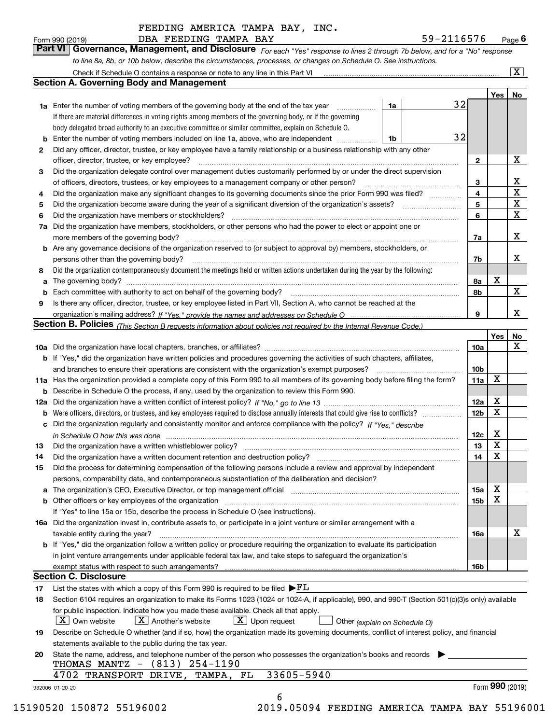| Form 990 (2019) |  | DBA FEEDING TAMPA BAY |  | 59-2116576                                                                                                                  | $P_{\text{aqe}}$ 6 |
|-----------------|--|-----------------------|--|-----------------------------------------------------------------------------------------------------------------------------|--------------------|
|                 |  |                       |  | Part VI Governance, Management, and Disclosure For each "Yes" response to lines 2 through 7b below, and for a "No" response |                    |
|                 |  |                       |  | to line 8a, 8b, or 10b below, describe the circumstances, processes, or changes on Schedule O. See instructions.            |                    |

|    |                                                                                                                                                                                                                         |    |  |    |              | Yes             | No                      |
|----|-------------------------------------------------------------------------------------------------------------------------------------------------------------------------------------------------------------------------|----|--|----|--------------|-----------------|-------------------------|
|    | <b>1a</b> Enter the number of voting members of the governing body at the end of the tax year <i>manumum</i>                                                                                                            | 1a |  | 32 |              |                 |                         |
|    | If there are material differences in voting rights among members of the governing body, or if the governing                                                                                                             |    |  |    |              |                 |                         |
|    | body delegated broad authority to an executive committee or similar committee, explain on Schedule O.                                                                                                                   |    |  |    |              |                 |                         |
| b  | Enter the number of voting members included on line 1a, above, who are independent                                                                                                                                      | 1b |  | 32 |              |                 |                         |
| 2  | Did any officer, director, trustee, or key employee have a family relationship or a business relationship with any other                                                                                                |    |  |    |              |                 |                         |
|    | officer, director, trustee, or key employee?                                                                                                                                                                            |    |  |    | $\mathbf{2}$ |                 | X                       |
| 3  | Did the organization delegate control over management duties customarily performed by or under the direct supervision                                                                                                   |    |  |    |              |                 |                         |
|    |                                                                                                                                                                                                                         |    |  |    | 3            |                 | X                       |
| 4  | Did the organization make any significant changes to its governing documents since the prior Form 990 was filed?                                                                                                        |    |  |    | 4            |                 | $\overline{\mathbf{x}}$ |
| 5  |                                                                                                                                                                                                                         |    |  |    | 5            |                 | $\mathbf X$             |
| 6  | Did the organization have members or stockholders?                                                                                                                                                                      |    |  |    | 6            |                 | $\mathbf X$             |
| 7a | Did the organization have members, stockholders, or other persons who had the power to elect or appoint one or                                                                                                          |    |  |    |              |                 |                         |
|    |                                                                                                                                                                                                                         |    |  |    | 7a           |                 | X                       |
|    | <b>b</b> Are any governance decisions of the organization reserved to (or subject to approval by) members, stockholders, or                                                                                             |    |  |    |              |                 |                         |
|    | persons other than the governing body?                                                                                                                                                                                  |    |  |    | 7b           |                 | X                       |
| 8  | Did the organization contemporaneously document the meetings held or written actions undertaken during the year by the following:                                                                                       |    |  |    |              |                 |                         |
| a  |                                                                                                                                                                                                                         |    |  |    | 8a           | X               |                         |
| b  |                                                                                                                                                                                                                         |    |  |    | 8b           |                 | X                       |
| 9  | Is there any officer, director, trustee, or key employee listed in Part VII, Section A, who cannot be reached at the                                                                                                    |    |  |    |              |                 |                         |
|    |                                                                                                                                                                                                                         |    |  |    | 9            |                 | X                       |
|    | Section B. Policies <sub>(This Section B requests information about policies not required by the Internal Revenue Code.)</sub>                                                                                          |    |  |    |              |                 |                         |
|    |                                                                                                                                                                                                                         |    |  |    |              | Yes             | No                      |
|    |                                                                                                                                                                                                                         |    |  |    | 10a          |                 | X                       |
|    | <b>b</b> If "Yes," did the organization have written policies and procedures governing the activities of such chapters, affiliates,                                                                                     |    |  |    |              |                 |                         |
|    |                                                                                                                                                                                                                         |    |  |    | 10b          |                 |                         |
|    | 11a Has the organization provided a complete copy of this Form 990 to all members of its governing body before filing the form?                                                                                         |    |  |    | 11a          | X               |                         |
|    | <b>b</b> Describe in Schedule O the process, if any, used by the organization to review this Form 990.                                                                                                                  |    |  |    |              |                 |                         |
|    |                                                                                                                                                                                                                         |    |  |    | 12a          | X               |                         |
| b  |                                                                                                                                                                                                                         |    |  |    | 12b          | X               |                         |
| c  | Did the organization regularly and consistently monitor and enforce compliance with the policy? If "Yes," describe                                                                                                      |    |  |    |              |                 |                         |
|    |                                                                                                                                                                                                                         |    |  |    | 12c          | X               |                         |
| 13 | in Schedule O how this was done manufactured and contact the state of the state of the state of the state of t                                                                                                          |    |  |    | 13           | X               |                         |
| 14 | Did the organization have a written document retention and destruction policy? manufactured and the organization have a written document retention and destruction policy?                                              |    |  |    | 14           | X               |                         |
|    |                                                                                                                                                                                                                         |    |  |    |              |                 |                         |
| 15 | Did the process for determining compensation of the following persons include a review and approval by independent<br>persons, comparability data, and contemporaneous substantiation of the deliberation and decision? |    |  |    |              |                 |                         |
|    |                                                                                                                                                                                                                         |    |  |    |              | X               |                         |
| a  | The organization's CEO, Executive Director, or top management official manufactured content content of the organization's CEO, Executive Director, or top management official                                           |    |  |    | 15a          | X               |                         |
|    | <b>b</b> Other officers or key employees of the organization                                                                                                                                                            |    |  |    | 15b          |                 |                         |
|    | If "Yes" to line 15a or 15b, describe the process in Schedule O (see instructions).                                                                                                                                     |    |  |    |              |                 |                         |
|    | 16a Did the organization invest in, contribute assets to, or participate in a joint venture or similar arrangement with a                                                                                               |    |  |    |              |                 | X                       |
|    | taxable entity during the year?                                                                                                                                                                                         |    |  |    | 16a          |                 |                         |
|    | b If "Yes," did the organization follow a written policy or procedure requiring the organization to evaluate its participation                                                                                          |    |  |    |              |                 |                         |
|    | in joint venture arrangements under applicable federal tax law, and take steps to safequard the organization's                                                                                                          |    |  |    |              |                 |                         |
|    | exempt status with respect to such arrangements?                                                                                                                                                                        |    |  |    | 16b          |                 |                         |
|    | <b>Section C. Disclosure</b>                                                                                                                                                                                            |    |  |    |              |                 |                         |
| 17 | List the states with which a copy of this Form 990 is required to be filed $\blacktriangleright$ $\underline{FL}$                                                                                                       |    |  |    |              |                 |                         |
| 18 | Section 6104 requires an organization to make its Forms 1023 (1024 or 1024-A, if applicable), 990, and 990-T (Section 501(c)(3)s only) available                                                                        |    |  |    |              |                 |                         |
|    | for public inspection. Indicate how you made these available. Check all that apply.                                                                                                                                     |    |  |    |              |                 |                         |
|    | $\boxed{\textbf{X}}$ Another's website<br>$X$ Upon request<br>  X   Own website<br>Other (explain on Schedule O)                                                                                                        |    |  |    |              |                 |                         |
| 19 | Describe on Schedule O whether (and if so, how) the organization made its governing documents, conflict of interest policy, and financial                                                                               |    |  |    |              |                 |                         |
|    | statements available to the public during the tax year.                                                                                                                                                                 |    |  |    |              |                 |                         |
| 20 | State the name, address, and telephone number of the person who possesses the organization's books and records                                                                                                          |    |  |    |              |                 |                         |
|    | THOMAS MANTZ - (813) 254-1190                                                                                                                                                                                           |    |  |    |              |                 |                         |
|    | 33605-5940<br>4702 TRANSPORT DRIVE, TAMPA, FL                                                                                                                                                                           |    |  |    |              |                 |                         |
|    |                                                                                                                                                                                                                         |    |  |    |              | Form 990 (2019) |                         |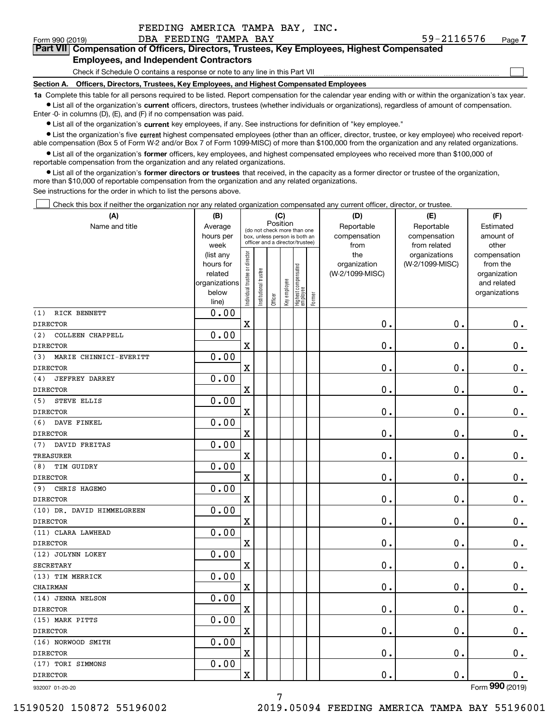| FEEDING AMERICA TAMPA BAY, INC. |  |  |
|---------------------------------|--|--|
|                                 |  |  |

 $\mathcal{L}^{\text{max}}$ 

#### Form 990 (2019) DBA FEEDING TAMPA BAY 59-2116576 <sub>Page</sub> **7Part VII Compensation of Officers, Directors, Trustees, Key Employees, Highest Compensated Employees, and Independent Contractors**

Check if Schedule O contains a response or note to any line in this Part VII

**Section A. Officers, Directors, Trustees, Key Employees, and Highest Compensated Employees**

**1a**  Complete this table for all persons required to be listed. Report compensation for the calendar year ending with or within the organization's tax year. **•** List all of the organization's current officers, directors, trustees (whether individuals or organizations), regardless of amount of compensation.

Enter -0- in columns (D), (E), and (F) if no compensation was paid.

 $\bullet$  List all of the organization's  $\,$ current key employees, if any. See instructions for definition of "key employee."

**•** List the organization's five current highest compensated employees (other than an officer, director, trustee, or key employee) who received reportable compensation (Box 5 of Form W-2 and/or Box 7 of Form 1099-MISC) of more than \$100,000 from the organization and any related organizations.

**•** List all of the organization's former officers, key employees, and highest compensated employees who received more than \$100,000 of reportable compensation from the organization and any related organizations.

**former directors or trustees**  ¥ List all of the organization's that received, in the capacity as a former director or trustee of the organization, more than \$10,000 of reportable compensation from the organization and any related organizations.

See instructions for the order in which to list the persons above.

Check this box if neither the organization nor any related organization compensated any current officer, director, or trustee.  $\mathcal{L}^{\text{max}}$ 

| (A)                           | (B)                      |                                |                                 | (C)      |              |                                  |        | (D)             | (E)             | (F)                         |
|-------------------------------|--------------------------|--------------------------------|---------------------------------|----------|--------------|----------------------------------|--------|-----------------|-----------------|-----------------------------|
| Name and title                | Average                  |                                | (do not check more than one     | Position |              |                                  |        | Reportable      | Reportable      | Estimated                   |
|                               | hours per                |                                | box, unless person is both an   |          |              |                                  |        | compensation    | compensation    | amount of                   |
|                               | week                     |                                | officer and a director/trustee) |          |              |                                  |        | from            | from related    | other                       |
|                               | (list any                |                                |                                 |          |              |                                  |        | the             | organizations   | compensation                |
|                               | hours for                |                                |                                 |          |              |                                  |        | organization    | (W-2/1099-MISC) | from the                    |
|                               | related<br>organizations |                                |                                 |          |              |                                  |        | (W-2/1099-MISC) |                 | organization<br>and related |
|                               | below                    |                                |                                 |          |              |                                  |        |                 |                 | organizations               |
|                               | line)                    | Individual trustee or director | Institutional trustee           | Officer  | Key employee | Highest compensated<br> employee | Former |                 |                 |                             |
| RICK BENNETT<br>(1)           | 0.00                     |                                |                                 |          |              |                                  |        |                 |                 |                             |
| <b>DIRECTOR</b>               |                          | X                              |                                 |          |              |                                  |        | 0.              | $\mathbf 0$ .   | 0.                          |
| COLLEEN CHAPPELL<br>(2)       | 0.00                     |                                |                                 |          |              |                                  |        |                 |                 |                             |
| <b>DIRECTOR</b>               |                          | X                              |                                 |          |              |                                  |        | 0.              | $\mathbf 0$ .   | 0.                          |
| MARIE CHINNICI-EVERITT<br>(3) | 0.00                     |                                |                                 |          |              |                                  |        |                 |                 |                             |
| <b>DIRECTOR</b>               |                          | X                              |                                 |          |              |                                  |        | 0.              | $\mathbf 0$ .   | $0_{.}$                     |
| <b>JEFFREY DARREY</b><br>(4)  | 0.00                     |                                |                                 |          |              |                                  |        |                 |                 |                             |
| <b>DIRECTOR</b>               |                          | X                              |                                 |          |              |                                  |        | 0.              | $\mathbf 0$ .   | $0_{.}$                     |
| STEVE ELLIS<br>(5)            | 0.00                     |                                |                                 |          |              |                                  |        |                 |                 |                             |
| <b>DIRECTOR</b>               |                          | X                              |                                 |          |              |                                  |        | 0.              | $\mathbf 0$ .   | $0_{.}$                     |
| DAVE FINKEL<br>(6)            | 0.00                     |                                |                                 |          |              |                                  |        |                 |                 |                             |
| <b>DIRECTOR</b>               |                          | X                              |                                 |          |              |                                  |        | 0.              | $\mathbf 0$ .   | $\mathbf 0$ .               |
| DAVID FREITAS<br>(7)          | 0.00                     |                                |                                 |          |              |                                  |        |                 |                 |                             |
| <b>TREASURER</b>              |                          | X                              |                                 |          |              |                                  |        | 0.              | $\mathbf 0$ .   | $\mathbf 0$ .               |
| TIM GUIDRY<br>(8)             | 0.00                     |                                |                                 |          |              |                                  |        |                 |                 |                             |
| <b>DIRECTOR</b>               |                          | X                              |                                 |          |              |                                  |        | 0.              | $\mathbf 0$ .   | $\mathbf 0$ .               |
| CHRIS HAGEMO<br>(9)           | 0.00                     |                                |                                 |          |              |                                  |        |                 |                 |                             |
| <b>DIRECTOR</b>               |                          | X                              |                                 |          |              |                                  |        | 0.              | $\mathbf 0$ .   | $\mathbf 0$ .               |
| (10) DR. DAVID HIMMELGREEN    | 0.00                     |                                |                                 |          |              |                                  |        |                 |                 |                             |
| <b>DIRECTOR</b>               |                          | X                              |                                 |          |              |                                  |        | 0.              | $\mathbf 0$ .   | $\mathbf 0$ .               |
| (11) CLARA LAWHEAD            | 0.00                     |                                |                                 |          |              |                                  |        |                 |                 |                             |
| <b>DIRECTOR</b>               |                          | X                              |                                 |          |              |                                  |        | 0.              | $\mathbf 0$ .   | $\mathbf 0$ .               |
| (12) JOLYNN LOKEY             | 0.00                     |                                |                                 |          |              |                                  |        |                 |                 |                             |
| <b>SECRETARY</b>              |                          | X                              |                                 |          |              |                                  |        | 0.              | 0.              | $\mathbf 0$ .               |
| (13) TIM MERRICK              | 0.00                     |                                |                                 |          |              |                                  |        |                 |                 |                             |
| CHAIRMAN                      |                          | X                              |                                 |          |              |                                  |        | 0.              | 0.              | $\mathbf 0$ .               |
| (14) JENNA NELSON             | 0.00                     |                                |                                 |          |              |                                  |        |                 |                 |                             |
| <b>DIRECTOR</b>               |                          | X                              |                                 |          |              |                                  |        | 0.              | $\mathbf 0$ .   | 0.                          |
| (15) MARK PITTS               | 0.00                     |                                |                                 |          |              |                                  |        |                 |                 |                             |
| <b>DIRECTOR</b>               |                          | X                              |                                 |          |              |                                  |        | $\mathbf 0$ .   | $\mathbf 0$ .   | 0.                          |
| (16) NORWOOD SMITH            | 0.00                     |                                |                                 |          |              |                                  |        |                 |                 |                             |
| <b>DIRECTOR</b>               |                          | X                              |                                 |          |              |                                  |        | 0.              | $\mathbf 0$ .   | 0.                          |
| (17) TORI SIMMONS             | 0.00                     |                                |                                 |          |              |                                  |        |                 |                 |                             |
| <b>DIRECTOR</b>               |                          | x                              |                                 |          |              |                                  |        | $\mathbf 0$ .   | $\mathbf 0$ .   | 0.                          |
| 932007 01-20-20               |                          |                                |                                 |          |              |                                  |        |                 |                 | Form 990 (2019)             |

7

15190520 150872 55196002 2019.05094 FEEDING AMERICA TAMPA BAY 55196001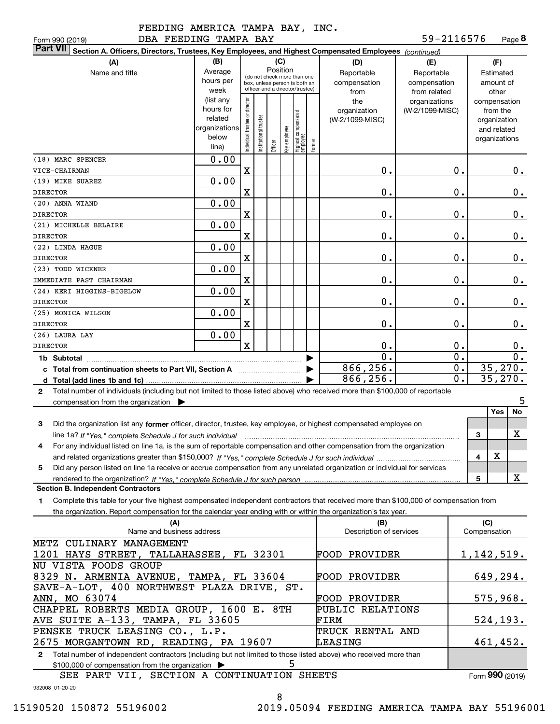|  |     | יינדע ב |       |  |
|--|-----|---------|-------|--|
|  | --- |         | - - - |  |

**8**59-2116576

| DBA FEEDING TAMPA BAY<br>Form 990 (2019)                                                                                                                                                                                                                                    |                                                                      |                               |                                                                                                 |                 |              |                                  |        |                                                | 59-2116576                                        |    |              | Page 8                                                                   |    |
|-----------------------------------------------------------------------------------------------------------------------------------------------------------------------------------------------------------------------------------------------------------------------------|----------------------------------------------------------------------|-------------------------------|-------------------------------------------------------------------------------------------------|-----------------|--------------|----------------------------------|--------|------------------------------------------------|---------------------------------------------------|----|--------------|--------------------------------------------------------------------------|----|
| <b>Part VII</b><br>Section A. Officers, Directors, Trustees, Key Employees, and Highest Compensated Employees (continued)                                                                                                                                                   |                                                                      |                               |                                                                                                 |                 |              |                                  |        |                                                |                                                   |    |              |                                                                          |    |
| (A)<br>Name and title                                                                                                                                                                                                                                                       | (B)<br>Average<br>hours per<br>week                                  |                               | (do not check more than one<br>box, unless person is both an<br>officer and a director/trustee) | (C)<br>Position |              |                                  |        | (D)<br>Reportable<br>compensation              | (E)<br>Reportable<br>compensation<br>from related |    |              | (F)<br>Estimated<br>amount of<br>other                                   |    |
|                                                                                                                                                                                                                                                                             | (list any<br>hours for<br>related<br>organizations<br>below<br>line) | ndividual trustee or director | nstitutional trustee                                                                            | Officer         | Key employee | Highest compensated<br> employee | Former | from<br>the<br>organization<br>(W-2/1099-MISC) | organizations<br>(W-2/1099-MISC)                  |    |              | compensation<br>from the<br>organization<br>and related<br>organizations |    |
| (18) MARC SPENCER                                                                                                                                                                                                                                                           | 0.00                                                                 |                               |                                                                                                 |                 |              |                                  |        |                                                |                                                   |    |              |                                                                          |    |
| VICE-CHAIRMAN                                                                                                                                                                                                                                                               |                                                                      | X                             |                                                                                                 |                 |              |                                  |        | 0.                                             |                                                   | 0. |              |                                                                          | 0. |
| (19) MIKE SUAREZ                                                                                                                                                                                                                                                            | 0.00                                                                 |                               |                                                                                                 |                 |              |                                  |        |                                                |                                                   |    |              |                                                                          |    |
| <b>DIRECTOR</b>                                                                                                                                                                                                                                                             |                                                                      | $\mathbf X$                   |                                                                                                 |                 |              |                                  |        | 0.                                             |                                                   | 0. |              |                                                                          | 0. |
| (20) ANNA WIAND<br><b>DIRECTOR</b>                                                                                                                                                                                                                                          | 0.00                                                                 | $\mathbf X$                   |                                                                                                 |                 |              |                                  |        | 0.                                             |                                                   | 0. |              |                                                                          | 0. |
| (21) MICHELLE BELAIRE                                                                                                                                                                                                                                                       | 0.00                                                                 |                               |                                                                                                 |                 |              |                                  |        |                                                |                                                   |    |              |                                                                          |    |
| <b>DIRECTOR</b>                                                                                                                                                                                                                                                             |                                                                      | X                             |                                                                                                 |                 |              |                                  |        | 0.                                             |                                                   | 0. |              |                                                                          | 0. |
| (22) LINDA HAGUE                                                                                                                                                                                                                                                            | 0.00                                                                 |                               |                                                                                                 |                 |              |                                  |        |                                                |                                                   |    |              |                                                                          |    |
| <b>DIRECTOR</b>                                                                                                                                                                                                                                                             |                                                                      | X                             |                                                                                                 |                 |              |                                  |        | 0.                                             |                                                   | 0. |              |                                                                          | 0. |
| (23) TODD WICKNER                                                                                                                                                                                                                                                           | 0.00                                                                 |                               |                                                                                                 |                 |              |                                  |        |                                                |                                                   |    |              |                                                                          |    |
| IMMEDIATE PAST CHAIRMAN                                                                                                                                                                                                                                                     |                                                                      | X                             |                                                                                                 |                 |              |                                  |        | 0.                                             |                                                   | 0. |              |                                                                          | 0. |
| (24) KERI HIGGINS-BIGELOW                                                                                                                                                                                                                                                   | 0.00                                                                 |                               |                                                                                                 |                 |              |                                  |        |                                                |                                                   |    |              |                                                                          |    |
| <b>DIRECTOR</b><br>(25) MONICA WILSON                                                                                                                                                                                                                                       | 0.00                                                                 | X                             |                                                                                                 |                 |              |                                  |        | 0.                                             |                                                   | 0. |              |                                                                          | 0. |
| <b>DIRECTOR</b>                                                                                                                                                                                                                                                             |                                                                      | $\mathbf X$                   |                                                                                                 |                 |              |                                  |        | 0.                                             |                                                   | 0. |              |                                                                          | 0. |
| (26) LAURA LAY                                                                                                                                                                                                                                                              | 0.00                                                                 |                               |                                                                                                 |                 |              |                                  |        |                                                |                                                   |    |              |                                                                          |    |
| <b>DIRECTOR</b>                                                                                                                                                                                                                                                             |                                                                      | $\mathbf x$                   |                                                                                                 |                 |              |                                  |        | 0.                                             |                                                   | 0. |              |                                                                          | 0. |
| 1b Subtotal                                                                                                                                                                                                                                                                 |                                                                      |                               |                                                                                                 |                 |              |                                  |        | $\mathbf{0}$ .                                 |                                                   | 0. |              |                                                                          | 0. |
|                                                                                                                                                                                                                                                                             |                                                                      |                               |                                                                                                 |                 |              |                                  |        | 866,256.                                       |                                                   | 0. |              | 35, 270.                                                                 |    |
|                                                                                                                                                                                                                                                                             |                                                                      |                               |                                                                                                 |                 |              |                                  |        | 866,256.                                       |                                                   | 0. |              | 35,270.                                                                  |    |
| Total number of individuals (including but not limited to those listed above) who received more than \$100,000 of reportable<br>$\mathbf{2}$<br>compensation from the organization $\blacktriangleright$                                                                    |                                                                      |                               |                                                                                                 |                 |              |                                  |        |                                                |                                                   |    |              |                                                                          | 5  |
|                                                                                                                                                                                                                                                                             |                                                                      |                               |                                                                                                 |                 |              |                                  |        |                                                |                                                   |    |              | Yes                                                                      | No |
| 3<br>Did the organization list any former officer, director, trustee, key employee, or highest compensated employee on                                                                                                                                                      |                                                                      |                               |                                                                                                 |                 |              |                                  |        |                                                |                                                   |    | 3            |                                                                          | х  |
| line 1a? If "Yes," complete Schedule J for such individual manufactured contained and the 1a? If "Yes," complete Schedule J for such individual<br>For any individual listed on line 1a, is the sum of reportable compensation and other compensation from the organization |                                                                      |                               |                                                                                                 |                 |              |                                  |        |                                                |                                                   |    |              |                                                                          |    |
|                                                                                                                                                                                                                                                                             |                                                                      |                               |                                                                                                 |                 |              |                                  |        |                                                |                                                   |    | 4            | х                                                                        |    |
| Did any person listed on line 1a receive or accrue compensation from any unrelated organization or individual for services<br>5                                                                                                                                             |                                                                      |                               |                                                                                                 |                 |              |                                  |        |                                                |                                                   |    |              |                                                                          |    |
|                                                                                                                                                                                                                                                                             |                                                                      |                               |                                                                                                 |                 |              |                                  |        |                                                |                                                   |    | 5            |                                                                          | X  |
| <b>Section B. Independent Contractors</b>                                                                                                                                                                                                                                   |                                                                      |                               |                                                                                                 |                 |              |                                  |        |                                                |                                                   |    |              |                                                                          |    |
| Complete this table for your five highest compensated independent contractors that received more than \$100,000 of compensation from<br>1.<br>the organization. Report compensation for the calendar year ending with or within the organization's tax year.                |                                                                      |                               |                                                                                                 |                 |              |                                  |        |                                                |                                                   |    |              |                                                                          |    |
| (A)                                                                                                                                                                                                                                                                         |                                                                      |                               |                                                                                                 |                 |              |                                  |        | (B)                                            |                                                   |    | (C)          |                                                                          |    |
| Name and business address                                                                                                                                                                                                                                                   |                                                                      |                               |                                                                                                 |                 |              |                                  |        | Description of services                        |                                                   |    | Compensation |                                                                          |    |
| METZ CULINARY MANAGEMENT                                                                                                                                                                                                                                                    |                                                                      |                               |                                                                                                 |                 |              |                                  |        |                                                |                                                   |    |              |                                                                          |    |
| 1201 HAYS STREET, TALLAHASSEE, FL 32301                                                                                                                                                                                                                                     |                                                                      |                               |                                                                                                 |                 |              |                                  |        | FOOD PROVIDER                                  |                                                   |    |              | <u>1,142,519.</u>                                                        |    |
| NU VISTA FOODS GROUP                                                                                                                                                                                                                                                        |                                                                      |                               |                                                                                                 |                 |              |                                  |        |                                                |                                                   |    |              |                                                                          |    |
| 8329 N. ARMENIA AVENUE, TAMPA, FL 33604                                                                                                                                                                                                                                     |                                                                      |                               |                                                                                                 |                 |              |                                  |        | FOOD PROVIDER                                  |                                                   |    |              | 649,294.                                                                 |    |
| SAVE-A-LOT, 400 NORTHWEST PLAZA DRIVE, ST.<br>ANN, MO 63074                                                                                                                                                                                                                 |                                                                      |                               |                                                                                                 |                 |              |                                  |        | FOOD PROVIDER                                  |                                                   |    |              | 575,968.                                                                 |    |
| CHAPPEL ROBERTS MEDIA GROUP, 1600 E. 8TH                                                                                                                                                                                                                                    |                                                                      |                               |                                                                                                 |                 |              |                                  |        | PUBLIC RELATIONS                               |                                                   |    |              |                                                                          |    |
| AVE SUITE A-133, TAMPA, FL 33605                                                                                                                                                                                                                                            |                                                                      |                               |                                                                                                 |                 |              |                                  |        | FIRM                                           |                                                   |    |              | <u>524,193.</u>                                                          |    |
| PENSKE TRUCK LEASING CO., L.P.                                                                                                                                                                                                                                              |                                                                      |                               |                                                                                                 |                 |              |                                  |        | TRUCK RENTAL AND                               |                                                   |    |              |                                                                          |    |
|                                                                                                                                                                                                                                                                             | LEASING<br>2675 MORGANTOWN RD, READING, PA 19607<br>461,452.         |                               |                                                                                                 |                 |              |                                  |        |                                                |                                                   |    |              |                                                                          |    |
| Total number of independent contractors (including but not limited to those listed above) who received more than<br>$\mathbf{2}$                                                                                                                                            |                                                                      |                               |                                                                                                 |                 |              |                                  |        |                                                |                                                   |    |              |                                                                          |    |
| \$100,000 of compensation from the organization $\blacktriangleright$                                                                                                                                                                                                       |                                                                      |                               |                                                                                                 |                 | 5            |                                  |        |                                                |                                                   |    |              |                                                                          |    |

\$100,000 of compensation from the organization

SEE PART VII, SECTION A CONTINUATION SHEETS

Form (2019) **990**

932008 01-20-20

8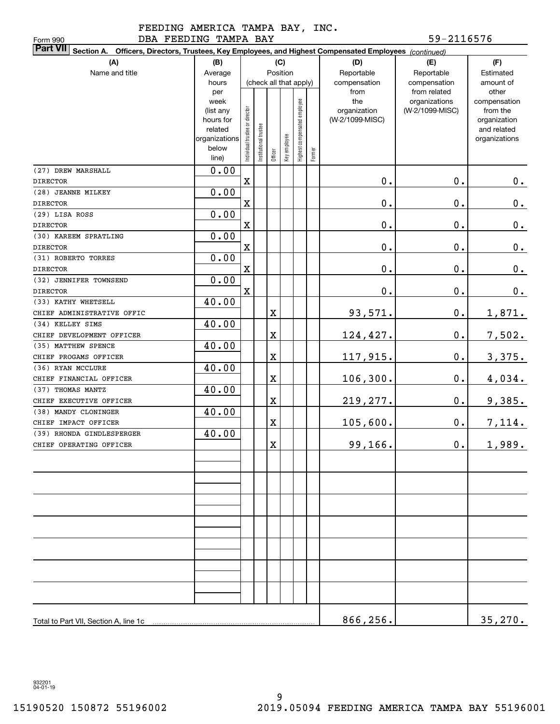# FEEDING AMERICA TAMPA BAY, INC. DBA FEEDING TAMPA BAY 59-2116576

| DBA FEEDING TAMPA BAY<br>Form 990                                                                                         |                        |                                |                       |                         |              |                              |        |                                 | 59-2116576      |                          |
|---------------------------------------------------------------------------------------------------------------------------|------------------------|--------------------------------|-----------------------|-------------------------|--------------|------------------------------|--------|---------------------------------|-----------------|--------------------------|
| <b>Part VII</b><br>Section A. Officers, Directors, Trustees, Key Employees, and Highest Compensated Employees (continued) |                        |                                |                       |                         |              |                              |        |                                 |                 |                          |
| (A)<br>(B)<br>(C)<br>(F)<br>(D)<br>(E)                                                                                    |                        |                                |                       |                         |              |                              |        |                                 |                 |                          |
| Name and title                                                                                                            | Average                |                                |                       | Position                |              |                              |        | Reportable                      | Reportable      | Estimated                |
|                                                                                                                           | hours                  |                                |                       | (check all that apply)  |              |                              |        | compensation                    | compensation    | amount of                |
|                                                                                                                           | per                    |                                |                       |                         |              |                              |        | from                            | from related    | other                    |
|                                                                                                                           | week                   |                                |                       |                         |              |                              |        | the                             | organizations   | compensation             |
|                                                                                                                           | (list any<br>hours for |                                |                       |                         |              |                              |        | organization<br>(W-2/1099-MISC) | (W-2/1099-MISC) | from the<br>organization |
|                                                                                                                           | related                |                                |                       |                         |              |                              |        |                                 |                 | and related              |
|                                                                                                                           | organizations          |                                |                       |                         |              |                              |        |                                 |                 | organizations            |
|                                                                                                                           | below                  | Individual trustee or director | Institutional trustee |                         | Key employee | Highest compensated employee |        |                                 |                 |                          |
|                                                                                                                           | line)                  |                                |                       | Officer                 |              |                              | Former |                                 |                 |                          |
| (27) DREW MARSHALL                                                                                                        | 0.00                   |                                |                       |                         |              |                              |        |                                 |                 |                          |
| <b>DIRECTOR</b>                                                                                                           |                        | $\mathbf X$                    |                       |                         |              |                              |        | 0.                              | 0.              | $0_{.}$                  |
| (28) JEANNE MILKEY                                                                                                        | 0.00                   |                                |                       |                         |              |                              |        |                                 |                 |                          |
| <b>DIRECTOR</b>                                                                                                           |                        | $\mathbf X$                    |                       |                         |              |                              |        | 0.                              | $\mathbf 0$ .   | $\mathbf 0$ .            |
| (29) LISA ROSS                                                                                                            | 0.00                   |                                |                       |                         |              |                              |        |                                 |                 |                          |
| <b>DIRECTOR</b>                                                                                                           |                        | $\mathbf X$                    |                       |                         |              |                              |        | 0.                              | 0.              | $\mathbf 0$ .            |
| (30) KAREEM SPRATLING                                                                                                     | 0.00                   |                                |                       |                         |              |                              |        |                                 |                 |                          |
| <b>DIRECTOR</b>                                                                                                           |                        | $\mathbf X$                    |                       |                         |              |                              |        | 0.                              | 0.              | $0$ .                    |
| (31) ROBERTO TORRES                                                                                                       | 0.00                   |                                |                       |                         |              |                              |        |                                 |                 |                          |
| <b>DIRECTOR</b>                                                                                                           |                        | $\mathbf X$                    |                       |                         |              |                              |        | 0.                              | 0.              | $0$ .                    |
| (32) JENNIFER TOWNSEND                                                                                                    | 0.00                   |                                |                       |                         |              |                              |        |                                 |                 |                          |
| <b>DIRECTOR</b>                                                                                                           |                        | $\mathbf X$                    |                       |                         |              |                              |        | 0.                              | $\mathbf 0$ .   | 0.                       |
| (33) KATHY WHETSELL                                                                                                       | 40.00                  |                                |                       |                         |              |                              |        |                                 |                 |                          |
| CHIEF ADMINISTRATIVE OFFIC                                                                                                |                        |                                |                       | X                       |              |                              |        | 93,571.                         | $\mathbf 0$ .   | <u>1,871.</u>            |
| (34) KELLEY SIMS                                                                                                          | 40.00                  |                                |                       |                         |              |                              |        |                                 |                 |                          |
| CHIEF DEVELOPMENT OFFICER                                                                                                 |                        |                                |                       | X                       |              |                              |        | 124,427.                        | $\mathbf 0$ .   | 7,502.                   |
| (35) MATTHEW SPENCE                                                                                                       | 40.00                  |                                |                       |                         |              |                              |        |                                 |                 |                          |
| CHIEF PROGAMS OFFICER                                                                                                     |                        |                                |                       | X                       |              |                              |        | 117,915.                        | $\mathbf 0$ .   | 3,375.                   |
| (36) RYAN MCCLURE                                                                                                         | 40.00                  |                                |                       |                         |              |                              |        |                                 |                 |                          |
| CHIEF FINANCIAL OFFICER                                                                                                   |                        |                                |                       | X                       |              |                              |        | 106, 300.                       | $\mathbf 0$ .   | 4,034.                   |
| (37) THOMAS MANTZ                                                                                                         | 40.00                  |                                |                       |                         |              |                              |        |                                 |                 |                          |
| CHIEF EXECUTIVE OFFICER                                                                                                   |                        |                                |                       | X                       |              |                              |        | 219, 277.                       | $\mathbf 0$ .   | 9,385.                   |
| (38) MANDY CLONINGER                                                                                                      | 40.00                  |                                |                       |                         |              |                              |        |                                 |                 |                          |
| CHIEF IMPACT OFFICER                                                                                                      |                        |                                |                       | X                       |              |                              |        | 105,600.                        | 0.              | 7,114.                   |
| (39) RHONDA GINDLESPERGER                                                                                                 | 40.00                  |                                |                       |                         |              |                              |        |                                 |                 |                          |
| CHIEF OPERATING OFFICER                                                                                                   |                        |                                |                       | $\overline{\mathbf{X}}$ |              |                              |        | 99,166.                         | $0$ .           | 1,989.                   |
|                                                                                                                           |                        |                                |                       |                         |              |                              |        |                                 |                 |                          |
|                                                                                                                           |                        |                                |                       |                         |              |                              |        |                                 |                 |                          |
|                                                                                                                           |                        |                                |                       |                         |              |                              |        |                                 |                 |                          |
|                                                                                                                           |                        |                                |                       |                         |              |                              |        |                                 |                 |                          |
|                                                                                                                           |                        |                                |                       |                         |              |                              |        |                                 |                 |                          |
|                                                                                                                           |                        |                                |                       |                         |              |                              |        |                                 |                 |                          |
|                                                                                                                           |                        |                                |                       |                         |              |                              |        |                                 |                 |                          |
|                                                                                                                           |                        |                                |                       |                         |              |                              |        |                                 |                 |                          |
|                                                                                                                           |                        |                                |                       |                         |              |                              |        |                                 |                 |                          |
|                                                                                                                           |                        |                                |                       |                         |              |                              |        |                                 |                 |                          |
|                                                                                                                           |                        |                                |                       |                         |              |                              |        |                                 |                 |                          |
|                                                                                                                           |                        |                                |                       |                         |              |                              |        |                                 |                 |                          |
|                                                                                                                           |                        |                                |                       |                         |              |                              |        |                                 |                 |                          |
|                                                                                                                           |                        |                                |                       |                         |              |                              |        |                                 |                 |                          |
|                                                                                                                           |                        |                                |                       |                         |              |                              |        | 866,256.                        |                 | 35,270.                  |

932201 04-01-19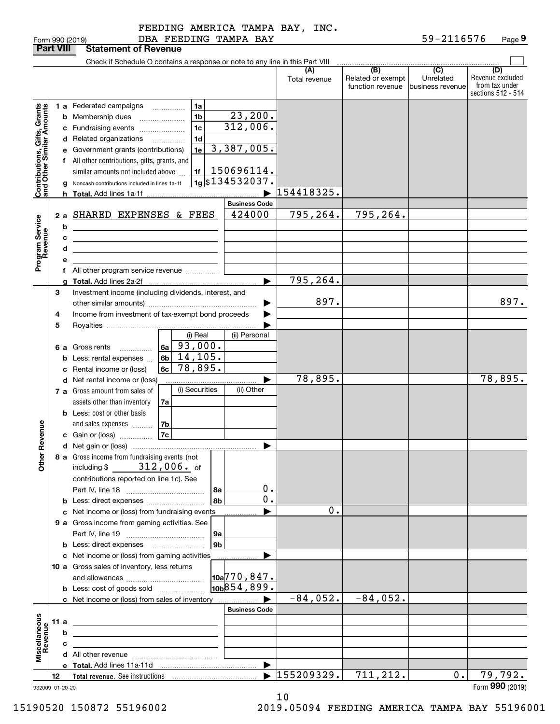|                                                           | <b>Part VIII</b> |   | <b>Statement of Revenue</b>                                                                                           |                             |                      |                                              |                                                  |                                                                 |
|-----------------------------------------------------------|------------------|---|-----------------------------------------------------------------------------------------------------------------------|-----------------------------|----------------------|----------------------------------------------|--------------------------------------------------|-----------------------------------------------------------------|
|                                                           |                  |   | Check if Schedule O contains a response or note to any line in this Part VIII                                         |                             |                      |                                              |                                                  |                                                                 |
|                                                           |                  |   |                                                                                                                       |                             | (A)<br>Total revenue | (B)<br>Related or exempt<br>function revenue | $\overline{C}$<br>Unrelated<br> business revenue | (D)<br>Revenue excluded<br>from tax under<br>sections 512 - 514 |
|                                                           |                  |   | <b>1 a</b> Federated campaigns<br>1a<br>.                                                                             |                             |                      |                                              |                                                  |                                                                 |
|                                                           |                  |   | 1 <sub>b</sub><br><b>b</b> Membership dues<br>$\ldots \ldots \ldots \ldots \ldots$                                    | 23, 200.                    |                      |                                              |                                                  |                                                                 |
|                                                           |                  |   | 1 <sub>c</sub><br>c Fundraising events                                                                                | 312,006.                    |                      |                                              |                                                  |                                                                 |
|                                                           |                  |   | 1 <sub>d</sub><br>d Related organizations<br>.                                                                        |                             |                      |                                              |                                                  |                                                                 |
|                                                           |                  |   | 1e<br>e Government grants (contributions)                                                                             | 3,387,005.                  |                      |                                              |                                                  |                                                                 |
|                                                           |                  |   | f All other contributions, gifts, grants, and                                                                         |                             |                      |                                              |                                                  |                                                                 |
|                                                           |                  |   | 1f<br>similar amounts not included above                                                                              | 150696114.                  |                      |                                              |                                                  |                                                                 |
| Contributions, Gifts, Grants<br>and Other Similar Amounts |                  |   | Noncash contributions included in lines 1a-1f                                                                         | $\frac{1}{19}$ \$134532037. |                      |                                              |                                                  |                                                                 |
|                                                           |                  |   |                                                                                                                       |                             | 154418325.           |                                              |                                                  |                                                                 |
|                                                           |                  |   |                                                                                                                       | <b>Business Code</b>        |                      |                                              |                                                  |                                                                 |
|                                                           | 2a               |   | SHARED EXPENSES & FEES                                                                                                | 424000                      | 795, 264.            | 795,264.                                     |                                                  |                                                                 |
|                                                           |                  | b | <u> 1989 - Johann Stein, fransk politik (d. 1989)</u>                                                                 |                             |                      |                                              |                                                  |                                                                 |
|                                                           |                  | с | <u> 1989 - Johann Stein, marwolaethau a bhann an t-Amhainn an t-Amhainn an t-Amhainn an t-Amhainn an t-Amhainn an</u> |                             |                      |                                              |                                                  |                                                                 |
|                                                           |                  | d | the control of the control of the control of the control of the control of                                            |                             |                      |                                              |                                                  |                                                                 |
| Program Service<br>Revenue                                |                  |   |                                                                                                                       |                             |                      |                                              |                                                  |                                                                 |
|                                                           |                  |   | f All other program service revenue                                                                                   | ▶                           | 795, 264.            |                                              |                                                  |                                                                 |
|                                                           | 3                |   | Investment income (including dividends, interest, and                                                                 |                             |                      |                                              |                                                  |                                                                 |
|                                                           |                  |   |                                                                                                                       |                             | 897.                 |                                              |                                                  | 897.                                                            |
|                                                           | 4                |   | Income from investment of tax-exempt bond proceeds                                                                    |                             |                      |                                              |                                                  |                                                                 |
|                                                           | 5                |   |                                                                                                                       |                             |                      |                                              |                                                  |                                                                 |
|                                                           |                  |   | (i) Real                                                                                                              | (ii) Personal               |                      |                                              |                                                  |                                                                 |
|                                                           |                  |   | $6a \overline{)93}$ , 000.<br>6 a Gross rents                                                                         |                             |                      |                                              |                                                  |                                                                 |
|                                                           |                  | b | 6b $14, 105.$<br>Less: rental expenses                                                                                |                             |                      |                                              |                                                  |                                                                 |
|                                                           |                  | c | 78,895.<br>6c<br>Rental income or (loss)                                                                              |                             |                      |                                              |                                                  |                                                                 |
|                                                           |                  |   | d Net rental income or (loss)                                                                                         |                             | 78,895.              |                                              |                                                  | 78,895.                                                         |
|                                                           |                  |   | (i) Securities<br>7 a Gross amount from sales of                                                                      | (ii) Other                  |                      |                                              |                                                  |                                                                 |
|                                                           |                  |   | assets other than inventory<br>7a<br><b>b</b> Less: cost or other basis                                               |                             |                      |                                              |                                                  |                                                                 |
|                                                           |                  |   | l 7b<br>and sales expenses                                                                                            |                             |                      |                                              |                                                  |                                                                 |
| Revenue                                                   |                  |   |                                                                                                                       |                             |                      |                                              |                                                  |                                                                 |
|                                                           |                  |   |                                                                                                                       | ▶                           |                      |                                              |                                                  |                                                                 |
| 늦                                                         |                  |   | 8 a Gross income from fundraising events (not                                                                         |                             |                      |                                              |                                                  |                                                                 |
| <b>Other</b>                                              |                  |   | $312$ ,006. $_{\rm of}$<br>including \$                                                                               |                             |                      |                                              |                                                  |                                                                 |
|                                                           |                  |   | contributions reported on line 1c). See                                                                               |                             |                      |                                              |                                                  |                                                                 |
|                                                           |                  |   |                                                                                                                       | $0$ .<br>l 8a               |                      |                                              |                                                  |                                                                 |
|                                                           |                  |   | <b>b</b> Less: direct expenses                                                                                        | $\overline{0}$ .<br>8b      |                      |                                              |                                                  |                                                                 |
|                                                           |                  |   | c Net income or (loss) from fundraising events                                                                        |                             | 0.                   |                                              |                                                  |                                                                 |
|                                                           |                  |   | 9 a Gross income from gaming activities. See                                                                          |                             |                      |                                              |                                                  |                                                                 |
|                                                           |                  |   |                                                                                                                       | 9a<br>9 <sub>b</sub>        |                      |                                              |                                                  |                                                                 |
|                                                           |                  |   | c Net income or (loss) from gaming activities                                                                         |                             |                      |                                              |                                                  |                                                                 |
|                                                           |                  |   | 10 a Gross sales of inventory, less returns                                                                           | .                           |                      |                                              |                                                  |                                                                 |
|                                                           |                  |   |                                                                                                                       | 10a <sup>770</sup> ,847.    |                      |                                              |                                                  |                                                                 |
|                                                           |                  |   | <b>b</b> Less: cost of goods sold                                                                                     | 10 <sub>10</sub> 854, 899.  |                      |                                              |                                                  |                                                                 |
|                                                           |                  |   | c Net income or (loss) from sales of inventory                                                                        |                             | $-84,052.$           | $-84,052.$                                   |                                                  |                                                                 |
|                                                           |                  |   |                                                                                                                       | <b>Business Code</b>        |                      |                                              |                                                  |                                                                 |
| Miscellaneous<br>Revenue                                  | 11 a             |   | <u> 1989 - Johann Barbara, martxa alemaniar a</u>                                                                     |                             |                      |                                              |                                                  |                                                                 |
|                                                           |                  | b |                                                                                                                       |                             |                      |                                              |                                                  |                                                                 |
|                                                           |                  | с | <u> 1989 - Johann Barnett, fransk politiker (</u>                                                                     |                             |                      |                                              |                                                  |                                                                 |
|                                                           |                  |   |                                                                                                                       |                             |                      |                                              |                                                  |                                                                 |
|                                                           | 12               |   |                                                                                                                       | ▶                           | 155209329.           | 711,212.                                     | 0.                                               | 79,792.                                                         |
|                                                           | 932009 01-20-20  |   |                                                                                                                       |                             |                      |                                              |                                                  | Form 990 (2019)                                                 |

10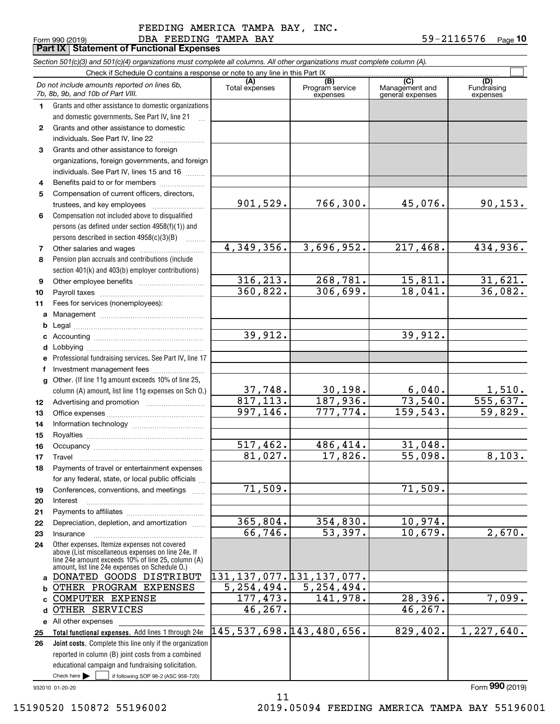#### DBA FEEDING TAMPA BAY 59-2116576 FEEDING AMERICA TAMPA BAY, INC.

Form 990 (2019) Page **Part IX Statement of Functional Expenses 10**

|              | Section 501(c)(3) and 501(c)(4) organizations must complete all columns. All other organizations must complete column (A).                                                                                 |                               |                                    |                                           |                                |
|--------------|------------------------------------------------------------------------------------------------------------------------------------------------------------------------------------------------------------|-------------------------------|------------------------------------|-------------------------------------------|--------------------------------|
|              | Check if Schedule O contains a response or note to any line in this Part IX                                                                                                                                |                               |                                    |                                           |                                |
|              | Do not include amounts reported on lines 6b,<br>7b, 8b, 9b, and 10b of Part VIII.                                                                                                                          | (A)<br>Total expenses         | (B)<br>Program service<br>expenses | (C)<br>Management and<br>general expenses | (D)<br>Fundraising<br>expenses |
| 1.           | Grants and other assistance to domestic organizations                                                                                                                                                      |                               |                                    |                                           |                                |
|              | and domestic governments. See Part IV, line 21                                                                                                                                                             |                               |                                    |                                           |                                |
| $\mathbf{2}$ | Grants and other assistance to domestic                                                                                                                                                                    |                               |                                    |                                           |                                |
|              | individuals. See Part IV, line 22                                                                                                                                                                          |                               |                                    |                                           |                                |
| 3            | Grants and other assistance to foreign                                                                                                                                                                     |                               |                                    |                                           |                                |
|              | organizations, foreign governments, and foreign                                                                                                                                                            |                               |                                    |                                           |                                |
|              | individuals. See Part IV, lines 15 and 16                                                                                                                                                                  |                               |                                    |                                           |                                |
| 4            | Benefits paid to or for members                                                                                                                                                                            |                               |                                    |                                           |                                |
| 5            | Compensation of current officers, directors,                                                                                                                                                               |                               |                                    |                                           |                                |
|              | trustees, and key employees                                                                                                                                                                                | 901,529.                      | 766,300.                           | 45,076.                                   | 90, 153.                       |
| 6            | Compensation not included above to disqualified                                                                                                                                                            |                               |                                    |                                           |                                |
|              | persons (as defined under section 4958(f)(1)) and                                                                                                                                                          |                               |                                    |                                           |                                |
|              | persons described in section 4958(c)(3)(B)                                                                                                                                                                 |                               |                                    |                                           |                                |
| 7            | Other salaries and wages                                                                                                                                                                                   | 4,349,356.                    | 3,696,952.                         | 217,468.                                  | 434,936.                       |
| 8            | Pension plan accruals and contributions (include                                                                                                                                                           |                               |                                    |                                           |                                |
|              | section 401(k) and 403(b) employer contributions)                                                                                                                                                          |                               |                                    |                                           |                                |
| 9            |                                                                                                                                                                                                            | 316, 213.                     | 268,781.                           | 15,811.                                   | $\frac{31,621}{36,082}$        |
| 10           |                                                                                                                                                                                                            | 360,822.                      | 306,699.                           | 18,041.                                   |                                |
| 11           | Fees for services (nonemployees):                                                                                                                                                                          |                               |                                    |                                           |                                |
| a            |                                                                                                                                                                                                            |                               |                                    |                                           |                                |
| b            |                                                                                                                                                                                                            |                               |                                    |                                           |                                |
| c            |                                                                                                                                                                                                            | 39,912.                       |                                    | 39,912.                                   |                                |
| d            |                                                                                                                                                                                                            |                               |                                    |                                           |                                |
| е            | Professional fundraising services. See Part IV, line 17                                                                                                                                                    |                               |                                    |                                           |                                |
| f            | Investment management fees                                                                                                                                                                                 |                               |                                    |                                           |                                |
| g            | Other. (If line 11g amount exceeds 10% of line 25,                                                                                                                                                         |                               |                                    |                                           |                                |
|              | column (A) amount, list line 11g expenses on Sch O.)                                                                                                                                                       | $\frac{37,748}{817,113}$ .    | 30, 198.                           | 6,040.                                    | $\frac{1,510}{555,637}$        |
| 12           |                                                                                                                                                                                                            |                               | 187,936.                           | 73,540.                                   |                                |
| 13           |                                                                                                                                                                                                            | 997, 146.                     | 777,774.                           | 159, 543.                                 | 59,829.                        |
| 14           |                                                                                                                                                                                                            |                               |                                    |                                           |                                |
| 15           |                                                                                                                                                                                                            |                               |                                    |                                           |                                |
| 16           |                                                                                                                                                                                                            | 517,462.                      | 486,414.                           | 31,048.                                   |                                |
| 17           |                                                                                                                                                                                                            | 81,027.                       | 17,826.                            | 55,098.                                   | 8,103.                         |
| 18           | Payments of travel or entertainment expenses                                                                                                                                                               |                               |                                    |                                           |                                |
|              | for any federal, state, or local public officials                                                                                                                                                          |                               |                                    |                                           |                                |
| 19           | Conferences, conventions, and meetings                                                                                                                                                                     | 71,509.                       |                                    | 71,509.                                   |                                |
| 20           | Interest                                                                                                                                                                                                   |                               |                                    |                                           |                                |
| 21           |                                                                                                                                                                                                            |                               |                                    |                                           |                                |
| 22           | Depreciation, depletion, and amortization                                                                                                                                                                  | 365,804.                      | 354,830.                           | 10,974.                                   |                                |
| 23           | Insurance                                                                                                                                                                                                  | 66,746.                       | 53,397.                            | 10,679.                                   | 2,670.                         |
| 24           | Other expenses. Itemize expenses not covered<br>above (List miscellaneous expenses on line 24e. If<br>line 24e amount exceeds 10% of line 25, column (A)<br>amount, list line 24e expenses on Schedule O.) |                               |                                    |                                           |                                |
| a            | DONATED GOODS DISTRIBUT                                                                                                                                                                                    | 131, 137, 077. 131, 137, 077. |                                    |                                           |                                |
| b            | OTHER PROGRAM EXPENSES                                                                                                                                                                                     | 5, 254, 494.                  | $\overline{5,254,494}$ .           |                                           |                                |
|              | <b>COMPUTER EXPENSE</b>                                                                                                                                                                                    | 177,473.                      | 141,978.                           | 28,396.                                   | 7,099.                         |
| d            | OTHER SERVICES                                                                                                                                                                                             | 46, 267.                      |                                    | 46, 267.                                  |                                |
|              | e All other expenses                                                                                                                                                                                       |                               |                                    |                                           |                                |
| 25           | Total functional expenses. Add lines 1 through 24e                                                                                                                                                         | 145, 537, 698. 143, 480, 656. |                                    | 829,402.                                  | 1,227,640.                     |
| 26           | Joint costs. Complete this line only if the organization                                                                                                                                                   |                               |                                    |                                           |                                |
|              | reported in column (B) joint costs from a combined                                                                                                                                                         |                               |                                    |                                           |                                |
|              | educational campaign and fundraising solicitation.                                                                                                                                                         |                               |                                    |                                           |                                |
|              | Check here $\blacktriangleright$<br>if following SOP 98-2 (ASC 958-720)                                                                                                                                    |                               |                                    |                                           |                                |

11

932010 01-20-20

Form (2019) **990**

15190520 150872 55196002 2019.05094 FEEDING AMERICA TAMPA BAY 55196001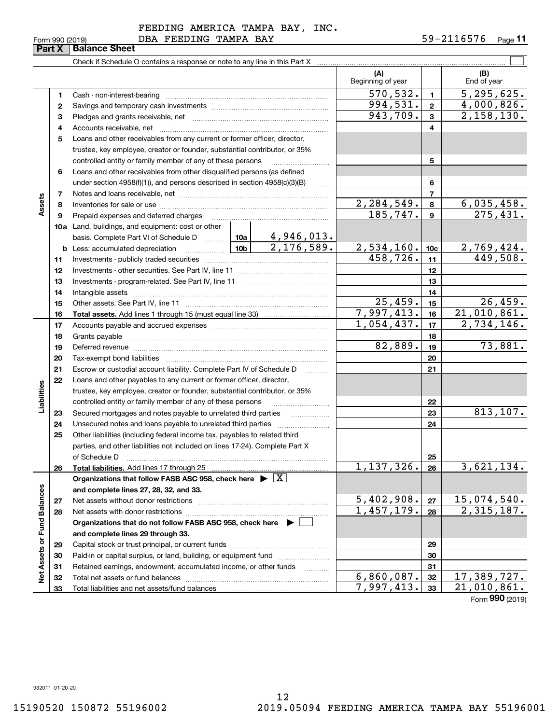|  |  | FEEDING AMERICA TAMPA BAY, INC. |  |
|--|--|---------------------------------|--|
|  |  |                                 |  |

Form 990 (2019) DBA FEEDING TAMPA BAY 59-2116576 <sub>Page</sub> **11**

|                             |              |                                                                                    |                                                                  |                                 | (A)<br>Beginning of year |                 | (B)<br>End of year       |  |  |
|-----------------------------|--------------|------------------------------------------------------------------------------------|------------------------------------------------------------------|---------------------------------|--------------------------|-----------------|--------------------------|--|--|
|                             | 1            | Cash - non-interest-bearing                                                        |                                                                  |                                 | 570, 532.                | $\mathbf{1}$    | 5, 295, 625.             |  |  |
|                             | $\mathbf{2}$ |                                                                                    |                                                                  |                                 | 994,531.                 | $\mathbf{2}$    | 4,000,826.               |  |  |
|                             | 3            |                                                                                    |                                                                  |                                 | 943,709.                 | 3               | 2,158,130.               |  |  |
|                             | 4            | Accounts receivable, net                                                           |                                                                  |                                 |                          | 4               |                          |  |  |
|                             | 5            | Loans and other receivables from any current or former officer, director,          |                                                                  |                                 |                          |                 |                          |  |  |
|                             |              | trustee, key employee, creator or founder, substantial contributor, or 35%         |                                                                  |                                 |                          |                 |                          |  |  |
|                             |              | controlled entity or family member of any of these persons                         |                                                                  |                                 |                          | 5               |                          |  |  |
|                             | 6            | Loans and other receivables from other disqualified persons (as defined            |                                                                  |                                 |                          |                 |                          |  |  |
|                             |              | under section 4958(f)(1)), and persons described in section 4958(c)(3)(B)          |                                                                  |                                 |                          | 6               |                          |  |  |
|                             | 7            |                                                                                    |                                                                  |                                 |                          | $\overline{7}$  |                          |  |  |
| Assets                      | 8            |                                                                                    |                                                                  |                                 | $\overline{2,284,549}$ . | 8               | 6,035,458.               |  |  |
|                             | 9            | Prepaid expenses and deferred charges                                              |                                                                  |                                 | 185, 747.                | 9               | 275,431.                 |  |  |
|                             |              | 10a Land, buildings, and equipment: cost or other                                  |                                                                  |                                 |                          |                 |                          |  |  |
|                             |              | basis. Complete Part VI of Schedule D  10a                                         |                                                                  |                                 |                          |                 |                          |  |  |
|                             |              | <b>b</b> Less: accumulated depreciation                                            | 10 <sub>b</sub>                                                  | $\frac{4,946,013.}{2,176,589.}$ | 2,534,160.               | 10 <sub>c</sub> | 2,769,424.               |  |  |
|                             | 11           |                                                                                    |                                                                  |                                 | 458, 726.                | 11              | 449,508.                 |  |  |
|                             | 12           |                                                                                    |                                                                  |                                 |                          | 12              |                          |  |  |
|                             | 13           | Investments - program-related. See Part IV, line 11                                |                                                                  |                                 |                          | 13              |                          |  |  |
|                             | 14           |                                                                                    |                                                                  |                                 |                          | 14              |                          |  |  |
|                             | 15           |                                                                                    |                                                                  |                                 | $\overline{25,459}$ .    | 15              | 26,459.                  |  |  |
|                             | 16           |                                                                                    |                                                                  |                                 | 7,997,413.               | 16              | 21,010,861.              |  |  |
|                             | 17           |                                                                                    |                                                                  |                                 | 1,054,437.               | 17              | $\overline{2,734,146}$ . |  |  |
|                             | 18           |                                                                                    |                                                                  |                                 |                          | 18              |                          |  |  |
|                             | 19           |                                                                                    | 82,889.                                                          | 19                              | 73,881.                  |                 |                          |  |  |
|                             | 20           |                                                                                    |                                                                  |                                 |                          | 20              |                          |  |  |
|                             | 21           | Escrow or custodial account liability. Complete Part IV of Schedule D              |                                                                  |                                 |                          | 21              |                          |  |  |
|                             | 22           | Loans and other payables to any current or former officer, director,               |                                                                  |                                 |                          |                 |                          |  |  |
| Liabilities                 |              | trustee, key employee, creator or founder, substantial contributor, or 35%         |                                                                  |                                 |                          |                 |                          |  |  |
|                             |              | controlled entity or family member of any of these persons                         |                                                                  |                                 |                          | 22              |                          |  |  |
|                             | 23           | Secured mortgages and notes payable to unrelated third parties                     |                                                                  |                                 |                          | 23              | 813,107.                 |  |  |
|                             | 24           | Unsecured notes and loans payable to unrelated third parties                       |                                                                  |                                 |                          | 24              |                          |  |  |
|                             | 25           | Other liabilities (including federal income tax, payables to related third         |                                                                  |                                 |                          |                 |                          |  |  |
|                             |              | parties, and other liabilities not included on lines 17-24). Complete Part X       |                                                                  |                                 |                          |                 |                          |  |  |
|                             |              | of Schedule D                                                                      |                                                                  |                                 |                          | 25              |                          |  |  |
|                             | 26           | Total liabilities. Add lines 17 through 25                                         |                                                                  |                                 | 1, 137, 326.             | 26              | 3,621,134.               |  |  |
|                             |              | Organizations that follow FASB ASC 958, check here $\blacktriangleright \boxed{X}$ |                                                                  |                                 |                          |                 |                          |  |  |
|                             |              | and complete lines 27, 28, 32, and 33.                                             |                                                                  |                                 |                          |                 |                          |  |  |
|                             | 27           | Net assets without donor restrictions                                              |                                                                  |                                 | 5,402,908.               | 27              | 15,074,540.              |  |  |
|                             | 28           |                                                                                    |                                                                  |                                 | 1,457,179.               | 28              | $\overline{2,315,187.}$  |  |  |
|                             |              | Organizations that do not follow FASB ASC 958, check here $\blacktriangleright$    |                                                                  |                                 |                          |                 |                          |  |  |
| Net Assets or Fund Balances |              | and complete lines 29 through 33.                                                  |                                                                  |                                 |                          |                 |                          |  |  |
|                             | 29           |                                                                                    |                                                                  |                                 |                          | 29              |                          |  |  |
|                             | 30           |                                                                                    | Paid-in or capital surplus, or land, building, or equipment fund |                                 |                          |                 |                          |  |  |
|                             | 31           | Retained earnings, endowment, accumulated income, or other funds                   |                                                                  |                                 |                          | 31              |                          |  |  |
|                             | 32           |                                                                                    |                                                                  |                                 | 6,860,087.               | 32              | 17,389,727.              |  |  |
|                             | 33           |                                                                                    |                                                                  | 7,997,413.                      | 33                       | 21,010,861.     |                          |  |  |

Form (2019) **990**

 $\overline{\phantom{0}}$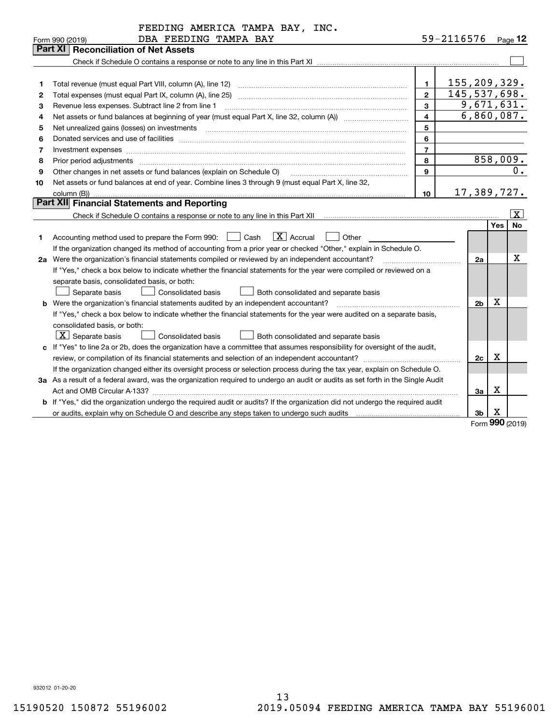|    | FEEDING AMERICA TAMPA BAY, INC.                                                                                                                                                         |                         |                     |                |            |                         |
|----|-----------------------------------------------------------------------------------------------------------------------------------------------------------------------------------------|-------------------------|---------------------|----------------|------------|-------------------------|
|    | DBA FEEDING TAMPA BAY<br>Form 990 (2019)                                                                                                                                                |                         | 59-2116576          |                |            | Page 12                 |
|    | Part XI<br><b>Reconciliation of Net Assets</b>                                                                                                                                          |                         |                     |                |            |                         |
|    |                                                                                                                                                                                         |                         |                     |                |            |                         |
|    |                                                                                                                                                                                         |                         |                     |                |            |                         |
| 1  | Total revenue (must equal Part VIII, column (A), line 12)                                                                                                                               | $\mathbf{1}$            | <u>155,209,329.</u> |                |            |                         |
| 2  | Total expenses (must equal Part IX, column (A), line 25)                                                                                                                                | $\overline{2}$          | 145, 537, 698.      |                |            |                         |
| 3  | Revenue less expenses. Subtract line 2 from line 1                                                                                                                                      | 3                       |                     |                |            | 9,671,631.              |
| 4  | Net assets or fund balances at beginning of year (must equal Part X, line 32, column (A)) <i>massets</i> or fund balances at beginning of year (must equal Part X, line 32, column (A)) | $\overline{\mathbf{4}}$ |                     |                |            | 6,860,087.              |
| 5  | Net unrealized gains (losses) on investments [11] matter continuum matter is a set of the set of the set of the                                                                         | 5                       |                     |                |            |                         |
| 6  |                                                                                                                                                                                         | 6                       |                     |                |            |                         |
| 7  |                                                                                                                                                                                         | $\overline{7}$          |                     |                |            |                         |
| 8  | Prior period adjustments                                                                                                                                                                | 8                       |                     |                |            | 858,009.                |
| 9  | Other changes in net assets or fund balances (explain on Schedule O)                                                                                                                    | 9                       |                     |                |            | 0.                      |
| 10 | Net assets or fund balances at end of year. Combine lines 3 through 9 (must equal Part X, line 32,                                                                                      |                         |                     |                |            |                         |
|    |                                                                                                                                                                                         | 10                      | 17,389,727.         |                |            |                         |
|    | Part XII Financial Statements and Reporting                                                                                                                                             |                         |                     |                |            |                         |
|    | Check if Schedule O contains a response or note to any line in this Part XII [11] [12] Check if Schedule O contains a response or note to any line in this Part XII                     |                         |                     |                |            | $\overline{\mathbf{X}}$ |
|    |                                                                                                                                                                                         |                         |                     |                | <b>Yes</b> | <b>No</b>               |
| 1  | $\boxed{\mathbf{X}}$ Accrual<br>Accounting method used to prepare the Form 990:<br>Cash<br>Other                                                                                        |                         |                     |                |            |                         |
|    | If the organization changed its method of accounting from a prior year or checked "Other," explain in Schedule O.                                                                       |                         |                     |                |            |                         |
|    | 2a Were the organization's financial statements compiled or reviewed by an independent accountant?                                                                                      |                         |                     | 2a             |            | x                       |
|    | If "Yes," check a box below to indicate whether the financial statements for the year were compiled or reviewed on a                                                                    |                         |                     |                |            |                         |
|    | separate basis, consolidated basis, or both:                                                                                                                                            |                         |                     |                |            |                         |
|    | Separate basis<br>Consolidated basis<br>Both consolidated and separate basis                                                                                                            |                         |                     |                |            |                         |
|    | b Were the organization's financial statements audited by an independent accountant?                                                                                                    |                         |                     | 2 <sub>b</sub> | х          |                         |
|    | If "Yes," check a box below to indicate whether the financial statements for the year were audited on a separate basis,                                                                 |                         |                     |                |            |                         |
|    | consolidated basis, or both:                                                                                                                                                            |                         |                     |                |            |                         |
|    | $X$ Separate basis<br><b>Consolidated basis</b><br>Both consolidated and separate basis                                                                                                 |                         |                     |                |            |                         |
|    | c If "Yes" to line 2a or 2b, does the organization have a committee that assumes responsibility for oversight of the audit,                                                             |                         |                     |                |            |                         |
|    |                                                                                                                                                                                         |                         |                     | 2c             | X          |                         |
|    | If the organization changed either its oversight process or selection process during the tax year, explain on Schedule O.                                                               |                         |                     |                |            |                         |
|    | 3a As a result of a federal award, was the organization required to undergo an audit or audits as set forth in the Single Audit                                                         |                         |                     |                |            |                         |
|    | Act and OMB Circular A-133?                                                                                                                                                             |                         |                     | За             | Х          |                         |
|    | b If "Yes," did the organization undergo the required audit or audits? If the organization did not undergo the required audit                                                           |                         |                     |                |            |                         |
|    |                                                                                                                                                                                         |                         |                     | 3b             | х          |                         |
|    |                                                                                                                                                                                         |                         |                     |                |            | 990 $(201)$             |

Form (2019) **990**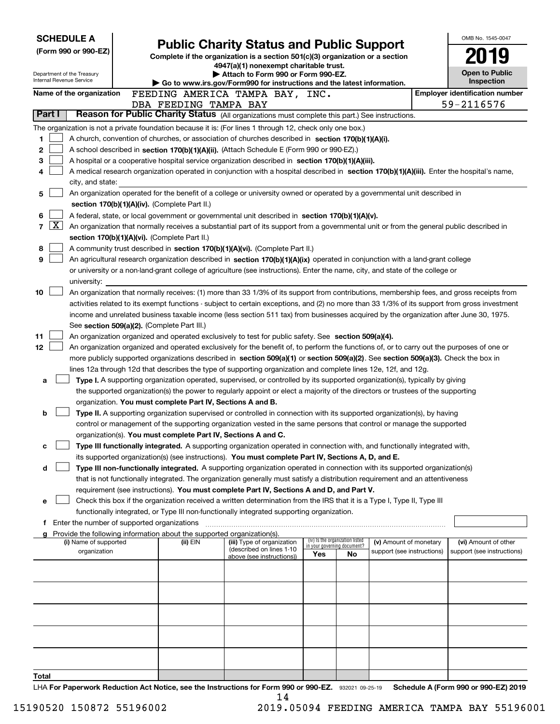| <b>SCHEDULE A</b>                                                                                                                                                     |                                                                                                                                                                                                                                                 |                                                                                                                         |                                          |                            |  | OMB No. 1545-0047                     |  |
|-----------------------------------------------------------------------------------------------------------------------------------------------------------------------|-------------------------------------------------------------------------------------------------------------------------------------------------------------------------------------------------------------------------------------------------|-------------------------------------------------------------------------------------------------------------------------|------------------------------------------|----------------------------|--|---------------------------------------|--|
| (Form 990 or 990-EZ)                                                                                                                                                  |                                                                                                                                                                                                                                                 | <b>Public Charity Status and Public Support</b>                                                                         |                                          |                            |  |                                       |  |
|                                                                                                                                                                       |                                                                                                                                                                                                                                                 | Complete if the organization is a section 501(c)(3) organization or a section<br>4947(a)(1) nonexempt charitable trust. |                                          |                            |  |                                       |  |
| Department of the Treasury<br>Internal Revenue Service                                                                                                                |                                                                                                                                                                                                                                                 | Attach to Form 990 or Form 990-EZ.                                                                                      |                                          |                            |  | <b>Open to Public</b>                 |  |
|                                                                                                                                                                       |                                                                                                                                                                                                                                                 | Go to www.irs.gov/Form990 for instructions and the latest information.                                                  |                                          |                            |  | Inspection                            |  |
| Name of the organization                                                                                                                                              | FEEDING AMERICA TAMPA BAY, INC.                                                                                                                                                                                                                 |                                                                                                                         |                                          |                            |  | <b>Employer identification number</b> |  |
| Part I                                                                                                                                                                | DBA FEEDING TAMPA BAY<br>Reason for Public Charity Status (All organizations must complete this part.) See instructions.                                                                                                                        |                                                                                                                         |                                          |                            |  | 59-2116576                            |  |
|                                                                                                                                                                       | The organization is not a private foundation because it is: (For lines 1 through 12, check only one box.)                                                                                                                                       |                                                                                                                         |                                          |                            |  |                                       |  |
| 1                                                                                                                                                                     | A church, convention of churches, or association of churches described in section 170(b)(1)(A)(i).                                                                                                                                              |                                                                                                                         |                                          |                            |  |                                       |  |
| 2                                                                                                                                                                     | A school described in section 170(b)(1)(A)(ii). (Attach Schedule E (Form 990 or 990-EZ).)                                                                                                                                                       |                                                                                                                         |                                          |                            |  |                                       |  |
| з<br>A hospital or a cooperative hospital service organization described in section $170(b)(1)(A)(iii)$ .                                                             |                                                                                                                                                                                                                                                 |                                                                                                                         |                                          |                            |  |                                       |  |
| A medical research organization operated in conjunction with a hospital described in section 170(b)(1)(A)(iii). Enter the hospital's name,<br>4                       |                                                                                                                                                                                                                                                 |                                                                                                                         |                                          |                            |  |                                       |  |
| city, and state:                                                                                                                                                      |                                                                                                                                                                                                                                                 |                                                                                                                         |                                          |                            |  |                                       |  |
| An organization operated for the benefit of a college or university owned or operated by a governmental unit described in<br>5                                        |                                                                                                                                                                                                                                                 |                                                                                                                         |                                          |                            |  |                                       |  |
|                                                                                                                                                                       | section 170(b)(1)(A)(iv). (Complete Part II.)                                                                                                                                                                                                   |                                                                                                                         |                                          |                            |  |                                       |  |
| 6<br>A federal, state, or local government or governmental unit described in section 170(b)(1)(A)(v).                                                                 |                                                                                                                                                                                                                                                 |                                                                                                                         |                                          |                            |  |                                       |  |
| $\lfloor x \rfloor$<br>7<br>An organization that normally receives a substantial part of its support from a governmental unit or from the general public described in |                                                                                                                                                                                                                                                 |                                                                                                                         |                                          |                            |  |                                       |  |
|                                                                                                                                                                       | section 170(b)(1)(A)(vi). (Complete Part II.)                                                                                                                                                                                                   |                                                                                                                         |                                          |                            |  |                                       |  |
| 8                                                                                                                                                                     | A community trust described in section 170(b)(1)(A)(vi). (Complete Part II.)                                                                                                                                                                    |                                                                                                                         |                                          |                            |  |                                       |  |
| 9                                                                                                                                                                     | An agricultural research organization described in section 170(b)(1)(A)(ix) operated in conjunction with a land-grant college                                                                                                                   |                                                                                                                         |                                          |                            |  |                                       |  |
| university:                                                                                                                                                           | or university or a non-land-grant college of agriculture (see instructions). Enter the name, city, and state of the college or                                                                                                                  |                                                                                                                         |                                          |                            |  |                                       |  |
| 10                                                                                                                                                                    | An organization that normally receives: (1) more than 33 1/3% of its support from contributions, membership fees, and gross receipts from                                                                                                       |                                                                                                                         |                                          |                            |  |                                       |  |
|                                                                                                                                                                       | activities related to its exempt functions - subject to certain exceptions, and (2) no more than 33 1/3% of its support from gross investment                                                                                                   |                                                                                                                         |                                          |                            |  |                                       |  |
|                                                                                                                                                                       | income and unrelated business taxable income (less section 511 tax) from businesses acquired by the organization after June 30, 1975.                                                                                                           |                                                                                                                         |                                          |                            |  |                                       |  |
|                                                                                                                                                                       | See section 509(a)(2). (Complete Part III.)                                                                                                                                                                                                     |                                                                                                                         |                                          |                            |  |                                       |  |
| 11                                                                                                                                                                    | An organization organized and operated exclusively to test for public safety. See section 509(a)(4).                                                                                                                                            |                                                                                                                         |                                          |                            |  |                                       |  |
| 12 <sub>2</sub>                                                                                                                                                       | An organization organized and operated exclusively for the benefit of, to perform the functions of, or to carry out the purposes of one or                                                                                                      |                                                                                                                         |                                          |                            |  |                                       |  |
|                                                                                                                                                                       | more publicly supported organizations described in section 509(a)(1) or section 509(a)(2). See section 509(a)(3). Check the box in                                                                                                              |                                                                                                                         |                                          |                            |  |                                       |  |
|                                                                                                                                                                       | lines 12a through 12d that describes the type of supporting organization and complete lines 12e, 12f, and 12g.                                                                                                                                  |                                                                                                                         |                                          |                            |  |                                       |  |
| a                                                                                                                                                                     | Type I. A supporting organization operated, supervised, or controlled by its supported organization(s), typically by giving                                                                                                                     |                                                                                                                         |                                          |                            |  |                                       |  |
|                                                                                                                                                                       | the supported organization(s) the power to regularly appoint or elect a majority of the directors or trustees of the supporting                                                                                                                 |                                                                                                                         |                                          |                            |  |                                       |  |
|                                                                                                                                                                       | organization. You must complete Part IV, Sections A and B.                                                                                                                                                                                      |                                                                                                                         |                                          |                            |  |                                       |  |
| b                                                                                                                                                                     | Type II. A supporting organization supervised or controlled in connection with its supported organization(s), by having<br>control or management of the supporting organization vested in the same persons that control or manage the supported |                                                                                                                         |                                          |                            |  |                                       |  |
|                                                                                                                                                                       | organization(s). You must complete Part IV, Sections A and C.                                                                                                                                                                                   |                                                                                                                         |                                          |                            |  |                                       |  |
| с                                                                                                                                                                     | Type III functionally integrated. A supporting organization operated in connection with, and functionally integrated with,                                                                                                                      |                                                                                                                         |                                          |                            |  |                                       |  |
|                                                                                                                                                                       | its supported organization(s) (see instructions). You must complete Part IV, Sections A, D, and E.                                                                                                                                              |                                                                                                                         |                                          |                            |  |                                       |  |
| d                                                                                                                                                                     | Type III non-functionally integrated. A supporting organization operated in connection with its supported organization(s)                                                                                                                       |                                                                                                                         |                                          |                            |  |                                       |  |
|                                                                                                                                                                       | that is not functionally integrated. The organization generally must satisfy a distribution requirement and an attentiveness                                                                                                                    |                                                                                                                         |                                          |                            |  |                                       |  |
|                                                                                                                                                                       | requirement (see instructions). You must complete Part IV, Sections A and D, and Part V.                                                                                                                                                        |                                                                                                                         |                                          |                            |  |                                       |  |
| е                                                                                                                                                                     | Check this box if the organization received a written determination from the IRS that it is a Type I, Type II, Type III                                                                                                                         |                                                                                                                         |                                          |                            |  |                                       |  |
|                                                                                                                                                                       | functionally integrated, or Type III non-functionally integrated supporting organization.                                                                                                                                                       |                                                                                                                         |                                          |                            |  |                                       |  |
|                                                                                                                                                                       | f Enter the number of supported organizations                                                                                                                                                                                                   |                                                                                                                         |                                          |                            |  |                                       |  |
| (i) Name of supported                                                                                                                                                 | Provide the following information about the supported organization(s).<br>(ii) EIN                                                                                                                                                              | (iii) Type of organization                                                                                              | (iv) Is the organization listed          | (v) Amount of monetary     |  | (vi) Amount of other                  |  |
| organization                                                                                                                                                          |                                                                                                                                                                                                                                                 | (described on lines 1-10                                                                                                | in your governing document?<br>Yes<br>No | support (see instructions) |  | support (see instructions)            |  |
|                                                                                                                                                                       |                                                                                                                                                                                                                                                 | above (see instructions))                                                                                               |                                          |                            |  |                                       |  |
|                                                                                                                                                                       |                                                                                                                                                                                                                                                 |                                                                                                                         |                                          |                            |  |                                       |  |
|                                                                                                                                                                       |                                                                                                                                                                                                                                                 |                                                                                                                         |                                          |                            |  |                                       |  |
|                                                                                                                                                                       |                                                                                                                                                                                                                                                 |                                                                                                                         |                                          |                            |  |                                       |  |
|                                                                                                                                                                       |                                                                                                                                                                                                                                                 |                                                                                                                         |                                          |                            |  |                                       |  |
|                                                                                                                                                                       |                                                                                                                                                                                                                                                 |                                                                                                                         |                                          |                            |  |                                       |  |
|                                                                                                                                                                       |                                                                                                                                                                                                                                                 |                                                                                                                         |                                          |                            |  |                                       |  |
|                                                                                                                                                                       |                                                                                                                                                                                                                                                 |                                                                                                                         |                                          |                            |  |                                       |  |
|                                                                                                                                                                       |                                                                                                                                                                                                                                                 |                                                                                                                         |                                          |                            |  |                                       |  |
|                                                                                                                                                                       |                                                                                                                                                                                                                                                 |                                                                                                                         |                                          |                            |  |                                       |  |
| Total                                                                                                                                                                 | $1 \mu\Lambda$ For Department Reduction Act Notice, see the Instructions for Form 000 or 000-F7 $\,$ 022021 00.25.10 $\,$ Schedule A (Form 000 or 000-F7) 2010                                                                                  |                                                                                                                         |                                          |                            |  |                                       |  |

or 990-EZ. 932021 09-25-19 Schedule A (Form 990 or 990-EZ) 2019 LHA For Paperwork Reduction Act Notice, see the Instructions for Form 990 or 990-EZ. 932021 09-25-19 Schedule A (Form 990 or 990-EZ) 2019 14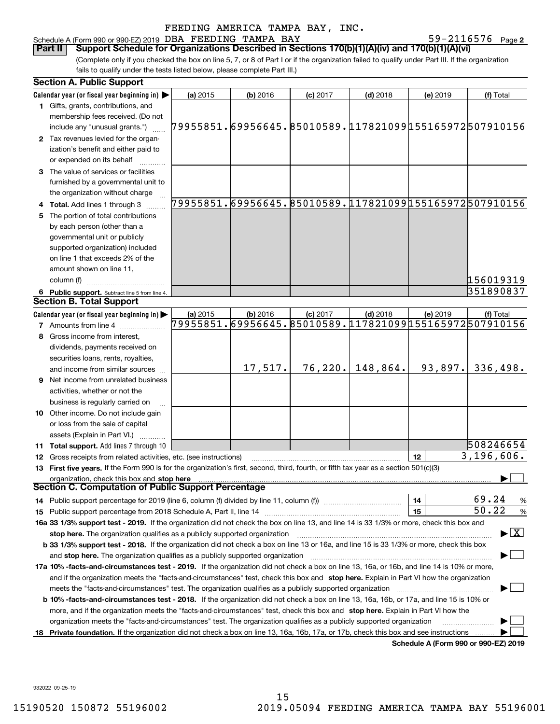#### Schedule A (Form 990 or 990-EZ) 2019 DBA FEEDING TAMPA BAY  $59-2116576$  Page

59-2116576 Page 2

(Complete only if you checked the box on line 5, 7, or 8 of Part I or if the organization failed to qualify under Part III. If the organization fails to qualify under the tests listed below, please complete Part III.) **Part II Support Schedule for Organizations Described in Sections 170(b)(1)(A)(iv) and 170(b)(1)(A)(vi)**

|    | <b>Section A. Public Support</b>                                                                                                                                                                                               |          |            |            |                                                        |                                      |                                          |
|----|--------------------------------------------------------------------------------------------------------------------------------------------------------------------------------------------------------------------------------|----------|------------|------------|--------------------------------------------------------|--------------------------------------|------------------------------------------|
|    | Calendar year (or fiscal year beginning in) $\blacktriangleright$                                                                                                                                                              | (a) 2015 | $(b)$ 2016 | $(c)$ 2017 | $(d)$ 2018                                             | (e) 2019                             | (f) Total                                |
|    | <b>1</b> Gifts, grants, contributions, and                                                                                                                                                                                     |          |            |            |                                                        |                                      |                                          |
|    | membership fees received. (Do not                                                                                                                                                                                              |          |            |            |                                                        |                                      |                                          |
|    | include any "unusual grants.")                                                                                                                                                                                                 |          |            |            | 79955851.69956645.85010589.117821099155165972507910156 |                                      |                                          |
|    | 2 Tax revenues levied for the organ-                                                                                                                                                                                           |          |            |            |                                                        |                                      |                                          |
|    | ization's benefit and either paid to                                                                                                                                                                                           |          |            |            |                                                        |                                      |                                          |
|    | or expended on its behalf                                                                                                                                                                                                      |          |            |            |                                                        |                                      |                                          |
|    | 3 The value of services or facilities                                                                                                                                                                                          |          |            |            |                                                        |                                      |                                          |
|    | furnished by a governmental unit to                                                                                                                                                                                            |          |            |            |                                                        |                                      |                                          |
|    | the organization without charge                                                                                                                                                                                                |          |            |            |                                                        |                                      |                                          |
|    | 4 Total. Add lines 1 through 3                                                                                                                                                                                                 |          |            |            | 79955851.69956645.85010589.117821099155165972507910156 |                                      |                                          |
|    | 5 The portion of total contributions                                                                                                                                                                                           |          |            |            |                                                        |                                      |                                          |
|    | by each person (other than a                                                                                                                                                                                                   |          |            |            |                                                        |                                      |                                          |
|    | governmental unit or publicly                                                                                                                                                                                                  |          |            |            |                                                        |                                      |                                          |
|    |                                                                                                                                                                                                                                |          |            |            |                                                        |                                      |                                          |
|    | supported organization) included<br>on line 1 that exceeds 2% of the                                                                                                                                                           |          |            |            |                                                        |                                      |                                          |
|    |                                                                                                                                                                                                                                |          |            |            |                                                        |                                      |                                          |
|    | amount shown on line 11,                                                                                                                                                                                                       |          |            |            |                                                        |                                      |                                          |
|    | column (f)                                                                                                                                                                                                                     |          |            |            |                                                        |                                      | 156019319                                |
|    | 6 Public support. Subtract line 5 from line 4.                                                                                                                                                                                 |          |            |            |                                                        |                                      | 351890837                                |
|    | <b>Section B. Total Support</b>                                                                                                                                                                                                |          |            |            |                                                        |                                      |                                          |
|    | Calendar year (or fiscal year beginning in) $\blacktriangleright$                                                                                                                                                              | (a) 2015 | $(b)$ 2016 | $(c)$ 2017 | $(d)$ 2018                                             | (e) 2019                             | (f) Total                                |
|    | <b>7</b> Amounts from line 4                                                                                                                                                                                                   |          |            |            | 79955851.69956645.85010589.117821099155165972507910156 |                                      |                                          |
|    | 8 Gross income from interest,                                                                                                                                                                                                  |          |            |            |                                                        |                                      |                                          |
|    | dividends, payments received on                                                                                                                                                                                                |          |            |            |                                                        |                                      |                                          |
|    | securities loans, rents, royalties,                                                                                                                                                                                            |          |            |            |                                                        |                                      |                                          |
|    | and income from similar sources                                                                                                                                                                                                |          | 17,517.    | 76, 220.   | 148,864.                                               | 93,897.                              | 336,498.                                 |
|    | <b>9</b> Net income from unrelated business                                                                                                                                                                                    |          |            |            |                                                        |                                      |                                          |
|    | activities, whether or not the                                                                                                                                                                                                 |          |            |            |                                                        |                                      |                                          |
|    | business is regularly carried on                                                                                                                                                                                               |          |            |            |                                                        |                                      |                                          |
|    | <b>10</b> Other income. Do not include gain                                                                                                                                                                                    |          |            |            |                                                        |                                      |                                          |
|    | or loss from the sale of capital                                                                                                                                                                                               |          |            |            |                                                        |                                      |                                          |
|    | assets (Explain in Part VI.) <b>Constant</b>                                                                                                                                                                                   |          |            |            |                                                        |                                      |                                          |
|    | <b>11 Total support.</b> Add lines 7 through 10                                                                                                                                                                                |          |            |            |                                                        |                                      | 508246654                                |
|    | 12 Gross receipts from related activities, etc. (see instructions)                                                                                                                                                             |          |            |            |                                                        | 12                                   | $\overline{3,196,606}$ .                 |
|    | 13 First five years. If the Form 990 is for the organization's first, second, third, fourth, or fifth tax year as a section 501(c)(3)                                                                                          |          |            |            |                                                        |                                      |                                          |
|    | organization, check this box and stop here                                                                                                                                                                                     |          |            |            |                                                        |                                      |                                          |
|    | Section C. Computation of Public Support Percentage                                                                                                                                                                            |          |            |            |                                                        |                                      |                                          |
|    |                                                                                                                                                                                                                                |          |            |            |                                                        | 14                                   | 69.24<br>%                               |
|    | 15 Public support percentage from 2018 Schedule A, Part II, line 14 [11] [11] manument continuum manument of Public support percentage from 2018 Schedule A, Part II, line 14 [11] manument continuum manument of Public suppo |          |            |            |                                                        | 15                                   | 50.22<br>$\%$                            |
|    |                                                                                                                                                                                                                                |          |            |            |                                                        |                                      |                                          |
|    | 16a 33 1/3% support test - 2019. If the organization did not check the box on line 13, and line 14 is 33 1/3% or more, check this box and                                                                                      |          |            |            |                                                        |                                      | $\blacktriangleright$ $\boxed{\text{X}}$ |
|    | stop here. The organization qualifies as a publicly supported organization                                                                                                                                                     |          |            |            |                                                        |                                      |                                          |
|    | b 33 1/3% support test - 2018. If the organization did not check a box on line 13 or 16a, and line 15 is 33 1/3% or more, check this box                                                                                       |          |            |            |                                                        |                                      |                                          |
|    | and stop here. The organization qualifies as a publicly supported organization                                                                                                                                                 |          |            |            |                                                        |                                      |                                          |
|    | 17a 10% -facts-and-circumstances test - 2019. If the organization did not check a box on line 13, 16a, or 16b, and line 14 is 10% or more,                                                                                     |          |            |            |                                                        |                                      |                                          |
|    | and if the organization meets the "facts-and-circumstances" test, check this box and stop here. Explain in Part VI how the organization                                                                                        |          |            |            |                                                        |                                      |                                          |
|    | meets the "facts-and-circumstances" test. The organization qualifies as a publicly supported organization                                                                                                                      |          |            |            |                                                        |                                      |                                          |
|    | <b>b 10% -facts-and-circumstances test - 2018.</b> If the organization did not check a box on line 13, 16a, 16b, or 17a, and line 15 is 10% or                                                                                 |          |            |            |                                                        |                                      |                                          |
|    | more, and if the organization meets the "facts-and-circumstances" test, check this box and stop here. Explain in Part VI how the                                                                                               |          |            |            |                                                        |                                      |                                          |
|    | organization meets the "facts-and-circumstances" test. The organization qualifies as a publicly supported organization                                                                                                         |          |            |            |                                                        |                                      |                                          |
| 18 | Private foundation. If the organization did not check a box on line 13, 16a, 16b, 17a, or 17b, check this box and see instructions                                                                                             |          |            |            |                                                        |                                      |                                          |
|    |                                                                                                                                                                                                                                |          |            |            |                                                        | Schedule A (Form 990 or 990-F7) 2019 |                                          |

**Schedule A (Form 990 or 990-EZ) 2019**

932022 09-25-19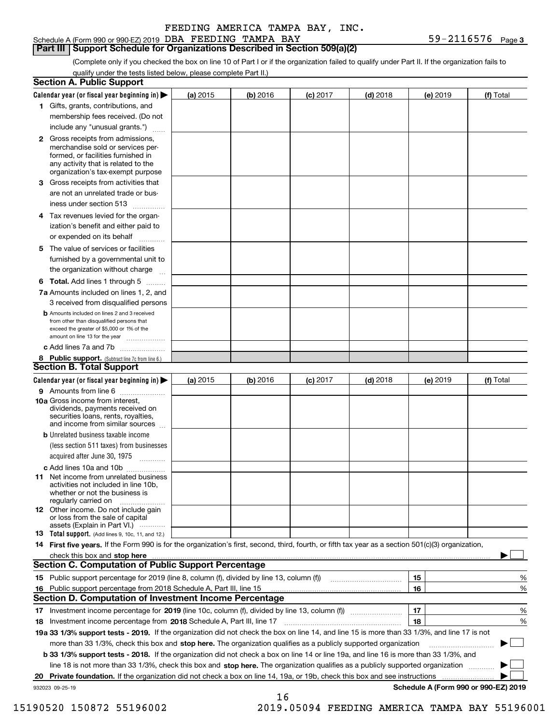#### Schedule A (Form 990 or 990-EZ) 2019 DBA FEEDING TAMPA BAY  $59-2116576$  Page

**Part III Support Schedule for Organizations Described in Section 509(a)(2)** 

(Complete only if you checked the box on line 10 of Part I or if the organization failed to qualify under Part II. If the organization fails to qualify under the tests listed below, please complete Part II.)

| <b>Section A. Public Support</b>                                                                                                                                                         |            |          |            |            |          |                                      |
|------------------------------------------------------------------------------------------------------------------------------------------------------------------------------------------|------------|----------|------------|------------|----------|--------------------------------------|
| Calendar year (or fiscal year beginning in) $\blacktriangleright$                                                                                                                        | (a) 2015   | (b) 2016 | $(c)$ 2017 | $(d)$ 2018 | (e) 2019 | (f) Total                            |
| 1 Gifts, grants, contributions, and                                                                                                                                                      |            |          |            |            |          |                                      |
| membership fees received. (Do not                                                                                                                                                        |            |          |            |            |          |                                      |
| include any "unusual grants.")                                                                                                                                                           |            |          |            |            |          |                                      |
| 2 Gross receipts from admissions,<br>merchandise sold or services per-<br>formed, or facilities furnished in<br>any activity that is related to the<br>organization's tax-exempt purpose |            |          |            |            |          |                                      |
| 3 Gross receipts from activities that<br>are not an unrelated trade or bus-                                                                                                              |            |          |            |            |          |                                      |
| iness under section 513                                                                                                                                                                  |            |          |            |            |          |                                      |
| 4 Tax revenues levied for the organ-<br>ization's benefit and either paid to<br>or expended on its behalf<br>.                                                                           |            |          |            |            |          |                                      |
| 5 The value of services or facilities<br>furnished by a governmental unit to<br>the organization without charge                                                                          |            |          |            |            |          |                                      |
| <b>6 Total.</b> Add lines 1 through 5                                                                                                                                                    |            |          |            |            |          |                                      |
| 7a Amounts included on lines 1, 2, and<br>3 received from disqualified persons                                                                                                           |            |          |            |            |          |                                      |
| <b>b</b> Amounts included on lines 2 and 3 received<br>from other than disqualified persons that<br>exceed the greater of \$5,000 or 1% of the<br>amount on line 13 for the year         |            |          |            |            |          |                                      |
| c Add lines 7a and 7b                                                                                                                                                                    |            |          |            |            |          |                                      |
| 8 Public support. (Subtract line 7c from line 6.)<br><b>Section B. Total Support</b>                                                                                                     |            |          |            |            |          |                                      |
| Calendar year (or fiscal year beginning in) $\blacktriangleright$                                                                                                                        | (a) $2015$ | (b) 2016 | $(c)$ 2017 | $(d)$ 2018 | (e) 2019 | (f) Total                            |
| 9 Amounts from line 6                                                                                                                                                                    |            |          |            |            |          |                                      |
| 10a Gross income from interest,<br>dividends, payments received on<br>securities loans, rents, royalties,<br>and income from similar sources                                             |            |          |            |            |          |                                      |
| <b>b</b> Unrelated business taxable income<br>(less section 511 taxes) from businesses<br>acquired after June 30, 1975<br>1.1.1.1.1.1.1.1.1.1                                            |            |          |            |            |          |                                      |
| c Add lines 10a and 10b                                                                                                                                                                  |            |          |            |            |          |                                      |
| <b>11</b> Net income from unrelated business<br>activities not included in line 10b,<br>whether or not the business is<br>regularly carried on                                           |            |          |            |            |          |                                      |
| <b>12</b> Other income. Do not include gain<br>or loss from the sale of capital<br>assets (Explain in Part VI.)                                                                          |            |          |            |            |          |                                      |
| <b>13</b> Total support. (Add lines 9, 10c, 11, and 12.)                                                                                                                                 |            |          |            |            |          |                                      |
| 14 First five years. If the Form 990 is for the organization's first, second, third, fourth, or fifth tax year as a section 501(c)(3) organization,                                      |            |          |            |            |          |                                      |
| <b>Section C. Computation of Public Support Percentage</b>                                                                                                                               |            |          |            |            |          |                                      |
|                                                                                                                                                                                          |            |          |            |            |          |                                      |
| 15 Public support percentage for 2019 (line 8, column (f), divided by line 13, column (f))                                                                                               |            |          |            |            | 15       | %                                    |
| 16 Public support percentage from 2018 Schedule A, Part III, line 15<br><b>Section D. Computation of Investment Income Percentage</b>                                                    |            |          |            |            | 16       | %                                    |
|                                                                                                                                                                                          |            |          |            |            |          |                                      |
| 17 Investment income percentage for 2019 (line 10c, column (f), divided by line 13, column (f))                                                                                          |            |          |            |            | 17<br>18 | %                                    |
| 18 Investment income percentage from 2018 Schedule A, Part III, line 17                                                                                                                  |            |          |            |            |          | %                                    |
| 19a 33 1/3% support tests - 2019. If the organization did not check the box on line 14, and line 15 is more than 33 1/3%, and line 17 is not                                             |            |          |            |            |          |                                      |
| more than 33 1/3%, check this box and stop here. The organization qualifies as a publicly supported organization                                                                         |            |          |            |            |          |                                      |
| b 33 1/3% support tests - 2018. If the organization did not check a box on line 14 or line 19a, and line 16 is more than 33 1/3%, and                                                    |            |          |            |            |          |                                      |
| line 18 is not more than 33 1/3%, check this box and stop here. The organization qualifies as a publicly supported organization                                                          |            |          |            |            |          |                                      |
| 20 Private foundation. If the organization did not check a box on line 14, 19a, or 19b, check this box and see instructions                                                              |            |          |            |            |          | Schedule A (Form 990 or 990-EZ) 2019 |
| 932023 09-25-19                                                                                                                                                                          |            | 16       |            |            |          |                                      |

15190520 150872 55196002 2019.05094 FEEDING AMERICA TAMPA BAY 55196001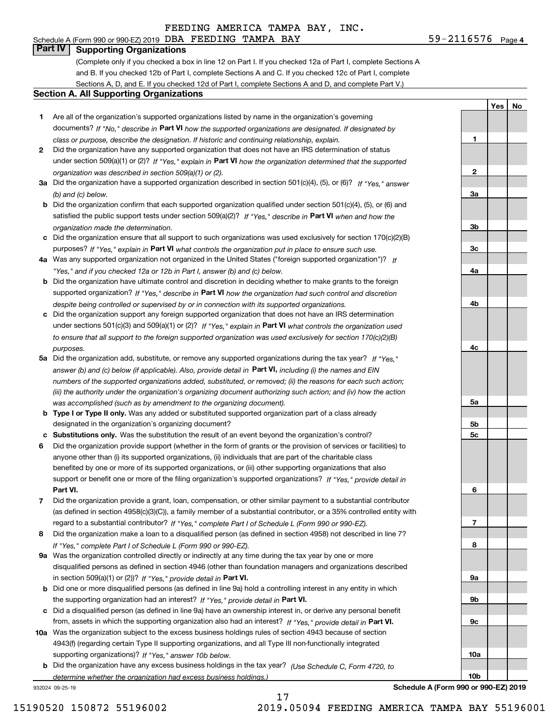# **Part IV Supporting Organizations**

(Complete only if you checked a box in line 12 on Part I. If you checked 12a of Part I, complete Sections A and B. If you checked 12b of Part I, complete Sections A and C. If you checked 12c of Part I, complete Sections A, D, and E. If you checked 12d of Part I, complete Sections A and D, and complete Part V.)

#### **Section A. All Supporting Organizations**

- **1** Are all of the organization's supported organizations listed by name in the organization's governing documents? If "No," describe in **Part VI** how the supported organizations are designated. If designated by *class or purpose, describe the designation. If historic and continuing relationship, explain.*
- **2** Did the organization have any supported organization that does not have an IRS determination of status under section 509(a)(1) or (2)? If "Yes," explain in Part VI how the organization determined that the supported *organization was described in section 509(a)(1) or (2).*
- **3a** Did the organization have a supported organization described in section 501(c)(4), (5), or (6)? If "Yes," answer *(b) and (c) below.*
- **b** Did the organization confirm that each supported organization qualified under section 501(c)(4), (5), or (6) and satisfied the public support tests under section 509(a)(2)? If "Yes," describe in **Part VI** when and how the *organization made the determination.*
- **c**Did the organization ensure that all support to such organizations was used exclusively for section 170(c)(2)(B) purposes? If "Yes," explain in **Part VI** what controls the organization put in place to ensure such use.
- **4a***If* Was any supported organization not organized in the United States ("foreign supported organization")? *"Yes," and if you checked 12a or 12b in Part I, answer (b) and (c) below.*
- **b** Did the organization have ultimate control and discretion in deciding whether to make grants to the foreign supported organization? If "Yes," describe in **Part VI** how the organization had such control and discretion *despite being controlled or supervised by or in connection with its supported organizations.*
- **c** Did the organization support any foreign supported organization that does not have an IRS determination under sections 501(c)(3) and 509(a)(1) or (2)? If "Yes," explain in **Part VI** what controls the organization used *to ensure that all support to the foreign supported organization was used exclusively for section 170(c)(2)(B) purposes.*
- **5a** Did the organization add, substitute, or remove any supported organizations during the tax year? If "Yes," answer (b) and (c) below (if applicable). Also, provide detail in **Part VI,** including (i) the names and EIN *numbers of the supported organizations added, substituted, or removed; (ii) the reasons for each such action; (iii) the authority under the organization's organizing document authorizing such action; and (iv) how the action was accomplished (such as by amendment to the organizing document).*
- **b** Type I or Type II only. Was any added or substituted supported organization part of a class already designated in the organization's organizing document?
- **cSubstitutions only.**  Was the substitution the result of an event beyond the organization's control?
- **6** Did the organization provide support (whether in the form of grants or the provision of services or facilities) to **Part VI.** *If "Yes," provide detail in* support or benefit one or more of the filing organization's supported organizations? anyone other than (i) its supported organizations, (ii) individuals that are part of the charitable class benefited by one or more of its supported organizations, or (iii) other supporting organizations that also
- **7**Did the organization provide a grant, loan, compensation, or other similar payment to a substantial contributor *If "Yes," complete Part I of Schedule L (Form 990 or 990-EZ).* regard to a substantial contributor? (as defined in section 4958(c)(3)(C)), a family member of a substantial contributor, or a 35% controlled entity with
- **8** Did the organization make a loan to a disqualified person (as defined in section 4958) not described in line 7? *If "Yes," complete Part I of Schedule L (Form 990 or 990-EZ).*
- **9a** Was the organization controlled directly or indirectly at any time during the tax year by one or more in section 509(a)(1) or (2))? If "Yes," *provide detail in* <code>Part VI.</code> disqualified persons as defined in section 4946 (other than foundation managers and organizations described
- **b** Did one or more disqualified persons (as defined in line 9a) hold a controlling interest in any entity in which the supporting organization had an interest? If "Yes," provide detail in P**art VI**.
- **c**Did a disqualified person (as defined in line 9a) have an ownership interest in, or derive any personal benefit from, assets in which the supporting organization also had an interest? If "Yes," provide detail in P**art VI.**
- **10a** Was the organization subject to the excess business holdings rules of section 4943 because of section supporting organizations)? If "Yes," answer 10b below. 4943(f) (regarding certain Type II supporting organizations, and all Type III non-functionally integrated
- **b** Did the organization have any excess business holdings in the tax year? (Use Schedule C, Form 4720, to *determine whether the organization had excess business holdings.)*

17

932024 09-25-19

**Schedule A (Form 990 or 990-EZ) 2019**

**1**

**2**

**3a**

**3b**

**3c**

**4a**

**4b**

**4c**

**5a**

**5b5c**

**6**

**7**

**8**

**9a**

**9b**

**9c**

**10a**

**10b**

**YesNo**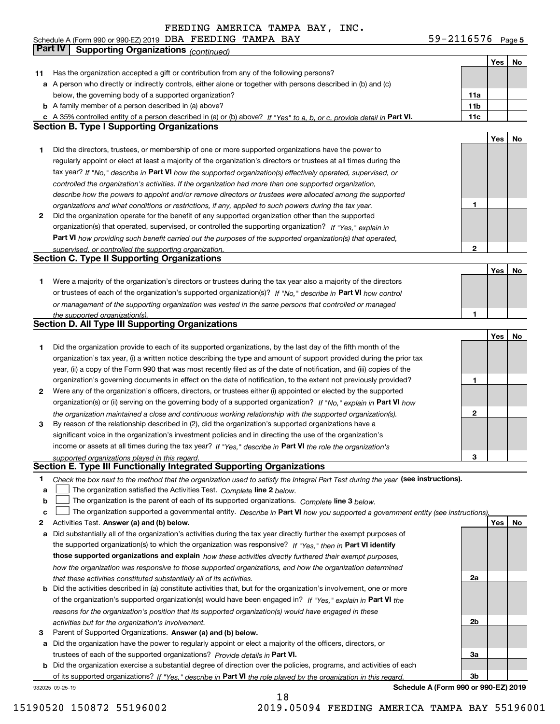**5** Schedule A (Form 990 or 990-EZ) 2019 DBA F EEDING TAMPA BAY 59-ZII6576 Page DBA FEEDING TAMPA BAY 59-2116576

|    | Part IV<br><b>Supporting Organizations (continued)</b>                                                                            |                 |     |    |
|----|-----------------------------------------------------------------------------------------------------------------------------------|-----------------|-----|----|
|    |                                                                                                                                   |                 | Yes | No |
| 11 | Has the organization accepted a gift or contribution from any of the following persons?                                           |                 |     |    |
|    | a A person who directly or indirectly controls, either alone or together with persons described in (b) and (c)                    |                 |     |    |
|    | below, the governing body of a supported organization?                                                                            | 11a             |     |    |
|    | <b>b</b> A family member of a person described in (a) above?                                                                      | 11 <sub>b</sub> |     |    |
|    | c A 35% controlled entity of a person described in (a) or (b) above? If "Yes" to a, b, or c, provide detail in Part VI.           | 11c             |     |    |
|    | <b>Section B. Type I Supporting Organizations</b>                                                                                 |                 |     |    |
|    |                                                                                                                                   |                 | Yes | No |
| 1  | Did the directors, trustees, or membership of one or more supported organizations have the power to                               |                 |     |    |
|    | regularly appoint or elect at least a majority of the organization's directors or trustees at all times during the                |                 |     |    |
|    | tax year? If "No," describe in Part VI how the supported organization(s) effectively operated, supervised, or                     |                 |     |    |
|    | controlled the organization's activities. If the organization had more than one supported organization,                           |                 |     |    |
|    | describe how the powers to appoint and/or remove directors or trustees were allocated among the supported                         |                 |     |    |
|    | organizations and what conditions or restrictions, if any, applied to such powers during the tax year.                            | 1               |     |    |
| 2  | Did the organization operate for the benefit of any supported organization other than the supported                               |                 |     |    |
|    | organization(s) that operated, supervised, or controlled the supporting organization? If "Yes," explain in                        |                 |     |    |
|    | Part VI how providing such benefit carried out the purposes of the supported organization(s) that operated,                       |                 |     |    |
|    | supervised, or controlled the supporting organization.                                                                            | 2               |     |    |
|    | <b>Section C. Type II Supporting Organizations</b>                                                                                |                 |     |    |
|    |                                                                                                                                   |                 | Yes | No |
| 1  | Were a majority of the organization's directors or trustees during the tax year also a majority of the directors                  |                 |     |    |
|    | or trustees of each of the organization's supported organization(s)? If "No," describe in Part VI how control                     |                 |     |    |
|    | or management of the supporting organization was vested in the same persons that controlled or managed                            |                 |     |    |
|    | the supported organization(s).                                                                                                    | 1               |     |    |
|    | <b>Section D. All Type III Supporting Organizations</b>                                                                           |                 |     |    |
|    |                                                                                                                                   |                 | Yes | No |
| 1  | Did the organization provide to each of its supported organizations, by the last day of the fifth month of the                    |                 |     |    |
|    | organization's tax year, (i) a written notice describing the type and amount of support provided during the prior tax             |                 |     |    |
|    | year, (ii) a copy of the Form 990 that was most recently filed as of the date of notification, and (iii) copies of the            |                 |     |    |
|    | organization's governing documents in effect on the date of notification, to the extent not previously provided?                  | 1               |     |    |
| 2  | Were any of the organization's officers, directors, or trustees either (i) appointed or elected by the supported                  |                 |     |    |
|    | organization(s) or (ii) serving on the governing body of a supported organization? If "No," explain in Part VI how                |                 |     |    |
|    | the organization maintained a close and continuous working relationship with the supported organization(s).                       | 2               |     |    |
| з  | By reason of the relationship described in (2), did the organization's supported organizations have a                             |                 |     |    |
|    | significant voice in the organization's investment policies and in directing the use of the organization's                        |                 |     |    |
|    | income or assets at all times during the tax year? If "Yes," describe in Part VI the role the organization's                      |                 |     |    |
|    | supported organizations played in this regard.                                                                                    | 3               |     |    |
|    | Section E. Type III Functionally Integrated Supporting Organizations                                                              |                 |     |    |
| 1  | Check the box next to the method that the organization used to satisfy the Integral Part Test during the year (see instructions). |                 |     |    |
| a  | The organization satisfied the Activities Test. Complete line 2 below.                                                            |                 |     |    |
| b  | The organization is the parent of each of its supported organizations. Complete line 3 below.                                     |                 |     |    |
| C  | The organization supported a governmental entity. Describe in Part VI how you supported a government entity (see instructions),   |                 |     |    |
| 2  | Activities Test. Answer (a) and (b) below.                                                                                        |                 | Yes | No |
| a  | Did substantially all of the organization's activities during the tax year directly further the exempt purposes of                |                 |     |    |
|    | the supported organization(s) to which the organization was responsive? If "Yes," then in Part VI identify                        |                 |     |    |
|    | those supported organizations and explain how these activities directly furthered their exempt purposes,                          |                 |     |    |
|    | how the organization was responsive to those supported organizations, and how the organization determined                         |                 |     |    |
|    | that these activities constituted substantially all of its activities.                                                            | 2a              |     |    |
|    | <b>b</b> Did the activities described in (a) constitute activities that, but for the organization's involvement, one or more      |                 |     |    |
|    | of the organization's supported organization(s) would have been engaged in? If "Yes," explain in Part VI the                      |                 |     |    |
|    | reasons for the organization's position that its supported organization(s) would have engaged in these                            |                 |     |    |
|    | activities but for the organization's involvement.                                                                                | 2b              |     |    |
| з  | Parent of Supported Organizations. Answer (a) and (b) below.                                                                      |                 |     |    |
| а  | Did the organization have the power to regularly appoint or elect a majority of the officers, directors, or                       |                 |     |    |
|    | trustees of each of the supported organizations? Provide details in Part VI.                                                      | За              |     |    |
| b  | Did the organization exercise a substantial degree of direction over the policies, programs, and activities of each               |                 |     |    |
|    | of its supported organizations? If "Yes," describe in Part VI the role played by the organization in this regard                  | 3b              |     |    |
|    | Schedule A (Form 990 or 990-EZ) 2019<br>932025 09-25-19                                                                           |                 |     |    |

15190520 150872 55196002 2019.05094 FEEDING AMERICA TAMPA BAY 55196001

18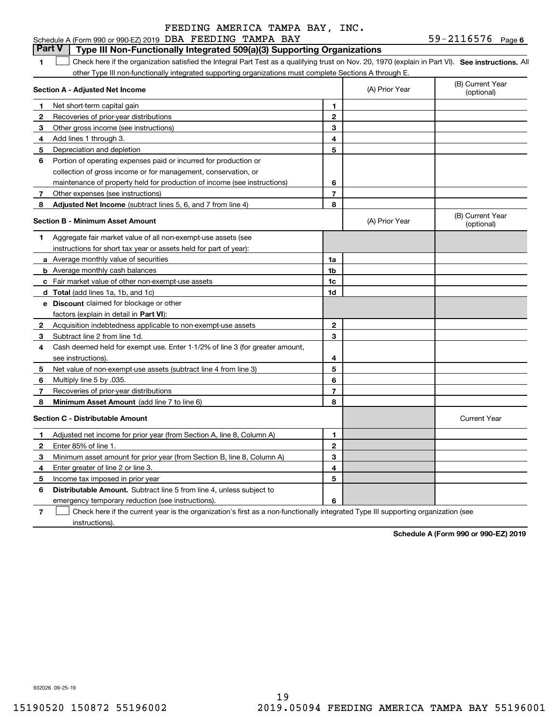#### Schedule A (Form 990 or 990-EZ) 2019 DBA FEEDING TAMPA BAY  $59-2116576$  Page

# **Part V Type III Non-Functionally Integrated 509(a)(3) Supporting Organizations**

1 Check here if the organization satisfied the Integral Part Test as a qualifying trust on Nov. 20, 1970 (explain in Part VI). See instructions. All other Type III non-functionally integrated supporting organizations must complete Sections A through E.

|              | Section A - Adjusted Net Income                                                                                                   |                | (A) Prior Year | (B) Current Year<br>(optional) |
|--------------|-----------------------------------------------------------------------------------------------------------------------------------|----------------|----------------|--------------------------------|
| 1.           | Net short-term capital gain                                                                                                       | 1              |                |                                |
| $\mathbf{2}$ | Recoveries of prior-year distributions                                                                                            | $\overline{2}$ |                |                                |
| 3            | Other gross income (see instructions)                                                                                             | 3              |                |                                |
| 4            | Add lines 1 through 3.                                                                                                            | 4              |                |                                |
| 5            | Depreciation and depletion                                                                                                        | 5              |                |                                |
| 6            | Portion of operating expenses paid or incurred for production or                                                                  |                |                |                                |
|              | collection of gross income or for management, conservation, or                                                                    |                |                |                                |
|              | maintenance of property held for production of income (see instructions)                                                          | 6              |                |                                |
| 7            | Other expenses (see instructions)                                                                                                 | 7              |                |                                |
| 8            | <b>Adjusted Net Income</b> (subtract lines 5, 6, and 7 from line 4)                                                               | 8              |                |                                |
|              | <b>Section B - Minimum Asset Amount</b>                                                                                           |                | (A) Prior Year | (B) Current Year<br>(optional) |
| 1            | Aggregate fair market value of all non-exempt-use assets (see                                                                     |                |                |                                |
|              | instructions for short tax year or assets held for part of year):                                                                 |                |                |                                |
|              | a Average monthly value of securities                                                                                             | 1a             |                |                                |
|              | <b>b</b> Average monthly cash balances                                                                                            | 1b             |                |                                |
|              | c Fair market value of other non-exempt-use assets                                                                                | 1c             |                |                                |
|              | d Total (add lines 1a, 1b, and 1c)                                                                                                | 1d             |                |                                |
|              | <b>e</b> Discount claimed for blockage or other                                                                                   |                |                |                                |
|              | factors (explain in detail in Part VI):                                                                                           |                |                |                                |
| 2            | Acquisition indebtedness applicable to non-exempt-use assets                                                                      | $\mathbf 2$    |                |                                |
| 3            | Subtract line 2 from line 1d.                                                                                                     | 3              |                |                                |
| 4            | Cash deemed held for exempt use. Enter 1-1/2% of line 3 (for greater amount,                                                      |                |                |                                |
|              | see instructions)                                                                                                                 | 4              |                |                                |
| 5            | Net value of non-exempt-use assets (subtract line 4 from line 3)                                                                  | 5              |                |                                |
| 6            | Multiply line 5 by .035.                                                                                                          | 6              |                |                                |
| 7            | Recoveries of prior-year distributions                                                                                            | $\overline{7}$ |                |                                |
| 8            | Minimum Asset Amount (add line 7 to line 6)                                                                                       | 8              |                |                                |
|              | <b>Section C - Distributable Amount</b>                                                                                           |                |                | <b>Current Year</b>            |
| 1            | Adjusted net income for prior year (from Section A, line 8, Column A)                                                             | $\mathbf{1}$   |                |                                |
| 2            | Enter 85% of line 1.                                                                                                              | $\overline{2}$ |                |                                |
| 3            | Minimum asset amount for prior year (from Section B, line 8, Column A)                                                            | 3              |                |                                |
| 4            | Enter greater of line 2 or line 3.                                                                                                | 4              |                |                                |
| 5            | Income tax imposed in prior year                                                                                                  | 5              |                |                                |
| 6            | <b>Distributable Amount.</b> Subtract line 5 from line 4, unless subject to                                                       |                |                |                                |
|              | emergency temporary reduction (see instructions).                                                                                 | 6              |                |                                |
| 7            | Check here if the current year is the organization's first as a non-functionally integrated Type III supporting organization (see |                |                |                                |

**7**instructions).

**Schedule A (Form 990 or 990-EZ) 2019**

932026 09-25-19

**1**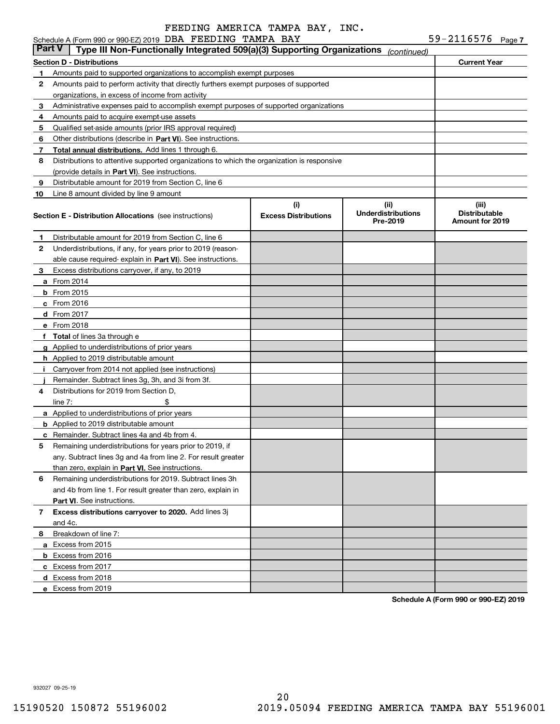#### **7** Schedule A (Form 990 or 990-EZ) 2019 DBA F EEDING TAMPA BAY 59-ZII6576 Page DBA FEEDING TAMPA BAY 59-2116576

| <b>Part V</b> | Type III Non-Functionally Integrated 509(a)(3) Supporting Organizations                    |                                    | (continued)                                   |                                                         |  |  |  |
|---------------|--------------------------------------------------------------------------------------------|------------------------------------|-----------------------------------------------|---------------------------------------------------------|--|--|--|
|               | <b>Section D - Distributions</b><br><b>Current Year</b>                                    |                                    |                                               |                                                         |  |  |  |
| 1             | Amounts paid to supported organizations to accomplish exempt purposes                      |                                    |                                               |                                                         |  |  |  |
| 2             | Amounts paid to perform activity that directly furthers exempt purposes of supported       |                                    |                                               |                                                         |  |  |  |
|               | organizations, in excess of income from activity                                           |                                    |                                               |                                                         |  |  |  |
| 3             | Administrative expenses paid to accomplish exempt purposes of supported organizations      |                                    |                                               |                                                         |  |  |  |
| 4             | Amounts paid to acquire exempt-use assets                                                  |                                    |                                               |                                                         |  |  |  |
| 5             | Qualified set-aside amounts (prior IRS approval required)                                  |                                    |                                               |                                                         |  |  |  |
| 6             | Other distributions (describe in Part VI). See instructions.                               |                                    |                                               |                                                         |  |  |  |
| 7             | Total annual distributions. Add lines 1 through 6.                                         |                                    |                                               |                                                         |  |  |  |
| 8             | Distributions to attentive supported organizations to which the organization is responsive |                                    |                                               |                                                         |  |  |  |
|               | (provide details in Part VI). See instructions.                                            |                                    |                                               |                                                         |  |  |  |
| 9             | Distributable amount for 2019 from Section C, line 6                                       |                                    |                                               |                                                         |  |  |  |
| 10            | Line 8 amount divided by line 9 amount                                                     |                                    |                                               |                                                         |  |  |  |
|               | <b>Section E - Distribution Allocations</b> (see instructions)                             | (i)<br><b>Excess Distributions</b> | (ii)<br><b>Underdistributions</b><br>Pre-2019 | (iii)<br><b>Distributable</b><br><b>Amount for 2019</b> |  |  |  |
| 1.            | Distributable amount for 2019 from Section C, line 6                                       |                                    |                                               |                                                         |  |  |  |
| 2             | Underdistributions, if any, for years prior to 2019 (reason-                               |                                    |                                               |                                                         |  |  |  |
|               | able cause required- explain in Part VI). See instructions.                                |                                    |                                               |                                                         |  |  |  |
| 3             | Excess distributions carryover, if any, to 2019                                            |                                    |                                               |                                                         |  |  |  |
|               | <b>a</b> From 2014                                                                         |                                    |                                               |                                                         |  |  |  |
|               | <b>b</b> From 2015                                                                         |                                    |                                               |                                                         |  |  |  |
|               | c From 2016                                                                                |                                    |                                               |                                                         |  |  |  |
|               | d From 2017                                                                                |                                    |                                               |                                                         |  |  |  |
|               | e From 2018                                                                                |                                    |                                               |                                                         |  |  |  |
| f             | <b>Total</b> of lines 3a through e                                                         |                                    |                                               |                                                         |  |  |  |
|               | <b>g</b> Applied to underdistributions of prior years                                      |                                    |                                               |                                                         |  |  |  |
|               | <b>h</b> Applied to 2019 distributable amount                                              |                                    |                                               |                                                         |  |  |  |
|               | Carryover from 2014 not applied (see instructions)                                         |                                    |                                               |                                                         |  |  |  |
|               | Remainder. Subtract lines 3g, 3h, and 3i from 3f.                                          |                                    |                                               |                                                         |  |  |  |
| 4             | Distributions for 2019 from Section D,                                                     |                                    |                                               |                                                         |  |  |  |
|               | line $7:$                                                                                  |                                    |                                               |                                                         |  |  |  |
|               | <b>a</b> Applied to underdistributions of prior years                                      |                                    |                                               |                                                         |  |  |  |
|               | <b>b</b> Applied to 2019 distributable amount                                              |                                    |                                               |                                                         |  |  |  |
| c             | Remainder. Subtract lines 4a and 4b from 4.                                                |                                    |                                               |                                                         |  |  |  |
| 5             | Remaining underdistributions for years prior to 2019, if                                   |                                    |                                               |                                                         |  |  |  |
|               | any. Subtract lines 3g and 4a from line 2. For result greater                              |                                    |                                               |                                                         |  |  |  |
|               | than zero, explain in Part VI. See instructions.                                           |                                    |                                               |                                                         |  |  |  |
| 6             | Remaining underdistributions for 2019. Subtract lines 3h                                   |                                    |                                               |                                                         |  |  |  |
|               | and 4b from line 1. For result greater than zero, explain in                               |                                    |                                               |                                                         |  |  |  |
|               | Part VI. See instructions.                                                                 |                                    |                                               |                                                         |  |  |  |
| 7             | Excess distributions carryover to 2020. Add lines 3j                                       |                                    |                                               |                                                         |  |  |  |
|               | and 4c.                                                                                    |                                    |                                               |                                                         |  |  |  |
| 8             | Breakdown of line 7:                                                                       |                                    |                                               |                                                         |  |  |  |
|               | a Excess from 2015                                                                         |                                    |                                               |                                                         |  |  |  |
|               | <b>b</b> Excess from 2016                                                                  |                                    |                                               |                                                         |  |  |  |
|               | c Excess from 2017                                                                         |                                    |                                               |                                                         |  |  |  |
|               | d Excess from 2018                                                                         |                                    |                                               |                                                         |  |  |  |
|               | e Excess from 2019                                                                         |                                    |                                               |                                                         |  |  |  |
|               |                                                                                            |                                    |                                               |                                                         |  |  |  |

**Schedule A (Form 990 or 990-EZ) 2019**

932027 09-25-19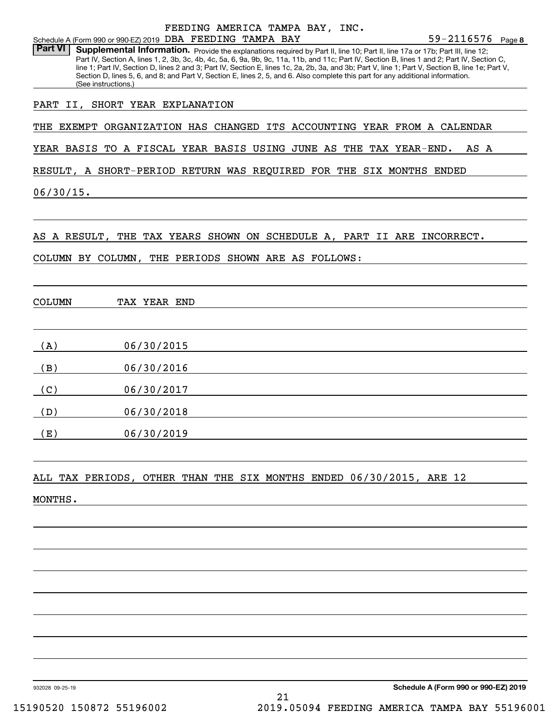|                |                                                                                   |              | FEEDING AMERICA TAMPA BAY, INC. |  |                                                                                                                                                                                                                                                                                                                                                                                                                                                                                                                                                                                               |
|----------------|-----------------------------------------------------------------------------------|--------------|---------------------------------|--|-----------------------------------------------------------------------------------------------------------------------------------------------------------------------------------------------------------------------------------------------------------------------------------------------------------------------------------------------------------------------------------------------------------------------------------------------------------------------------------------------------------------------------------------------------------------------------------------------|
| <b>Part VI</b> | Schedule A (Form 990 or 990-EZ) 2019 DBA FEEDING TAMPA BAY<br>(See instructions.) |              |                                 |  | $59 - 2116576$ Page 8<br>Supplemental Information. Provide the explanations required by Part II, line 10; Part II, line 17a or 17b; Part III, line 12;<br>Part IV, Section A, lines 1, 2, 3b, 3c, 4b, 4c, 5a, 6, 9a, 9b, 9c, 11a, 11b, and 11c; Part IV, Section B, lines 1 and 2; Part IV, Section C,<br>line 1; Part IV, Section D, lines 2 and 3; Part IV, Section E, lines 1c, 2a, 2b, 3a, and 3b; Part V, line 1; Part V, Section B, line 1e; Part V,<br>Section D, lines 5, 6, and 8; and Part V, Section E, lines 2, 5, and 6. Also complete this part for any additional information. |
|                | PART II, SHORT YEAR EXPLANATION                                                   |              |                                 |  |                                                                                                                                                                                                                                                                                                                                                                                                                                                                                                                                                                                               |
|                |                                                                                   |              |                                 |  | THE EXEMPT ORGANIZATION HAS CHANGED ITS ACCOUNTING YEAR FROM A CALENDAR                                                                                                                                                                                                                                                                                                                                                                                                                                                                                                                       |
|                |                                                                                   |              |                                 |  | YEAR BASIS TO A FISCAL YEAR BASIS USING JUNE AS THE TAX YEAR-END.<br>AS A                                                                                                                                                                                                                                                                                                                                                                                                                                                                                                                     |
|                |                                                                                   |              |                                 |  | RESULT, A SHORT-PERIOD RETURN WAS REQUIRED FOR THE SIX MONTHS ENDED                                                                                                                                                                                                                                                                                                                                                                                                                                                                                                                           |
| $06/30/15$ .   |                                                                                   |              |                                 |  |                                                                                                                                                                                                                                                                                                                                                                                                                                                                                                                                                                                               |
|                |                                                                                   |              |                                 |  |                                                                                                                                                                                                                                                                                                                                                                                                                                                                                                                                                                                               |
|                |                                                                                   |              |                                 |  | AS A RESULT, THE TAX YEARS SHOWN ON SCHEDULE A, PART II ARE INCORRECT.                                                                                                                                                                                                                                                                                                                                                                                                                                                                                                                        |
|                | COLUMN BY COLUMN, THE PERIODS SHOWN ARE AS FOLLOWS:                               |              |                                 |  |                                                                                                                                                                                                                                                                                                                                                                                                                                                                                                                                                                                               |
|                |                                                                                   |              |                                 |  |                                                                                                                                                                                                                                                                                                                                                                                                                                                                                                                                                                                               |
| <b>COLUMN</b>  |                                                                                   | TAX YEAR END |                                 |  |                                                                                                                                                                                                                                                                                                                                                                                                                                                                                                                                                                                               |
| (A)            |                                                                                   | 06/30/2015   |                                 |  |                                                                                                                                                                                                                                                                                                                                                                                                                                                                                                                                                                                               |
| (B)            |                                                                                   | 06/30/2016   |                                 |  |                                                                                                                                                                                                                                                                                                                                                                                                                                                                                                                                                                                               |
| (C)            |                                                                                   | 06/30/2017   |                                 |  |                                                                                                                                                                                                                                                                                                                                                                                                                                                                                                                                                                                               |
| (D)            |                                                                                   | 06/30/2018   |                                 |  |                                                                                                                                                                                                                                                                                                                                                                                                                                                                                                                                                                                               |
| (E)            |                                                                                   | 06/30/2019   |                                 |  |                                                                                                                                                                                                                                                                                                                                                                                                                                                                                                                                                                                               |
|                |                                                                                   |              |                                 |  |                                                                                                                                                                                                                                                                                                                                                                                                                                                                                                                                                                                               |
|                |                                                                                   |              |                                 |  | ALL TAX PERIODS, OTHER THAN THE SIX MONTHS ENDED 06/30/2015, ARE 12                                                                                                                                                                                                                                                                                                                                                                                                                                                                                                                           |
| MONTHS.        |                                                                                   |              |                                 |  |                                                                                                                                                                                                                                                                                                                                                                                                                                                                                                                                                                                               |
|                |                                                                                   |              |                                 |  |                                                                                                                                                                                                                                                                                                                                                                                                                                                                                                                                                                                               |
|                |                                                                                   |              |                                 |  |                                                                                                                                                                                                                                                                                                                                                                                                                                                                                                                                                                                               |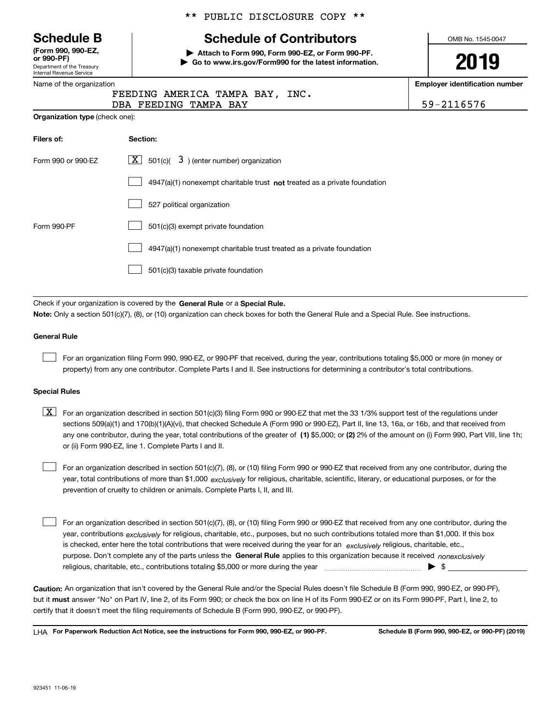Department of the Treasury Internal Revenue Service **(Form 990, 990-EZ, or 990-PF)**

#### Name of the organization

### \*\* PUBLIC DISCLOSURE COPY \*\*

# **Schedule B Schedule of Contributors**

**| Attach to Form 990, Form 990-EZ, or Form 990-PF. | Go to www.irs.gov/Form990 for the latest information.** OMB No. 1545-0047

# **2019**

**Employer identification number**

| FEEDING AMERICA TAMPA BAY, INC. |            |
|---------------------------------|------------|
| DBA FEEDING TAMPA BAY           | 59-2116576 |

| Filers of:         | Section:                                                                    |
|--------------------|-----------------------------------------------------------------------------|
| Form 990 or 990-EZ | $\overline{X}$ 501(c)(<br>3) (enter number) organization                    |
|                    | $4947(a)(1)$ nonexempt charitable trust not treated as a private foundation |
|                    | 527 political organization                                                  |
| Form 990-PF        | 501(c)(3) exempt private foundation                                         |
|                    | 4947(a)(1) nonexempt charitable trust treated as a private foundation       |
|                    | 501(c)(3) taxable private foundation                                        |

Check if your organization is covered by the **General Rule** or a **Special Rule. Note:**  Only a section 501(c)(7), (8), or (10) organization can check boxes for both the General Rule and a Special Rule. See instructions.

#### **General Rule**

 $\mathcal{L}^{\text{max}}$ 

For an organization filing Form 990, 990-EZ, or 990-PF that received, during the year, contributions totaling \$5,000 or more (in money or property) from any one contributor. Complete Parts I and II. See instructions for determining a contributor's total contributions.

#### **Special Rules**

any one contributor, during the year, total contributions of the greater of  $\,$  (1) \$5,000; or **(2)** 2% of the amount on (i) Form 990, Part VIII, line 1h;  $\boxed{\textbf{X}}$  For an organization described in section 501(c)(3) filing Form 990 or 990-EZ that met the 33 1/3% support test of the regulations under sections 509(a)(1) and 170(b)(1)(A)(vi), that checked Schedule A (Form 990 or 990-EZ), Part II, line 13, 16a, or 16b, and that received from or (ii) Form 990-EZ, line 1. Complete Parts I and II.

year, total contributions of more than \$1,000 *exclusively* for religious, charitable, scientific, literary, or educational purposes, or for the For an organization described in section 501(c)(7), (8), or (10) filing Form 990 or 990-EZ that received from any one contributor, during the prevention of cruelty to children or animals. Complete Parts I, II, and III.  $\mathcal{L}^{\text{max}}$ 

purpose. Don't complete any of the parts unless the **General Rule** applies to this organization because it received *nonexclusively* year, contributions <sub>exclusively</sub> for religious, charitable, etc., purposes, but no such contributions totaled more than \$1,000. If this box is checked, enter here the total contributions that were received during the year for an  $\;$ exclusively religious, charitable, etc., For an organization described in section 501(c)(7), (8), or (10) filing Form 990 or 990-EZ that received from any one contributor, during the religious, charitable, etc., contributions totaling \$5,000 or more during the year  $\Box$ — $\Box$   $\Box$  $\mathcal{L}^{\text{max}}$ 

**Caution:**  An organization that isn't covered by the General Rule and/or the Special Rules doesn't file Schedule B (Form 990, 990-EZ, or 990-PF),  **must** but it answer "No" on Part IV, line 2, of its Form 990; or check the box on line H of its Form 990-EZ or on its Form 990-PF, Part I, line 2, to certify that it doesn't meet the filing requirements of Schedule B (Form 990, 990-EZ, or 990-PF).

**For Paperwork Reduction Act Notice, see the instructions for Form 990, 990-EZ, or 990-PF. Schedule B (Form 990, 990-EZ, or 990-PF) (2019)** LHA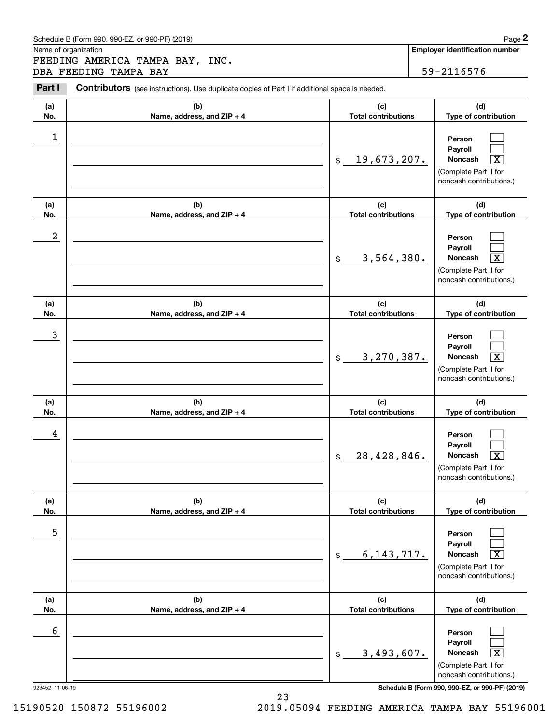Chedule B (Form 990, 990-EZ, or 990-PF) (2019)<br> **2Page 2**<br> **2PART EEDING AMERICA TAMPA BAY, INC.**<br> **2PART I** Contributors (see instructions). Use duplicate copies of Part I if additional space is needed.<br>
2PART I Contribut FEEDING AMERICA TAMPA BAY, INC. DBA FEEDING TAMPA BAY 59-2116576

Contributors (see instructions). Use duplicate copies of Part I if additional space is needed.

| (a)<br>No.           | (b)<br>Name, address, and ZIP + 4 | (c)<br><b>Total contributions</b> | (d)<br>Type of contribution                                                                                                                                  |
|----------------------|-----------------------------------|-----------------------------------|--------------------------------------------------------------------------------------------------------------------------------------------------------------|
| 1                    |                                   | 19,673,207.<br>$$\mathbb{S}$$     | Person<br>Pavroll<br><b>Noncash</b><br>$\overline{\texttt{X}}$<br>(Complete Part II for<br>noncash contributions.)                                           |
| (a)<br>No.           | (b)<br>Name, address, and ZIP + 4 | (c)<br><b>Total contributions</b> | (d)<br>Type of contribution                                                                                                                                  |
| 2                    |                                   | 3,564,380.<br>$$\mathbb{S}$$      | Person<br>Payroll<br>Noncash<br>$\overline{\texttt{X}}$<br>(Complete Part II for<br>noncash contributions.)                                                  |
| (a)<br>No.           | (b)<br>Name, address, and ZIP + 4 | (c)<br><b>Total contributions</b> | (d)<br>Type of contribution                                                                                                                                  |
| 3                    |                                   | 3,270,387.<br>$$\mathbb{S}$$      | Person<br>Payroll<br>Noncash<br>$\overline{\texttt{X}}$<br>(Complete Part II for<br>noncash contributions.)                                                  |
| (a)<br>No.           | (b)<br>Name, address, and ZIP + 4 | (c)<br><b>Total contributions</b> | (d)<br>Type of contribution                                                                                                                                  |
| 4                    |                                   | 28,428,846.<br>\$                 | Person<br>Payroll<br>$\overline{\text{X}}$<br>Noncash<br>(Complete Part II for<br>noncash contributions.)                                                    |
| (a)<br>No.           | (b)<br>Name, address, and ZIP + 4 | (c)<br><b>Total contributions</b> | (d)<br>Type of contribution                                                                                                                                  |
| 5                    |                                   | 6, 143, 717.<br>$\$$              | Person<br>Payroll<br>Noncash<br>$\overline{\text{X}}$<br>(Complete Part II for<br>noncash contributions.)                                                    |
| (a)<br>No.           | (b)<br>Name, address, and ZIP + 4 | (c)<br><b>Total contributions</b> | (d)<br>Type of contribution                                                                                                                                  |
| 6<br>923452 11-06-19 |                                   | 3,493,607.<br>$\$$                | Person<br>Payroll<br>Noncash<br>$\overline{\text{X}}$<br>(Complete Part II for<br>noncash contributions.)<br>Schedule B (Form 990, 990-EZ, or 990-PF) (2019) |

23

15190520 150872 55196002 2019.05094 FEEDING AMERICA TAMPA BAY 55196001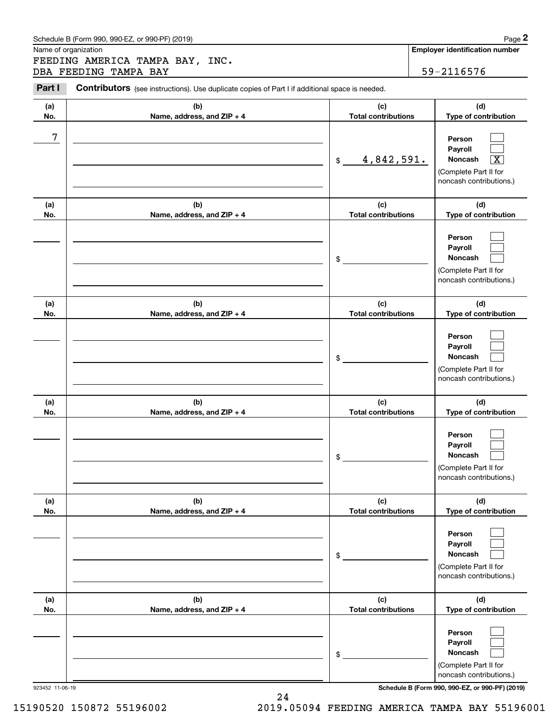Chedule B (Form 990, 990-EZ, or 990-PF) (2019)<br> **2Page 2**<br> **2PART EEDING AMERICA TAMPA BAY, INC.**<br> **2PART I** Contributors (see instructions). Use duplicate copies of Part I if additional space is needed.<br>
2PART I Contribut FEEDING AMERICA TAMPA BAY, INC. DBA FEEDING TAMPA BAY **59-2116576** 

#### **(a)No.(b)Name, address, and ZIP + 4 (c)Total contributions (d)Type of contribution PersonPayrollNoncash (a)No.(b)Name, address, and ZIP + 4 (c)Total contributions (d)Type of contribution PersonPayrollNoncash (a)No.(b)Name, address, and ZIP + 4 (c)Total contributions (d)Type of contribution PersonPayrollNoncash (a) No.(b) Name, address, and ZIP + 4 (c) Total contributions (d) Type of contribution PersonPayrollNoncash (a) No.(b) Name, address, and ZIP + 4 (c) Total contributions (d) Type of contribution PersonPayrollNoncash(a) No.(b)Name, address, and ZIP + 4 (c) Total contributions (d)Type of contribution PersonPayrollNoncash Contributors** (see instructions). Use duplicate copies of Part I if additional space is needed. \$(Complete Part II for noncash contributions.) \$(Complete Part II for noncash contributions.) \$(Complete Part II for noncash contributions.) \$(Complete Part II for noncash contributions.) \$(Complete Part II for noncash contributions.) \$(Complete Part II for noncash contributions.)  $\mathcal{L}^{\text{max}}$  $\mathcal{L}^{\text{max}}$  $\boxed{\text{X}}$  $\mathcal{L}^{\text{max}}$  $\mathcal{L}^{\text{max}}$  $\mathcal{L}^{\text{max}}$  $\mathcal{L}^{\text{max}}$  $\mathcal{L}^{\text{max}}$  $\mathcal{L}^{\text{max}}$  $\mathcal{L}^{\text{max}}$  $\mathcal{L}^{\text{max}}$  $\mathcal{L}^{\text{max}}$  $\mathcal{L}^{\text{max}}$  $\mathcal{L}^{\text{max}}$  $\mathcal{L}^{\text{max}}$  $\mathcal{L}^{\text{max}}$  $\mathcal{L}^{\text{max}}$  $\mathcal{L}^{\text{max}}$ 7 <u>4,842,591.</u>

923452 11-06-19 **Schedule B (Form 990, 990-EZ, or 990-PF) (2019)**

15190520 150872 55196002 2019.05094 FEEDING AMERICA TAMPA BAY 55196001

24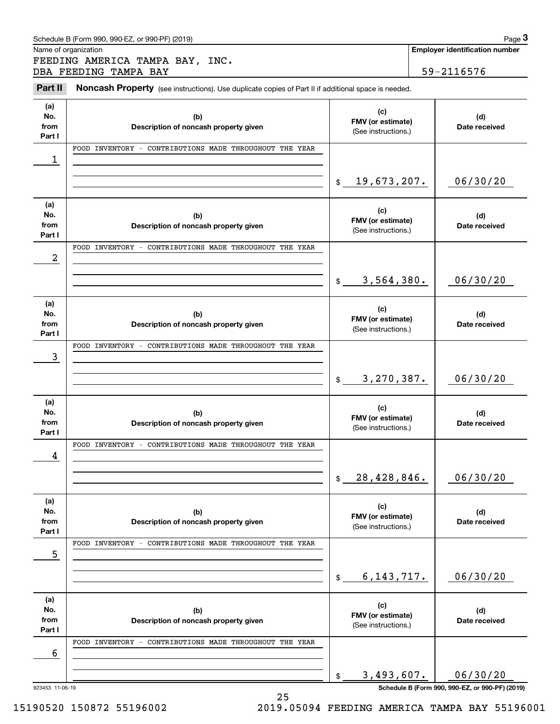| Schedule B (Form 990. 990-EZ. or 990-PF) (2019) | Page |
|-------------------------------------------------|------|
|-------------------------------------------------|------|

DBA FEEDING TAMPA BAY FEEDING AMERICA TAMPA BAY, INC.

59-2116576

#### **(a)No.fromPart I (c)FMV (or estimate) (b)Description of noncash property given (d)Date received (a)No.fromPart I (c) FMV (or estimate) (b) Description of noncash property given (d) Date received (a)No.fromPart I (c)FMV (or estimate) (b)Description of noncash property given (d)Date received (a) No.fromPart I (c)FMV (or estimate) (b)Description of noncash property given (d)Date received (a) No.fromPart I (c)FMV (or estimate) (b)Description of noncash property given (d)Date received (a)No.fromPart I (c)FMV (or estimate) (b)Description of noncash property given (d)Date received** Noncash Property (see instructions). Use duplicate copies of Part II if additional space is needed. (See instructions.) \$(See instructions.) \$(See instructions.) \$(See instructions.) \$(See instructions.)  $$$ (See instructions.) Chedule B (Form 990, 990-EZ, or 990-PF) (2019)<br> **3Page 3**<br> **3Part II Noncash Property** (see instructions). Use duplicate copies of Part II if additional space is needed.<br> **3Part II Noncash Property** (see instructions). 1 06/30/20 2 06/30/20 19,673,207. FOOD INVENTORY - CONTRIBUTIONS MADE THROUGHOUT THE YEAR 3,564,380. FOOD INVENTORY - CONTRIBUTIONS MADE THROUGHOUT THE YEAR 3 3,270,387. 06/30/20 FOOD INVENTORY - CONTRIBUTIONS MADE THROUGHOUT THE YEAR 4 28,428,846. 06/30/20 FOOD INVENTORY - CONTRIBUTIONS MADE THROUGHOUT THE YEAR 5 6,143,717. 06/30/20 FOOD INVENTORY - CONTRIBUTIONS MADE THROUGHOUT THE YEAR 6 FOOD INVENTORY - CONTRIBUTIONS MADE THROUGHOUT THE YEAR

923453 11-06-19 **Schedule B (Form 990, 990-EZ, or 990-PF) (2019)**

3,493,607. 06/30/20

15190520 150872 55196002 2019.05094 FEEDING AMERICA TAMPA BAY 55196001

\$

25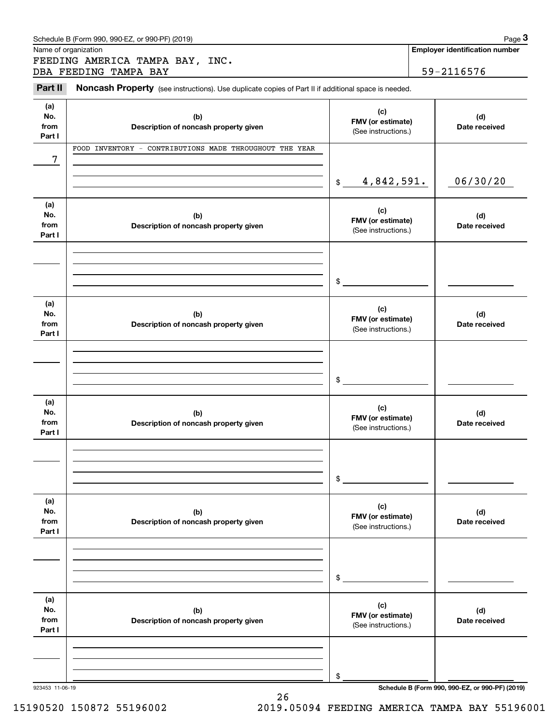| Schedule B (Form 990. 990-EZ. or 990-PF) (2019) | Page |
|-------------------------------------------------|------|
|-------------------------------------------------|------|

(see instructions). Use duplicate copies of Part II if additional space is needed.<br> **Part II Noncash Property** (see instructions). Use duplicate copies of Part II if additional space is needed.<br> **Part II Noncash Proper** FEEDING AMERICA TAMPA BAY, INC. DBA FEEDING TAMPA BAY **59-2116576** 

#### **(a)No.fromPart I (c)FMV (or estimate) (b) Description of noncash property given (d) Date received (a)No.fromPart I (c) FMV (or estimate) (b) Description of noncash property given (d) Date received (a)No.fromPart I (c)FMV (or estimate) (b) Description of noncash property given (d) Date received (a) No.fromPart I (c) FMV (or estimate) (b)Description of noncash property given (d) Date received (a) No.fromPart I (c) FMV (or estimate) (b) Description of noncash property given (d) Date received (a) No.fromPart I (c)FMV (or estimate) (b)Description of noncash property given (d)Date received** (See instructions.) \$(See instructions.) \$(See instructions.) \$(See instructions.) \$(See instructions.) \$(See instructions.) \$7 4,842,591. 06/30/20 FOOD INVENTORY - CONTRIBUTIONS MADE THROUGHOUT THE YEAR

26

923453 11-06-19 **Schedule B (Form 990, 990-EZ, or 990-PF) (2019)**

15190520 150872 55196002 2019.05094 FEEDING AMERICA TAMPA BAY 55196001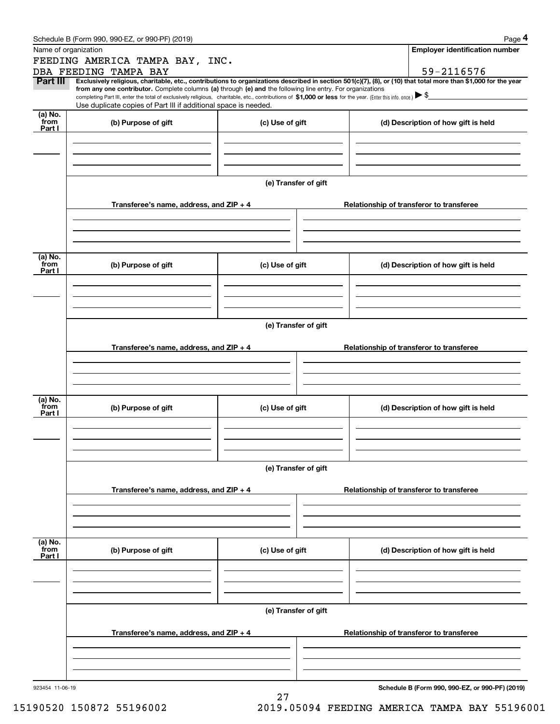|                 | Schedule B (Form 990, 990-EZ, or 990-PF) (2019)                                                                                                                                                                                                                                                 |                      |                                          | Page 4                                          |  |  |  |
|-----------------|-------------------------------------------------------------------------------------------------------------------------------------------------------------------------------------------------------------------------------------------------------------------------------------------------|----------------------|------------------------------------------|-------------------------------------------------|--|--|--|
|                 | Name of organization                                                                                                                                                                                                                                                                            |                      |                                          | <b>Employer identification number</b>           |  |  |  |
|                 | FEEDING AMERICA TAMPA BAY, INC.                                                                                                                                                                                                                                                                 |                      |                                          |                                                 |  |  |  |
|                 | DBA FEEDING TAMPA BAY                                                                                                                                                                                                                                                                           |                      |                                          | 59-2116576                                      |  |  |  |
| <b>Part III</b> | Exclusively religious, charitable, etc., contributions to organizations described in section 501(c)(7), (8), or (10) that total more than \$1,000 for the year                                                                                                                                  |                      |                                          |                                                 |  |  |  |
|                 | from any one contributor. Complete columns (a) through (e) and the following line entry. For organizations<br>completing Part III, enter the total of exclusively religious, charitable, etc., contributions of \$1,000 or less for the year. (Enter this info. once.) $\blacktriangleright$ \$ |                      |                                          |                                                 |  |  |  |
|                 | Use duplicate copies of Part III if additional space is needed.                                                                                                                                                                                                                                 |                      |                                          |                                                 |  |  |  |
| (a) No.<br>from | (b) Purpose of gift                                                                                                                                                                                                                                                                             | (c) Use of gift      |                                          | (d) Description of how gift is held             |  |  |  |
| Part I          |                                                                                                                                                                                                                                                                                                 |                      |                                          |                                                 |  |  |  |
|                 |                                                                                                                                                                                                                                                                                                 |                      |                                          |                                                 |  |  |  |
|                 |                                                                                                                                                                                                                                                                                                 |                      |                                          |                                                 |  |  |  |
|                 |                                                                                                                                                                                                                                                                                                 |                      |                                          |                                                 |  |  |  |
|                 |                                                                                                                                                                                                                                                                                                 |                      |                                          |                                                 |  |  |  |
|                 |                                                                                                                                                                                                                                                                                                 | (e) Transfer of gift |                                          |                                                 |  |  |  |
|                 | Transferee's name, address, and ZIP + 4                                                                                                                                                                                                                                                         |                      |                                          |                                                 |  |  |  |
|                 |                                                                                                                                                                                                                                                                                                 |                      | Relationship of transferor to transferee |                                                 |  |  |  |
|                 |                                                                                                                                                                                                                                                                                                 |                      |                                          |                                                 |  |  |  |
|                 |                                                                                                                                                                                                                                                                                                 |                      |                                          |                                                 |  |  |  |
|                 |                                                                                                                                                                                                                                                                                                 |                      |                                          |                                                 |  |  |  |
| (a) No.<br>from |                                                                                                                                                                                                                                                                                                 | (c) Use of gift      |                                          |                                                 |  |  |  |
| Part I          | (b) Purpose of gift                                                                                                                                                                                                                                                                             |                      |                                          | (d) Description of how gift is held             |  |  |  |
|                 |                                                                                                                                                                                                                                                                                                 |                      |                                          |                                                 |  |  |  |
|                 |                                                                                                                                                                                                                                                                                                 |                      |                                          |                                                 |  |  |  |
|                 |                                                                                                                                                                                                                                                                                                 |                      |                                          |                                                 |  |  |  |
|                 |                                                                                                                                                                                                                                                                                                 |                      |                                          |                                                 |  |  |  |
|                 | (e) Transfer of gift                                                                                                                                                                                                                                                                            |                      |                                          |                                                 |  |  |  |
|                 | Transferee's name, address, and ZIP + 4                                                                                                                                                                                                                                                         |                      | Relationship of transferor to transferee |                                                 |  |  |  |
|                 |                                                                                                                                                                                                                                                                                                 |                      |                                          |                                                 |  |  |  |
|                 |                                                                                                                                                                                                                                                                                                 |                      |                                          |                                                 |  |  |  |
|                 |                                                                                                                                                                                                                                                                                                 |                      |                                          |                                                 |  |  |  |
|                 |                                                                                                                                                                                                                                                                                                 |                      |                                          |                                                 |  |  |  |
| (a) No.<br>from | (b) Purpose of gift                                                                                                                                                                                                                                                                             | (c) Use of gift      | (d) Description of how gift is held      |                                                 |  |  |  |
| Part I          |                                                                                                                                                                                                                                                                                                 |                      |                                          |                                                 |  |  |  |
|                 |                                                                                                                                                                                                                                                                                                 |                      |                                          |                                                 |  |  |  |
|                 |                                                                                                                                                                                                                                                                                                 |                      |                                          |                                                 |  |  |  |
|                 |                                                                                                                                                                                                                                                                                                 |                      |                                          |                                                 |  |  |  |
|                 |                                                                                                                                                                                                                                                                                                 | (e) Transfer of gift |                                          |                                                 |  |  |  |
|                 |                                                                                                                                                                                                                                                                                                 |                      |                                          |                                                 |  |  |  |
|                 | Transferee's name, address, and $ZIP + 4$                                                                                                                                                                                                                                                       |                      | Relationship of transferor to transferee |                                                 |  |  |  |
|                 |                                                                                                                                                                                                                                                                                                 |                      |                                          |                                                 |  |  |  |
|                 |                                                                                                                                                                                                                                                                                                 |                      |                                          |                                                 |  |  |  |
|                 |                                                                                                                                                                                                                                                                                                 |                      |                                          |                                                 |  |  |  |
|                 |                                                                                                                                                                                                                                                                                                 |                      |                                          |                                                 |  |  |  |
| (a) No.<br>from | (b) Purpose of gift                                                                                                                                                                                                                                                                             | (c) Use of gift      |                                          | (d) Description of how gift is held             |  |  |  |
| Part I          |                                                                                                                                                                                                                                                                                                 |                      |                                          |                                                 |  |  |  |
|                 |                                                                                                                                                                                                                                                                                                 |                      |                                          |                                                 |  |  |  |
|                 |                                                                                                                                                                                                                                                                                                 |                      |                                          |                                                 |  |  |  |
|                 |                                                                                                                                                                                                                                                                                                 |                      |                                          |                                                 |  |  |  |
|                 |                                                                                                                                                                                                                                                                                                 | (e) Transfer of gift |                                          |                                                 |  |  |  |
|                 |                                                                                                                                                                                                                                                                                                 |                      |                                          |                                                 |  |  |  |
|                 | Transferee's name, address, and $ZIP + 4$                                                                                                                                                                                                                                                       |                      |                                          | Relationship of transferor to transferee        |  |  |  |
|                 |                                                                                                                                                                                                                                                                                                 |                      |                                          |                                                 |  |  |  |
|                 |                                                                                                                                                                                                                                                                                                 |                      |                                          |                                                 |  |  |  |
|                 |                                                                                                                                                                                                                                                                                                 |                      |                                          |                                                 |  |  |  |
|                 |                                                                                                                                                                                                                                                                                                 |                      |                                          |                                                 |  |  |  |
| 923454 11-06-19 |                                                                                                                                                                                                                                                                                                 |                      |                                          | Schedule B (Form 990, 990-EZ, or 990-PF) (2019) |  |  |  |
|                 |                                                                                                                                                                                                                                                                                                 | 27                   |                                          |                                                 |  |  |  |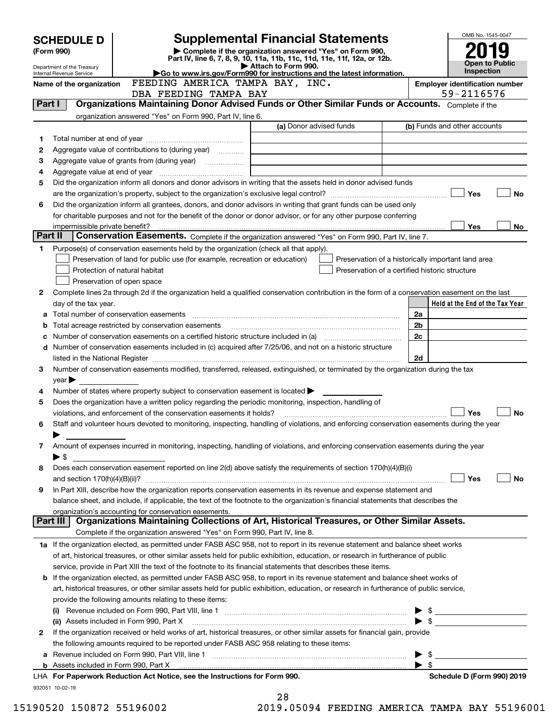|         | <b>SCHEDULE D</b>               |                                                                                                                                                                                                                                                                      | <b>Supplemental Financial Statements</b>                                                                                             |                                                    |                         | OMB No. 1545-0047                     |                       |
|---------|---------------------------------|----------------------------------------------------------------------------------------------------------------------------------------------------------------------------------------------------------------------------------------------------------------------|--------------------------------------------------------------------------------------------------------------------------------------|----------------------------------------------------|-------------------------|---------------------------------------|-----------------------|
|         | (Form 990)                      |                                                                                                                                                                                                                                                                      | Complete if the organization answered "Yes" on Form 990,<br>Part IV, line 6, 7, 8, 9, 10, 11a, 11b, 11c, 11d, 11e, 11f, 12a, or 12b. |                                                    |                         |                                       |                       |
|         | Department of the Treasury      |                                                                                                                                                                                                                                                                      | Attach to Form 990.                                                                                                                  |                                                    |                         | <b>Inspection</b>                     | <b>Open to Public</b> |
|         | <b>Internal Revenue Service</b> | FEEDING AMERICA TAMPA BAY, INC.                                                                                                                                                                                                                                      | Go to www.irs.gov/Form990 for instructions and the latest information.                                                               |                                                    |                         | <b>Employer identification number</b> |                       |
|         | Name of the organization        | DBA FEEDING TAMPA BAY                                                                                                                                                                                                                                                |                                                                                                                                      |                                                    |                         | 59-2116576                            |                       |
| Part I  |                                 | Organizations Maintaining Donor Advised Funds or Other Similar Funds or Accounts. Complete if the                                                                                                                                                                    |                                                                                                                                      |                                                    |                         |                                       |                       |
|         |                                 | organization answered "Yes" on Form 990, Part IV, line 6.                                                                                                                                                                                                            |                                                                                                                                      |                                                    |                         |                                       |                       |
|         |                                 |                                                                                                                                                                                                                                                                      | (a) Donor advised funds                                                                                                              |                                                    |                         | (b) Funds and other accounts          |                       |
| 1       |                                 |                                                                                                                                                                                                                                                                      |                                                                                                                                      |                                                    |                         |                                       |                       |
| 2       |                                 | Aggregate value of contributions to (during year)                                                                                                                                                                                                                    |                                                                                                                                      |                                                    |                         |                                       |                       |
| з       |                                 |                                                                                                                                                                                                                                                                      |                                                                                                                                      |                                                    |                         |                                       |                       |
| 4       |                                 |                                                                                                                                                                                                                                                                      |                                                                                                                                      |                                                    |                         |                                       |                       |
| 5       |                                 | Did the organization inform all donors and donor advisors in writing that the assets held in donor advised funds                                                                                                                                                     |                                                                                                                                      |                                                    |                         | Yes                                   | No                    |
| 6       |                                 | Did the organization inform all grantees, donors, and donor advisors in writing that grant funds can be used only                                                                                                                                                    |                                                                                                                                      |                                                    |                         |                                       |                       |
|         |                                 | for charitable purposes and not for the benefit of the donor or donor advisor, or for any other purpose conferring                                                                                                                                                   |                                                                                                                                      |                                                    |                         |                                       |                       |
|         |                                 |                                                                                                                                                                                                                                                                      |                                                                                                                                      |                                                    |                         | <b>Yes</b>                            | No                    |
| Part II |                                 | Conservation Easements. Complete if the organization answered "Yes" on Form 990, Part IV, line 7.                                                                                                                                                                    |                                                                                                                                      |                                                    |                         |                                       |                       |
| 1.      |                                 | Purpose(s) of conservation easements held by the organization (check all that apply).                                                                                                                                                                                |                                                                                                                                      |                                                    |                         |                                       |                       |
|         |                                 | Preservation of land for public use (for example, recreation or education)                                                                                                                                                                                           |                                                                                                                                      | Preservation of a historically important land area |                         |                                       |                       |
|         |                                 | Protection of natural habitat                                                                                                                                                                                                                                        |                                                                                                                                      | Preservation of a certified historic structure     |                         |                                       |                       |
|         |                                 | Preservation of open space                                                                                                                                                                                                                                           |                                                                                                                                      |                                                    |                         |                                       |                       |
| 2       |                                 | Complete lines 2a through 2d if the organization held a qualified conservation contribution in the form of a conservation easement on the last                                                                                                                       |                                                                                                                                      |                                                    |                         |                                       |                       |
|         | day of the tax year.            |                                                                                                                                                                                                                                                                      |                                                                                                                                      |                                                    |                         | Held at the End of the Tax Year       |                       |
| a<br>b  |                                 | Total acreage restricted by conservation easements                                                                                                                                                                                                                   |                                                                                                                                      |                                                    | 2a<br>2 <sub>b</sub>    |                                       |                       |
| c       |                                 |                                                                                                                                                                                                                                                                      |                                                                                                                                      |                                                    | 2c                      |                                       |                       |
|         |                                 | d Number of conservation easements included in (c) acquired after 7/25/06, and not on a historic structure                                                                                                                                                           |                                                                                                                                      |                                                    |                         |                                       |                       |
|         |                                 |                                                                                                                                                                                                                                                                      |                                                                                                                                      |                                                    | 2d                      |                                       |                       |
| 3       |                                 | Number of conservation easements modified, transferred, released, extinguished, or terminated by the organization during the tax                                                                                                                                     |                                                                                                                                      |                                                    |                         |                                       |                       |
|         | $year \triangleright$           |                                                                                                                                                                                                                                                                      |                                                                                                                                      |                                                    |                         |                                       |                       |
| 4       |                                 | Number of states where property subject to conservation easement is located $\blacktriangleright$                                                                                                                                                                    |                                                                                                                                      |                                                    |                         |                                       |                       |
| 5       |                                 | Does the organization have a written policy regarding the periodic monitoring, inspection, handling of                                                                                                                                                               |                                                                                                                                      |                                                    |                         |                                       |                       |
|         |                                 | violations, and enforcement of the conservation easements it holds?                                                                                                                                                                                                  |                                                                                                                                      |                                                    |                         | Yes                                   | No                    |
| 6       |                                 | Staff and volunteer hours devoted to monitoring, inspecting, handling of violations, and enforcing conservation easements during the year                                                                                                                            |                                                                                                                                      |                                                    |                         |                                       |                       |
| 7       |                                 | Amount of expenses incurred in monitoring, inspecting, handling of violations, and enforcing conservation easements during the year                                                                                                                                  |                                                                                                                                      |                                                    |                         |                                       |                       |
|         | $\blacktriangleright$ \$        |                                                                                                                                                                                                                                                                      |                                                                                                                                      |                                                    |                         |                                       |                       |
| 8       |                                 | Does each conservation easement reported on line 2(d) above satisfy the requirements of section 170(h)(4)(B)(i)                                                                                                                                                      |                                                                                                                                      |                                                    |                         |                                       |                       |
|         |                                 |                                                                                                                                                                                                                                                                      |                                                                                                                                      |                                                    |                         | Yes                                   | No                    |
| 9       |                                 | In Part XIII, describe how the organization reports conservation easements in its revenue and expense statement and                                                                                                                                                  |                                                                                                                                      |                                                    |                         |                                       |                       |
|         |                                 | balance sheet, and include, if applicable, the text of the footnote to the organization's financial statements that describes the                                                                                                                                    |                                                                                                                                      |                                                    |                         |                                       |                       |
|         |                                 | organization's accounting for conservation easements.                                                                                                                                                                                                                |                                                                                                                                      |                                                    |                         |                                       |                       |
|         | Part III                        | Organizations Maintaining Collections of Art, Historical Treasures, or Other Similar Assets.                                                                                                                                                                         |                                                                                                                                      |                                                    |                         |                                       |                       |
|         |                                 | Complete if the organization answered "Yes" on Form 990, Part IV, line 8.                                                                                                                                                                                            |                                                                                                                                      |                                                    |                         |                                       |                       |
|         |                                 | 1a If the organization elected, as permitted under FASB ASC 958, not to report in its revenue statement and balance sheet works<br>of art, historical treasures, or other similar assets held for public exhibition, education, or research in furtherance of public |                                                                                                                                      |                                                    |                         |                                       |                       |
|         |                                 | service, provide in Part XIII the text of the footnote to its financial statements that describes these items.                                                                                                                                                       |                                                                                                                                      |                                                    |                         |                                       |                       |
|         |                                 | <b>b</b> If the organization elected, as permitted under FASB ASC 958, to report in its revenue statement and balance sheet works of                                                                                                                                 |                                                                                                                                      |                                                    |                         |                                       |                       |
|         |                                 | art, historical treasures, or other similar assets held for public exhibition, education, or research in furtherance of public service,                                                                                                                              |                                                                                                                                      |                                                    |                         |                                       |                       |
|         |                                 | provide the following amounts relating to these items:                                                                                                                                                                                                               |                                                                                                                                      |                                                    |                         |                                       |                       |
|         |                                 |                                                                                                                                                                                                                                                                      |                                                                                                                                      |                                                    | $\blacktriangleright$ s |                                       |                       |
|         |                                 | (ii) Assets included in Form 990, Part X                                                                                                                                                                                                                             |                                                                                                                                      |                                                    | ► \$                    |                                       |                       |
| 2       |                                 | If the organization received or held works of art, historical treasures, or other similar assets for financial gain, provide                                                                                                                                         |                                                                                                                                      |                                                    |                         |                                       |                       |
|         |                                 | the following amounts required to be reported under FASB ASC 958 relating to these items:                                                                                                                                                                            |                                                                                                                                      |                                                    |                         |                                       |                       |
|         |                                 |                                                                                                                                                                                                                                                                      |                                                                                                                                      |                                                    | - \$                    |                                       |                       |
|         |                                 |                                                                                                                                                                                                                                                                      |                                                                                                                                      |                                                    | $\blacktriangleright$ s |                                       |                       |
|         |                                 | LHA For Paperwork Reduction Act Notice, see the Instructions for Form 990.                                                                                                                                                                                           |                                                                                                                                      |                                                    |                         | Schedule D (Form 990) 2019            |                       |
|         | 932051 10-02-19                 |                                                                                                                                                                                                                                                                      | 28                                                                                                                                   |                                                    |                         |                                       |                       |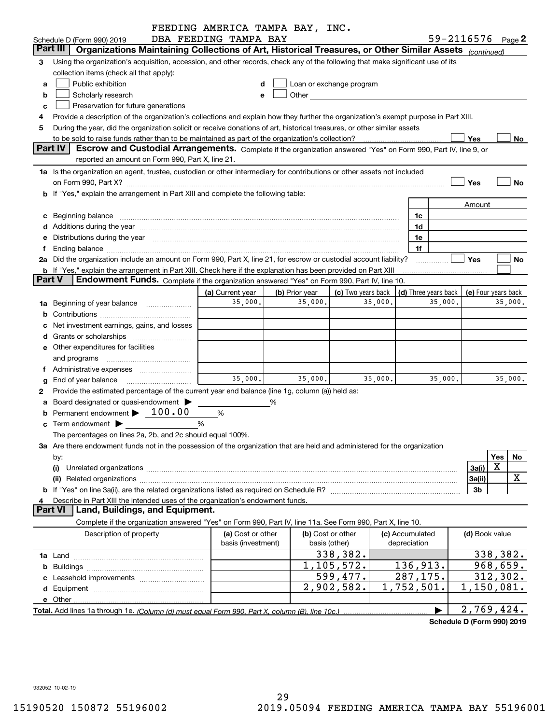|               |                                                                                                                                                                                                                                                                  | FEEDING AMERICA TAMPA BAY, INC.         |                |                                                                                                                                                                                                                               |         |                                            |         |                |                              |
|---------------|------------------------------------------------------------------------------------------------------------------------------------------------------------------------------------------------------------------------------------------------------------------|-----------------------------------------|----------------|-------------------------------------------------------------------------------------------------------------------------------------------------------------------------------------------------------------------------------|---------|--------------------------------------------|---------|----------------|------------------------------|
|               | Schedule D (Form 990) 2019                                                                                                                                                                                                                                       | DBA FEEDING TAMPA BAY                   |                |                                                                                                                                                                                                                               |         |                                            |         |                | 59-2116576 <sub>Page</sub> 2 |
|               | Part III<br>Organizations Maintaining Collections of Art, Historical Treasures, or Other Similar Assets (continued)                                                                                                                                              |                                         |                |                                                                                                                                                                                                                               |         |                                            |         |                |                              |
| з             | Using the organization's acquisition, accession, and other records, check any of the following that make significant use of its                                                                                                                                  |                                         |                |                                                                                                                                                                                                                               |         |                                            |         |                |                              |
|               | collection items (check all that apply):                                                                                                                                                                                                                         |                                         |                |                                                                                                                                                                                                                               |         |                                            |         |                |                              |
| a             | Public exhibition                                                                                                                                                                                                                                                |                                         |                | Loan or exchange program                                                                                                                                                                                                      |         |                                            |         |                |                              |
| b             | Scholarly research                                                                                                                                                                                                                                               | е                                       |                | Other and the contract of the contract of the contract of the contract of the contract of the contract of the contract of the contract of the contract of the contract of the contract of the contract of the contract of the |         |                                            |         |                |                              |
|               | Preservation for future generations<br>c                                                                                                                                                                                                                         |                                         |                |                                                                                                                                                                                                                               |         |                                            |         |                |                              |
|               | Provide a description of the organization's collections and explain how they further the organization's exempt purpose in Part XIII.<br>During the year, did the organization solicit or receive donations of art, historical treasures, or other similar assets |                                         |                |                                                                                                                                                                                                                               |         |                                            |         |                |                              |
| 5             |                                                                                                                                                                                                                                                                  |                                         |                |                                                                                                                                                                                                                               |         |                                            |         | Yes            | No                           |
|               | <b>Part IV</b><br>Escrow and Custodial Arrangements. Complete if the organization answered "Yes" on Form 990, Part IV, line 9, or                                                                                                                                |                                         |                |                                                                                                                                                                                                                               |         |                                            |         |                |                              |
|               | reported an amount on Form 990, Part X, line 21.                                                                                                                                                                                                                 |                                         |                |                                                                                                                                                                                                                               |         |                                            |         |                |                              |
|               | 1a Is the organization an agent, trustee, custodian or other intermediary for contributions or other assets not included                                                                                                                                         |                                         |                |                                                                                                                                                                                                                               |         |                                            |         |                |                              |
|               | on Form 990, Part X? [11] matter continuum matter contract to the contract of the contract of the contract of the contract of the contract of the contract of the contract of the contract of the contract of the contract of                                    |                                         |                |                                                                                                                                                                                                                               |         |                                            |         | Yes            | No                           |
|               | b If "Yes," explain the arrangement in Part XIII and complete the following table:                                                                                                                                                                               |                                         |                |                                                                                                                                                                                                                               |         |                                            |         |                |                              |
|               |                                                                                                                                                                                                                                                                  |                                         |                |                                                                                                                                                                                                                               |         |                                            |         | Amount         |                              |
|               | c Beginning balance entrance and the contract of the balance of the contract of the contract of the contract of the contract of the contract of the contract of the contract of the contract of the contract of the contract o                                   |                                         |                |                                                                                                                                                                                                                               |         | 1c                                         |         |                |                              |
|               |                                                                                                                                                                                                                                                                  |                                         |                |                                                                                                                                                                                                                               |         | 1d                                         |         |                |                              |
|               | e Distributions during the year manufactured and contained and contained and contained and contained and contained and contained and contained and contained and contained and contained and contained and contained and conta                                   |                                         |                |                                                                                                                                                                                                                               |         | 1e                                         |         |                |                              |
| Ť.            | Ending balance measurements are all the contract of the contract of the contract of the contract of the contract of the contract of the contract of the contract of the contract of the contract of the contract of the contra                                   |                                         |                |                                                                                                                                                                                                                               |         | 1f                                         |         |                |                              |
|               | 2a Did the organization include an amount on Form 990, Part X, line 21, for escrow or custodial account liability?                                                                                                                                               |                                         |                |                                                                                                                                                                                                                               |         |                                            |         | Yes            | No                           |
|               | <b>b</b> If "Yes," explain the arrangement in Part XIII. Check here if the explanation has been provided on Part XIII                                                                                                                                            |                                         |                |                                                                                                                                                                                                                               |         |                                            |         |                |                              |
| <b>Part V</b> | Endowment Funds. Complete if the organization answered "Yes" on Form 990, Part IV, line 10.                                                                                                                                                                      |                                         |                |                                                                                                                                                                                                                               |         |                                            |         |                |                              |
|               |                                                                                                                                                                                                                                                                  | (a) Current year                        | (b) Prior year | (c) Two years back                                                                                                                                                                                                            |         | (d) Three years back   (e) Four years back |         |                |                              |
|               | 1a Beginning of year balance                                                                                                                                                                                                                                     | 35,000.                                 | 35,000.        |                                                                                                                                                                                                                               | 35,000. |                                            | 35,000. |                | 35,000.                      |
|               |                                                                                                                                                                                                                                                                  |                                         |                |                                                                                                                                                                                                                               |         |                                            |         |                |                              |
|               | c Net investment earnings, gains, and losses                                                                                                                                                                                                                     |                                         |                |                                                                                                                                                                                                                               |         |                                            |         |                |                              |
|               |                                                                                                                                                                                                                                                                  |                                         |                |                                                                                                                                                                                                                               |         |                                            |         |                |                              |
|               | e Other expenditures for facilities                                                                                                                                                                                                                              |                                         |                |                                                                                                                                                                                                                               |         |                                            |         |                |                              |
|               | and programs                                                                                                                                                                                                                                                     |                                         |                |                                                                                                                                                                                                                               |         |                                            |         |                |                              |
|               | f Administrative expenses <i></i>                                                                                                                                                                                                                                |                                         |                |                                                                                                                                                                                                                               |         |                                            |         |                |                              |
|               | g End of year balance                                                                                                                                                                                                                                            | 35,000.                                 | 35,000.        |                                                                                                                                                                                                                               | 35,000. |                                            | 35,000. |                | 35,000.                      |
| 2             | Provide the estimated percentage of the current year end balance (line 1g, column (a)) held as:                                                                                                                                                                  |                                         |                |                                                                                                                                                                                                                               |         |                                            |         |                |                              |
|               | a Board designated or quasi-endowment >                                                                                                                                                                                                                          |                                         | %              |                                                                                                                                                                                                                               |         |                                            |         |                |                              |
|               | Permanent endowment > 100.00                                                                                                                                                                                                                                     | %                                       |                |                                                                                                                                                                                                                               |         |                                            |         |                |                              |
|               | $\mathbf c$ Term endowment $\blacktriangleright$                                                                                                                                                                                                                 | %                                       |                |                                                                                                                                                                                                                               |         |                                            |         |                |                              |
|               | The percentages on lines 2a, 2b, and 2c should equal 100%.                                                                                                                                                                                                       |                                         |                |                                                                                                                                                                                                                               |         |                                            |         |                |                              |
|               | 3a Are there endowment funds not in the possession of the organization that are held and administered for the organization                                                                                                                                       |                                         |                |                                                                                                                                                                                                                               |         |                                            |         |                |                              |
|               | by:                                                                                                                                                                                                                                                              |                                         |                |                                                                                                                                                                                                                               |         |                                            |         |                | Yes<br>No                    |
|               | (i)                                                                                                                                                                                                                                                              |                                         |                |                                                                                                                                                                                                                               |         |                                            |         | 3a(i)          | X                            |
|               |                                                                                                                                                                                                                                                                  |                                         |                |                                                                                                                                                                                                                               |         |                                            |         | 3a(ii)         | x                            |
|               |                                                                                                                                                                                                                                                                  |                                         |                |                                                                                                                                                                                                                               |         |                                            |         | 3b             |                              |
| 4             | Describe in Part XIII the intended uses of the organization's endowment funds.<br><b>Part VI</b><br>Land, Buildings, and Equipment.                                                                                                                              |                                         |                |                                                                                                                                                                                                                               |         |                                            |         |                |                              |
|               | Complete if the organization answered "Yes" on Form 990, Part IV, line 11a. See Form 990, Part X, line 10.                                                                                                                                                       |                                         |                |                                                                                                                                                                                                                               |         |                                            |         |                |                              |
|               |                                                                                                                                                                                                                                                                  |                                         |                |                                                                                                                                                                                                                               |         |                                            |         |                |                              |
|               | Description of property                                                                                                                                                                                                                                          | (a) Cost or other<br>basis (investment) |                | (b) Cost or other<br>basis (other)                                                                                                                                                                                            |         | (c) Accumulated<br>depreciation            |         | (d) Book value |                              |
|               |                                                                                                                                                                                                                                                                  |                                         |                | 338,382.                                                                                                                                                                                                                      |         |                                            |         |                | 338,382.                     |
|               |                                                                                                                                                                                                                                                                  |                                         |                | 1,105,572.                                                                                                                                                                                                                    |         | 136,913.                                   |         |                | 968,659.                     |
|               |                                                                                                                                                                                                                                                                  |                                         |                | 599,477.                                                                                                                                                                                                                      |         | 287,175.                                   |         |                | 312,302.                     |
|               |                                                                                                                                                                                                                                                                  |                                         |                | 2,902,582.                                                                                                                                                                                                                    |         | 1,752,501.                                 |         |                | $\overline{1,150,081}$ .     |
|               |                                                                                                                                                                                                                                                                  |                                         |                |                                                                                                                                                                                                                               |         |                                            |         |                |                              |
|               |                                                                                                                                                                                                                                                                  |                                         |                |                                                                                                                                                                                                                               |         |                                            |         |                | 2,769,424.                   |
|               |                                                                                                                                                                                                                                                                  |                                         |                |                                                                                                                                                                                                                               |         |                                            |         |                | Schedule D (Form 990) 2019   |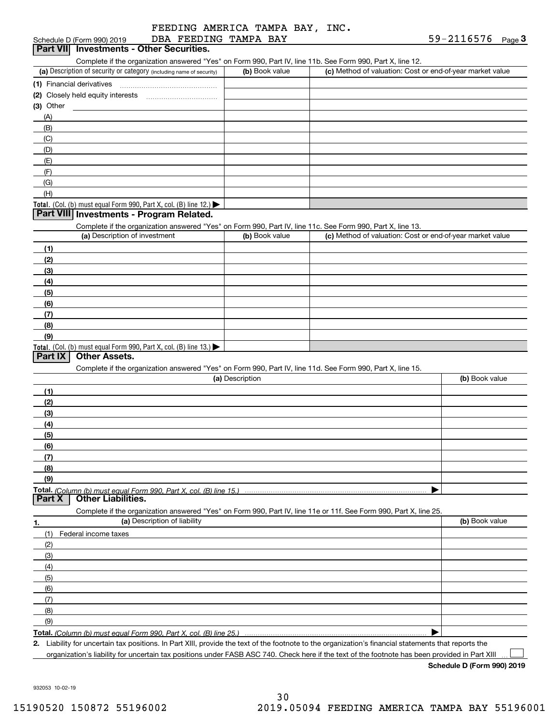|  | FEEDING AMERICA TAMPA BAY, INC. |  |  |  |
|--|---------------------------------|--|--|--|
|  | זיגם גהאגה הזידרים בים גם       |  |  |  |

#### (a) Description of security or category (including name of security)  $\vert$  (b) Book value  $\vert$  (c) Total. (Col. (b) must equal Form 990, Part X, col. (B) line 12.) Total. (Col. (b) must equal Form 990, Part X, col. (B) line 13.) **(1)** Financial derivatives ~~~~~~~~~~~~~~~**(2)** Closely held equity interests **(3)** Other (a) Description of investment **b (b)** Book value **(1)(2) (3)(4) (5)(6)(7)(8)(9)(a) (b)**  Description**(1)(2) (3)(4)(5) (6)(7) (8)(9)Total.**  *(Column (b) must equal Form 990, Part X, col. (B) line 15.)* **1.(a)** Description of liability **Book value** Book value Book value Book value Book value **Total.**  *(Column (b) must equal Form 990, Part X, col. (B) line 25.)* Schedule D (Form 990) 2019 Page DBA FEEDING TAMPA BAY 59-2116576 Complete if the organization answered "Yes" on Form 990, Part IV, line 11b. See Form 990, Part X, line 12.  $(b)$  Book value  $\vert$  (c) Method of valuation: Cost or end-of-year market value (A)(B)(C)(D)(E)(F)(G)(H)Complete if the organization answered "Yes" on Form 990, Part IV, line 11c. See Form 990, Part X, line 13. (c) Method of valuation: Cost or end-of-year market value Complete if the organization answered "Yes" on Form 990, Part IV, line 11d. See Form 990, Part X, line 15. (b) Book value  $\blacktriangleright$ Complete if the organization answered "Yes" on Form 990, Part IV, line 11e or 11f. See Form 990, Part X, line 25. (1)Federal income taxes (2)(3)(4)(5)(6)(7)(8)(9) $\blacktriangleright$ Schedule D (Form 990) 2019 DBA FEEDING TAMPA BAY **1998 10:00 10:00 10:00 10:00 10:00 10:00 10:00 10:00 10:00 10:00 10:00 10:00 10:00 10:00 10:00 10:00 10:00 10:00 10:00 10:00 10:00 10:00 10:00 10:00 10:00 10:00 10:00 10: Part VIII Investments - Program Related. Part IX Other Assets. Part X Other Liabilities.**

**2.**Liability for uncertain tax positions. In Part XIII, provide the text of the footnote to the organization's financial statements that reports the organization's liability for uncertain tax positions under FASB ASC 740. Check here if the text of the footnote has been provided in Part XIII

**Schedule D (Form 990) 2019**

 $\mathcal{L}^{\text{max}}$ 

932053 10-02-19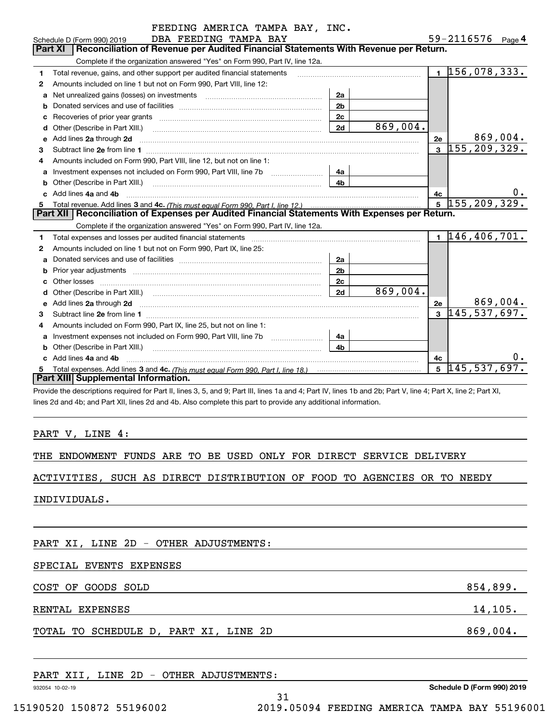|    | FEEDING AMERICA TAMPA BAY, INC.                                                                                                                                                                                                      |                |          |              |                              |          |
|----|--------------------------------------------------------------------------------------------------------------------------------------------------------------------------------------------------------------------------------------|----------------|----------|--------------|------------------------------|----------|
|    | DBA FEEDING TAMPA BAY<br>Schedule D (Form 990) 2019                                                                                                                                                                                  |                |          |              | 59-2116576 Page 4            |          |
|    | Reconciliation of Revenue per Audited Financial Statements With Revenue per Return.<br>Part XI                                                                                                                                       |                |          |              |                              |          |
|    | Complete if the organization answered "Yes" on Form 990, Part IV, line 12a.                                                                                                                                                          |                |          |              |                              |          |
| 1  | Total revenue, gains, and other support per audited financial statements                                                                                                                                                             |                |          |              | $1\vert 156, 078, 333.$      |          |
| 2  | Amounts included on line 1 but not on Form 990, Part VIII, line 12:                                                                                                                                                                  |                |          |              |                              |          |
| a  |                                                                                                                                                                                                                                      | 2a             |          |              |                              |          |
| b  |                                                                                                                                                                                                                                      | 2 <sub>b</sub> |          |              |                              |          |
| с  |                                                                                                                                                                                                                                      | 2c             |          |              |                              |          |
| d  | Other (Describe in Part XIII.) [100] [100] [100] [100] [100] [100] [100] [100] [100] [100] [100] [100] [100] [                                                                                                                       | 2d             | 869,004. |              |                              |          |
| е  | Add lines 2a through 2d <b>continuum contract and all contract and all contract and all contract and all contract and all contract and all contract and all contract and all contract and all contract and all contract and all </b> |                |          | 2e           |                              | 869,004. |
| 3  |                                                                                                                                                                                                                                      |                |          |              | $3\; 155,209,329.$           |          |
| 4  | Amounts included on Form 990, Part VIII, line 12, but not on line 1:                                                                                                                                                                 |                |          |              |                              |          |
| a  | Investment expenses not included on Form 990, Part VIII, line 7b [1000000000000000000000000000000000                                                                                                                                 | 4a l           |          |              |                              |          |
| b  |                                                                                                                                                                                                                                      | 4b             |          |              |                              |          |
| c. | Add lines 4a and 4b                                                                                                                                                                                                                  |                |          | 4c           |                              |          |
| 5. |                                                                                                                                                                                                                                      |                |          |              | $5\vert 155, 209, 329.$      |          |
|    | Part XII   Reconciliation of Expenses per Audited Financial Statements With Expenses per Return.                                                                                                                                     |                |          |              |                              |          |
|    | Complete if the organization answered "Yes" on Form 990, Part IV, line 12a.                                                                                                                                                          |                |          |              |                              |          |
| 1  | Total expenses and losses per audited financial statements [11, 11] manuscription control expenses and losses per audited financial statements [11] manuscription of the statements [11] manuscription of the statements [11]        |                |          |              | $1\overline{146,406,701}$ .  |          |
| 2  | Amounts included on line 1 but not on Form 990, Part IX, line 25:                                                                                                                                                                    |                |          |              |                              |          |
| а  |                                                                                                                                                                                                                                      | 2a             |          |              |                              |          |
| b  |                                                                                                                                                                                                                                      | 2 <sub>b</sub> |          |              |                              |          |
| с  |                                                                                                                                                                                                                                      | 2 <sub>c</sub> |          |              |                              |          |
|    |                                                                                                                                                                                                                                      | 2d             | 869,004. |              |                              |          |
| е  | Add lines 2a through 2d <b>contract and a contract and a contract a</b> contract a contract and a contract a contract a                                                                                                              |                |          | 2e           |                              | 869,004. |
| з  |                                                                                                                                                                                                                                      |                |          | $\mathbf{a}$ | $\overline{145, 537, 697}$ . |          |
| 4  | Amounts included on Form 990, Part IX, line 25, but not on line 1:                                                                                                                                                                   |                |          |              |                              |          |
| а  | Investment expenses not included on Form 990, Part VIII, line 7b [1000000000000000000000000000000000                                                                                                                                 | 4a             |          |              |                              |          |
| b  | Other (Describe in Part XIII.) <b>Construction Contract Construction</b> Chemistry Construction Chemistry Chemistry Chemistry Chemistry Chemistry Chemistry Chemistry Chemistry Chemistry Chemistry Chemistry Chemistry Chemistry C  | 4 <sub>h</sub> |          |              |                              |          |
| c. | Add lines 4a and 4b                                                                                                                                                                                                                  |                |          | 4c           |                              |          |
|    |                                                                                                                                                                                                                                      |                |          | 5            | 145,537,697.                 |          |
|    | Part XIII Supplemental Information.                                                                                                                                                                                                  |                |          |              |                              |          |

Provide the descriptions required for Part II, lines 3, 5, and 9; Part III, lines 1a and 4; Part IV, lines 1b and 2b; Part V, line 4; Part X, line 2; Part XI, lines 2d and 4b; and Part XII, lines 2d and 4b. Also complete this part to provide any additional information.

PART V, LINE 4:

THE ENDOWMENT FUNDS ARE TO BE USED ONLY FOR DIRECT SERVICE DELIVERY

ACTIVITIES, SUCH AS DIRECT DISTRIBUTION OF FOOD TO AGENCIES OR TO NEEDY

INDIVIDUALS.

PART XI, LINE 2D - OTHER ADJUSTMENTS:

### SPECIAL EVENTS EXPENSES

COST OF GOODS SOLD 854,899.

RENTAL EXPENSES 14, 105.

TOTAL TO SCHEDULE D, PART XI, LINE 2D 869,004.

| PART XII,       |  |  | LINE 2D - OTHER ADJUSTMENTS: |                            |
|-----------------|--|--|------------------------------|----------------------------|
| 932054 10-02-19 |  |  |                              | Schedule D (Form 990) 2019 |
|                 |  |  |                              |                            |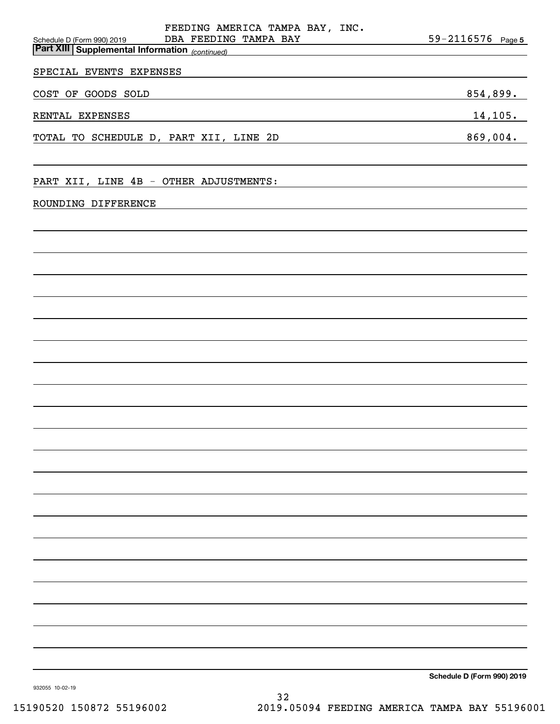|                                        | FEEDING AMERICA TAMPA BAY, INC.<br>DBA FEEDING TAMPA BAY                                                                                                                                                                      | $59 - 2116576$ Page 5      |
|----------------------------------------|-------------------------------------------------------------------------------------------------------------------------------------------------------------------------------------------------------------------------------|----------------------------|
| Schedule D (Form 990) 2019             | <b>Part XIII Supplemental Information</b> (continued)                                                                                                                                                                         |                            |
| SPECIAL EVENTS EXPENSES                |                                                                                                                                                                                                                               |                            |
| COST OF GOODS SOLD                     | the control of the control of the control of the control of the control of the control of the control of the control of the control of the control of the control of the control of the control of the control of the control | 854,899.                   |
| RENTAL EXPENSES                        |                                                                                                                                                                                                                               | 14, 105.                   |
| TOTAL TO SCHEDULE D, PART XII, LINE 2D |                                                                                                                                                                                                                               | 869,004.                   |
|                                        |                                                                                                                                                                                                                               |                            |
| PART XII, LINE 4B - OTHER ADJUSTMENTS: |                                                                                                                                                                                                                               |                            |
| ROUNDING DIFFERENCE                    |                                                                                                                                                                                                                               |                            |
|                                        |                                                                                                                                                                                                                               |                            |
|                                        |                                                                                                                                                                                                                               |                            |
|                                        |                                                                                                                                                                                                                               |                            |
|                                        |                                                                                                                                                                                                                               |                            |
|                                        |                                                                                                                                                                                                                               |                            |
|                                        |                                                                                                                                                                                                                               |                            |
|                                        |                                                                                                                                                                                                                               |                            |
|                                        |                                                                                                                                                                                                                               |                            |
|                                        |                                                                                                                                                                                                                               |                            |
|                                        |                                                                                                                                                                                                                               |                            |
|                                        |                                                                                                                                                                                                                               |                            |
|                                        |                                                                                                                                                                                                                               |                            |
|                                        |                                                                                                                                                                                                                               |                            |
|                                        |                                                                                                                                                                                                                               |                            |
|                                        |                                                                                                                                                                                                                               |                            |
|                                        |                                                                                                                                                                                                                               |                            |
|                                        |                                                                                                                                                                                                                               |                            |
|                                        |                                                                                                                                                                                                                               |                            |
|                                        |                                                                                                                                                                                                                               |                            |
|                                        |                                                                                                                                                                                                                               |                            |
|                                        |                                                                                                                                                                                                                               | Schedule D (Form 990) 2019 |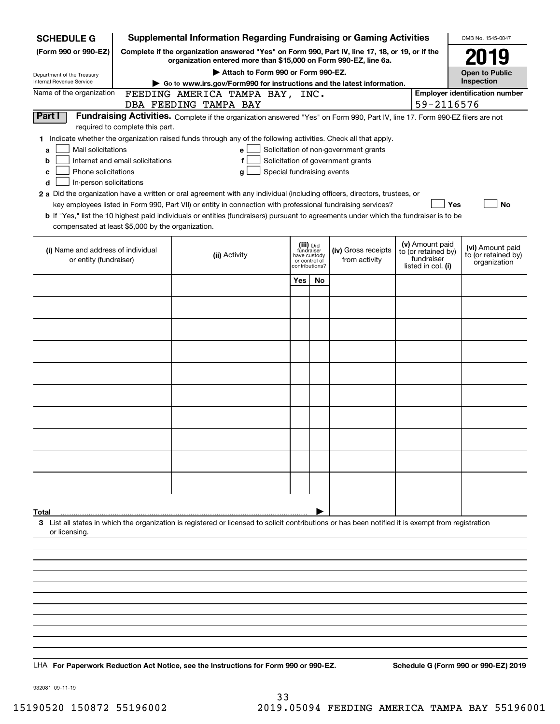| <b>SCHEDULE G</b>                                                               |                                                        | <b>Supplemental Information Regarding Fundraising or Gaming Activities</b>                                                                                          |                                                 |     |                                       |  |                                        | OMB No. 1545-0047                     |  |  |
|---------------------------------------------------------------------------------|--------------------------------------------------------|---------------------------------------------------------------------------------------------------------------------------------------------------------------------|-------------------------------------------------|-----|---------------------------------------|--|----------------------------------------|---------------------------------------|--|--|
| (Form 990 or 990-EZ)                                                            |                                                        | Complete if the organization answered "Yes" on Form 990, Part IV, line 17, 18, or 19, or if the<br>organization entered more than \$15,000 on Form 990-EZ, line 6a. |                                                 |     |                                       |  |                                        | 2019                                  |  |  |
| Department of the Treasury                                                      |                                                        | Attach to Form 990 or Form 990-EZ.                                                                                                                                  |                                                 |     |                                       |  |                                        | <b>Open to Public</b><br>Inspection   |  |  |
| Internal Revenue Service<br>Name of the organization                            |                                                        | Go to www.irs.gov/Form990 for instructions and the latest information.<br>FEEDING AMERICA TAMPA BAY, INC.                                                           |                                                 |     |                                       |  |                                        | <b>Employer identification number</b> |  |  |
|                                                                                 |                                                        | DBA FEEDING TAMPA BAY                                                                                                                                               |                                                 |     |                                       |  | 59-2116576                             |                                       |  |  |
| Part I                                                                          |                                                        | Fundraising Activities. Complete if the organization answered "Yes" on Form 990, Part IV, line 17. Form 990-EZ filers are not                                       |                                                 |     |                                       |  |                                        |                                       |  |  |
|                                                                                 | required to complete this part.                        | 1 Indicate whether the organization raised funds through any of the following activities. Check all that apply.                                                     |                                                 |     |                                       |  |                                        |                                       |  |  |
| Mail solicitations<br>a                                                         |                                                        | e                                                                                                                                                                   |                                                 |     | Solicitation of non-government grants |  |                                        |                                       |  |  |
| Internet and email solicitations<br>Solicitation of government grants<br>f<br>b |                                                        |                                                                                                                                                                     |                                                 |     |                                       |  |                                        |                                       |  |  |
| с                                                                               | Phone solicitations<br>Special fundraising events<br>g |                                                                                                                                                                     |                                                 |     |                                       |  |                                        |                                       |  |  |
| In-person solicitations<br>d                                                    |                                                        | 2 a Did the organization have a written or oral agreement with any individual (including officers, directors, trustees, or                                          |                                                 |     |                                       |  |                                        |                                       |  |  |
|                                                                                 |                                                        | key employees listed in Form 990, Part VII) or entity in connection with professional fundraising services?                                                         |                                                 |     |                                       |  | <b>Yes</b>                             | No                                    |  |  |
|                                                                                 |                                                        | <b>b</b> If "Yes," list the 10 highest paid individuals or entities (fundraisers) pursuant to agreements under which the fundraiser is to be                        |                                                 |     |                                       |  |                                        |                                       |  |  |
| compensated at least \$5,000 by the organization.                               |                                                        |                                                                                                                                                                     |                                                 |     |                                       |  |                                        |                                       |  |  |
| (i) Name and address of individual                                              |                                                        |                                                                                                                                                                     | (iii) Did<br>fundraiser                         |     | (iv) Gross receipts                   |  | (v) Amount paid<br>to (or retained by) | (vi) Amount paid                      |  |  |
| or entity (fundraiser)                                                          |                                                        | (ii) Activity                                                                                                                                                       | have custody<br>or control of<br>contributions? |     | from activity                         |  | fundraiser<br>listed in col. (i)       | to (or retained by)<br>organization   |  |  |
|                                                                                 |                                                        |                                                                                                                                                                     | Yes                                             | No. |                                       |  |                                        |                                       |  |  |
|                                                                                 |                                                        |                                                                                                                                                                     |                                                 |     |                                       |  |                                        |                                       |  |  |
|                                                                                 |                                                        |                                                                                                                                                                     |                                                 |     |                                       |  |                                        |                                       |  |  |
|                                                                                 |                                                        |                                                                                                                                                                     |                                                 |     |                                       |  |                                        |                                       |  |  |
|                                                                                 |                                                        |                                                                                                                                                                     |                                                 |     |                                       |  |                                        |                                       |  |  |
|                                                                                 |                                                        |                                                                                                                                                                     |                                                 |     |                                       |  |                                        |                                       |  |  |
|                                                                                 |                                                        |                                                                                                                                                                     |                                                 |     |                                       |  |                                        |                                       |  |  |
|                                                                                 |                                                        |                                                                                                                                                                     |                                                 |     |                                       |  |                                        |                                       |  |  |
|                                                                                 |                                                        |                                                                                                                                                                     |                                                 |     |                                       |  |                                        |                                       |  |  |
|                                                                                 |                                                        |                                                                                                                                                                     |                                                 |     |                                       |  |                                        |                                       |  |  |
|                                                                                 |                                                        |                                                                                                                                                                     |                                                 |     |                                       |  |                                        |                                       |  |  |
|                                                                                 |                                                        |                                                                                                                                                                     |                                                 |     |                                       |  |                                        |                                       |  |  |
|                                                                                 |                                                        |                                                                                                                                                                     |                                                 |     |                                       |  |                                        |                                       |  |  |
|                                                                                 |                                                        |                                                                                                                                                                     |                                                 |     |                                       |  |                                        |                                       |  |  |
|                                                                                 |                                                        |                                                                                                                                                                     |                                                 |     |                                       |  |                                        |                                       |  |  |
|                                                                                 |                                                        |                                                                                                                                                                     |                                                 |     |                                       |  |                                        |                                       |  |  |
| Total                                                                           |                                                        |                                                                                                                                                                     |                                                 |     |                                       |  |                                        |                                       |  |  |
|                                                                                 |                                                        | 3 List all states in which the organization is registered or licensed to solicit contributions or has been notified it is exempt from registration                  |                                                 |     |                                       |  |                                        |                                       |  |  |
| or licensing.                                                                   |                                                        |                                                                                                                                                                     |                                                 |     |                                       |  |                                        |                                       |  |  |
|                                                                                 |                                                        |                                                                                                                                                                     |                                                 |     |                                       |  |                                        |                                       |  |  |
|                                                                                 |                                                        |                                                                                                                                                                     |                                                 |     |                                       |  |                                        |                                       |  |  |
|                                                                                 |                                                        |                                                                                                                                                                     |                                                 |     |                                       |  |                                        |                                       |  |  |
|                                                                                 |                                                        |                                                                                                                                                                     |                                                 |     |                                       |  |                                        |                                       |  |  |
|                                                                                 |                                                        |                                                                                                                                                                     |                                                 |     |                                       |  |                                        |                                       |  |  |
|                                                                                 |                                                        |                                                                                                                                                                     |                                                 |     |                                       |  |                                        |                                       |  |  |
|                                                                                 |                                                        |                                                                                                                                                                     |                                                 |     |                                       |  |                                        |                                       |  |  |
|                                                                                 |                                                        |                                                                                                                                                                     |                                                 |     |                                       |  |                                        |                                       |  |  |
|                                                                                 |                                                        | LHA For Paperwork Reduction Act Notice, see the Instructions for Form 990 or 990-EZ.                                                                                |                                                 |     |                                       |  |                                        | Schedule G (Form 990 or 990-EZ) 2019  |  |  |

932081 09-11-19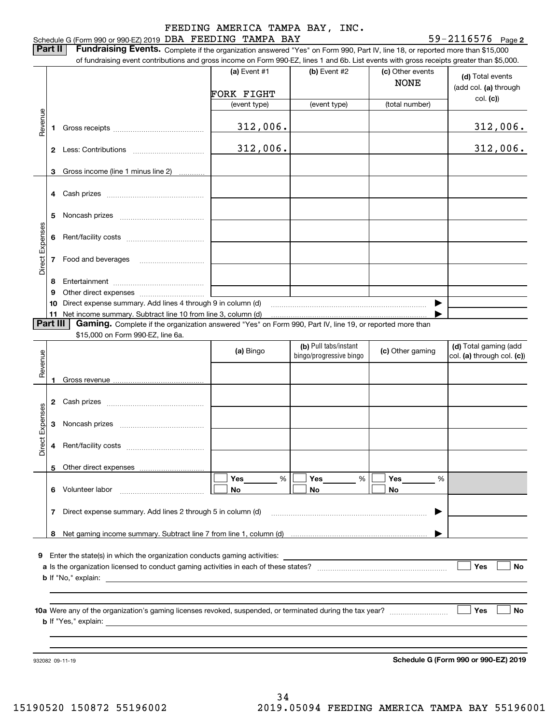#### Schedule G (Form 990 or 990-EZ) 2019 DBA FEEDING TAMPA BAY  $59-2116576$  Page FEEDING AMERICA TAMPA BAY, INC.

**2**

**Part II** | Fundraising Events. Complete if the organization answered "Yes" on Form 990, Part IV, line 18, or reported more than \$15,000 of fundraising event contributions and gross income on Form 990-EZ, lines 1 and 6b. List events with gross receipts greater than \$5,000.

|                 |    | 01 lunuraising event continuutions and gross income on Form 990-CZ, inies T and OD. List events with gross receipts greater than \$0,000. |                |                                                  |                                 |                                                     |
|-----------------|----|-------------------------------------------------------------------------------------------------------------------------------------------|----------------|--------------------------------------------------|---------------------------------|-----------------------------------------------------|
|                 |    |                                                                                                                                           | (a) Event $#1$ | $(b)$ Event #2                                   | (c) Other events<br><b>NONE</b> | (d) Total events<br>(add col. (a) through           |
|                 |    |                                                                                                                                           | FORK FIGHT     |                                                  |                                 | col. (c)                                            |
|                 |    |                                                                                                                                           | (event type)   | (event type)                                     | (total number)                  |                                                     |
| Revenue         | 1  |                                                                                                                                           | 312,006.       |                                                  |                                 | 312,006.                                            |
|                 |    |                                                                                                                                           | 312,006.       |                                                  |                                 | 312,006.                                            |
|                 | 3  | Gross income (line 1 minus line 2)                                                                                                        |                |                                                  |                                 |                                                     |
|                 |    |                                                                                                                                           |                |                                                  |                                 |                                                     |
|                 | 4  |                                                                                                                                           |                |                                                  |                                 |                                                     |
|                 | 5  |                                                                                                                                           |                |                                                  |                                 |                                                     |
|                 | 6  |                                                                                                                                           |                |                                                  |                                 |                                                     |
| Direct Expenses |    |                                                                                                                                           |                |                                                  |                                 |                                                     |
|                 | 8  |                                                                                                                                           |                |                                                  |                                 |                                                     |
|                 | 9  |                                                                                                                                           |                |                                                  |                                 |                                                     |
|                 | 10 | Direct expense summary. Add lines 4 through 9 in column (d)                                                                               |                |                                                  | ▶                               |                                                     |
|                 |    | 11 Net income summary. Subtract line 10 from line 3, column (d)                                                                           |                |                                                  |                                 |                                                     |
| Part III        |    | Gaming. Complete if the organization answered "Yes" on Form 990, Part IV, line 19, or reported more than                                  |                |                                                  |                                 |                                                     |
|                 |    | \$15,000 on Form 990-EZ, line 6a.                                                                                                         |                |                                                  |                                 |                                                     |
| Revenue         |    |                                                                                                                                           | (a) Bingo      | (b) Pull tabs/instant<br>bingo/progressive bingo | (c) Other gaming                | (d) Total gaming (add<br>col. (a) through col. (c)) |
|                 |    |                                                                                                                                           |                |                                                  |                                 |                                                     |
|                 | 1  |                                                                                                                                           |                |                                                  |                                 |                                                     |
|                 |    |                                                                                                                                           |                |                                                  |                                 |                                                     |
|                 | 3  |                                                                                                                                           |                |                                                  |                                 |                                                     |
| Direct Expenses | 4  |                                                                                                                                           |                |                                                  |                                 |                                                     |
|                 |    | 5 Other direct expenses                                                                                                                   |                |                                                  |                                 |                                                     |
|                 |    |                                                                                                                                           | Yes<br>%       | Yes                                              | %<br>Yes<br>%                   |                                                     |
|                 | 6  | Volunteer labor                                                                                                                           | No             | No                                               | No                              |                                                     |
|                 | 7  | Direct expense summary. Add lines 2 through 5 in column (d)                                                                               |                |                                                  |                                 |                                                     |
|                 | 8  |                                                                                                                                           |                |                                                  |                                 |                                                     |
|                 |    |                                                                                                                                           |                |                                                  |                                 |                                                     |
| 9               |    |                                                                                                                                           |                |                                                  |                                 |                                                     |
|                 |    |                                                                                                                                           |                |                                                  |                                 | Yes<br><b>No</b>                                    |
|                 |    |                                                                                                                                           |                |                                                  |                                 |                                                     |
|                 |    |                                                                                                                                           |                |                                                  |                                 |                                                     |
|                 |    |                                                                                                                                           |                |                                                  |                                 |                                                     |
|                 |    |                                                                                                                                           |                |                                                  |                                 | Yes<br><b>No</b>                                    |
|                 |    |                                                                                                                                           |                |                                                  |                                 |                                                     |
|                 |    |                                                                                                                                           |                |                                                  |                                 |                                                     |
|                 |    |                                                                                                                                           |                |                                                  |                                 |                                                     |
|                 |    | 932082 09-11-19                                                                                                                           |                |                                                  |                                 | Schedule G (Form 990 or 990-EZ) 2019                |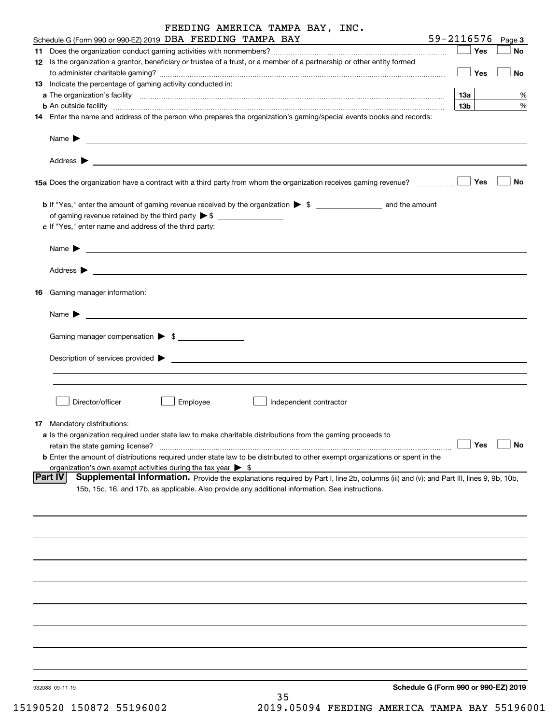| FEEDING AMERICA TAMPA BAY, INC.                                                                                                                                                                                                           |                        |                                      |
|-------------------------------------------------------------------------------------------------------------------------------------------------------------------------------------------------------------------------------------------|------------------------|--------------------------------------|
| Schedule G (Form 990 or 990-EZ) 2019 DBA FEEDING TAMPA BAY                                                                                                                                                                                |                        | 59-2116576<br>Page 3                 |
| 11                                                                                                                                                                                                                                        |                        | Yes<br>No                            |
| 12 Is the organization a grantor, beneficiary or trustee of a trust, or a member of a partnership or other entity formed                                                                                                                  |                        | $\vert$ Yes<br>No                    |
| 13 Indicate the percentage of gaming activity conducted in:                                                                                                                                                                               |                        |                                      |
|                                                                                                                                                                                                                                           |                        | 13а<br>%                             |
| <b>b</b> An outside facility <b>contained and the contract of the contract of the contract of the contract of the contract of the contract of the contract of the contract of the contract of the contract of the contract of the con</b> |                        | 13 <sub>b</sub><br>%                 |
| 14 Enter the name and address of the person who prepares the organization's gaming/special events books and records:                                                                                                                      |                        |                                      |
|                                                                                                                                                                                                                                           |                        |                                      |
|                                                                                                                                                                                                                                           |                        |                                      |
|                                                                                                                                                                                                                                           |                        | No                                   |
|                                                                                                                                                                                                                                           |                        |                                      |
| of gaming revenue retained by the third party $\triangleright$ \$                                                                                                                                                                         |                        |                                      |
| c If "Yes," enter name and address of the third party:                                                                                                                                                                                    |                        |                                      |
| Name $\blacktriangleright$                                                                                                                                                                                                                |                        |                                      |
|                                                                                                                                                                                                                                           |                        |                                      |
| Gaming manager information:<br>16                                                                                                                                                                                                         |                        |                                      |
|                                                                                                                                                                                                                                           |                        |                                      |
| Gaming manager compensation > \$                                                                                                                                                                                                          |                        |                                      |
|                                                                                                                                                                                                                                           |                        |                                      |
| $Description of services provided$ $\triangleright$                                                                                                                                                                                       |                        |                                      |
|                                                                                                                                                                                                                                           |                        |                                      |
|                                                                                                                                                                                                                                           |                        |                                      |
| Director/officer<br>Employee                                                                                                                                                                                                              | Independent contractor |                                      |
| <b>17</b> Mandatory distributions:                                                                                                                                                                                                        |                        |                                      |
| a Is the organization required under state law to make charitable distributions from the gaming proceeds to                                                                                                                               |                        |                                      |
| retain the state gaming license?                                                                                                                                                                                                          |                        | Yes<br>No                            |
| <b>b</b> Enter the amount of distributions required under state law to be distributed to other exempt organizations or spent in the                                                                                                       |                        |                                      |
| organization's own exempt activities during the tax year $\triangleright$ \$<br> Part IV<br>Supplemental Information. Provide the explanations required by Part I, line 2b, columns (iii) and (v); and Part III, lines 9, 9b, 10b,        |                        |                                      |
| 15b, 15c, 16, and 17b, as applicable. Also provide any additional information. See instructions.                                                                                                                                          |                        |                                      |
|                                                                                                                                                                                                                                           |                        |                                      |
|                                                                                                                                                                                                                                           |                        |                                      |
|                                                                                                                                                                                                                                           |                        |                                      |
|                                                                                                                                                                                                                                           |                        |                                      |
|                                                                                                                                                                                                                                           |                        |                                      |
|                                                                                                                                                                                                                                           |                        |                                      |
|                                                                                                                                                                                                                                           |                        |                                      |
|                                                                                                                                                                                                                                           |                        |                                      |
|                                                                                                                                                                                                                                           |                        |                                      |
|                                                                                                                                                                                                                                           |                        |                                      |
| 932083 09-11-19                                                                                                                                                                                                                           |                        | Schedule G (Form 990 or 990-EZ) 2019 |
|                                                                                                                                                                                                                                           | 35                     |                                      |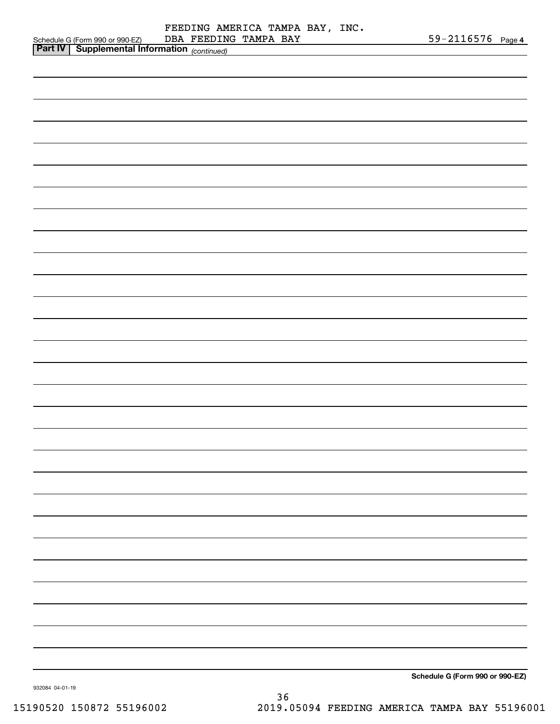|                                                                                             | FEEDING AMERICA TAMPA BAY, INC. |                                 |
|---------------------------------------------------------------------------------------------|---------------------------------|---------------------------------|
| Schedule G (Form 990 or 990-EZ) DBA FEEDING<br>Part IV Supplemental Information (continued) | DBA FEEDING TAMPA BAY           | $59 - 2116576$ Page 4           |
|                                                                                             |                                 |                                 |
|                                                                                             |                                 |                                 |
|                                                                                             |                                 |                                 |
|                                                                                             |                                 |                                 |
|                                                                                             |                                 |                                 |
|                                                                                             |                                 |                                 |
|                                                                                             |                                 |                                 |
|                                                                                             |                                 |                                 |
|                                                                                             |                                 |                                 |
|                                                                                             |                                 |                                 |
|                                                                                             |                                 |                                 |
|                                                                                             |                                 |                                 |
|                                                                                             |                                 |                                 |
|                                                                                             |                                 |                                 |
|                                                                                             |                                 |                                 |
|                                                                                             |                                 |                                 |
|                                                                                             |                                 |                                 |
|                                                                                             |                                 |                                 |
|                                                                                             |                                 |                                 |
|                                                                                             |                                 |                                 |
|                                                                                             |                                 |                                 |
|                                                                                             |                                 |                                 |
|                                                                                             |                                 |                                 |
|                                                                                             |                                 |                                 |
|                                                                                             |                                 |                                 |
|                                                                                             |                                 |                                 |
|                                                                                             |                                 |                                 |
|                                                                                             |                                 |                                 |
|                                                                                             |                                 |                                 |
|                                                                                             |                                 |                                 |
|                                                                                             |                                 |                                 |
|                                                                                             |                                 |                                 |
|                                                                                             |                                 |                                 |
|                                                                                             |                                 |                                 |
|                                                                                             |                                 |                                 |
|                                                                                             |                                 |                                 |
|                                                                                             |                                 |                                 |
|                                                                                             |                                 |                                 |
|                                                                                             |                                 |                                 |
|                                                                                             |                                 |                                 |
|                                                                                             |                                 |                                 |
|                                                                                             |                                 |                                 |
|                                                                                             |                                 |                                 |
|                                                                                             |                                 |                                 |
|                                                                                             |                                 |                                 |
|                                                                                             |                                 |                                 |
|                                                                                             |                                 |                                 |
|                                                                                             |                                 |                                 |
|                                                                                             |                                 |                                 |
|                                                                                             |                                 |                                 |
| 000001010111                                                                                |                                 | Schedule G (Form 990 or 990-EZ) |

932084 04-01-19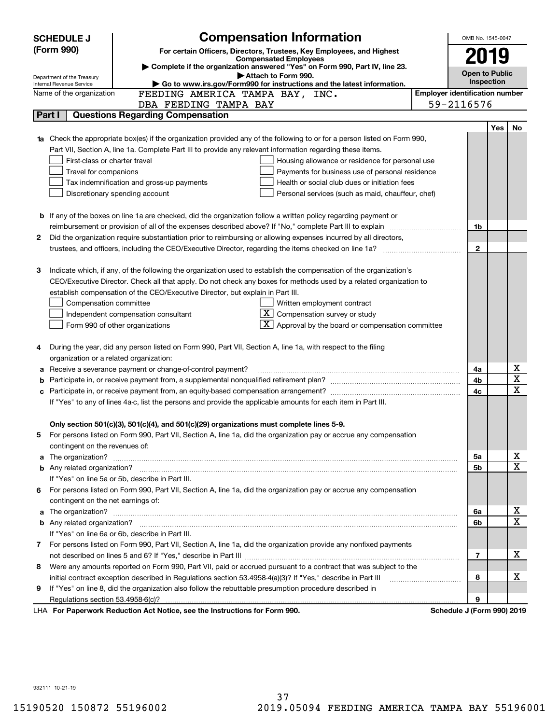|    | <b>SCHEDULE J</b>                                |                                                                                          | <b>Compensation Information</b>                                                                                                                                                                                                      |                                       | OMB No. 1545-0047          |            |                         |
|----|--------------------------------------------------|------------------------------------------------------------------------------------------|--------------------------------------------------------------------------------------------------------------------------------------------------------------------------------------------------------------------------------------|---------------------------------------|----------------------------|------------|-------------------------|
|    | (Form 990)                                       |                                                                                          | For certain Officers, Directors, Trustees, Key Employees, and Highest                                                                                                                                                                |                                       |                            |            |                         |
|    |                                                  |                                                                                          | <b>Compensated Employees</b>                                                                                                                                                                                                         |                                       | 2019                       |            |                         |
|    | Department of the Treasury                       |                                                                                          | Complete if the organization answered "Yes" on Form 990, Part IV, line 23.<br>Attach to Form 990.                                                                                                                                    |                                       | <b>Open to Public</b>      |            |                         |
|    | Internal Revenue Service                         |                                                                                          | Go to www.irs.gov/Form990 for instructions and the latest information.                                                                                                                                                               |                                       | Inspection                 |            |                         |
|    | Name of the organization                         | FEEDING AMERICA TAMPA BAY, INC.                                                          |                                                                                                                                                                                                                                      | <b>Employer identification number</b> |                            |            |                         |
|    |                                                  | DBA FEEDING TAMPA BAY                                                                    |                                                                                                                                                                                                                                      |                                       | 59-2116576                 |            |                         |
|    | Part I                                           | <b>Questions Regarding Compensation</b>                                                  |                                                                                                                                                                                                                                      |                                       |                            |            |                         |
|    |                                                  |                                                                                          |                                                                                                                                                                                                                                      |                                       |                            | <b>Yes</b> | No                      |
|    |                                                  |                                                                                          | 1a Check the appropriate box(es) if the organization provided any of the following to or for a person listed on Form 990,                                                                                                            |                                       |                            |            |                         |
|    |                                                  |                                                                                          | Part VII, Section A, line 1a. Complete Part III to provide any relevant information regarding these items.                                                                                                                           |                                       |                            |            |                         |
|    | First-class or charter travel                    |                                                                                          | Housing allowance or residence for personal use                                                                                                                                                                                      |                                       |                            |            |                         |
|    | Travel for companions                            |                                                                                          | Payments for business use of personal residence                                                                                                                                                                                      |                                       |                            |            |                         |
|    |                                                  | Tax indemnification and gross-up payments                                                | Health or social club dues or initiation fees                                                                                                                                                                                        |                                       |                            |            |                         |
|    | Discretionary spending account                   |                                                                                          | Personal services (such as maid, chauffeur, chef)                                                                                                                                                                                    |                                       |                            |            |                         |
|    |                                                  |                                                                                          |                                                                                                                                                                                                                                      |                                       |                            |            |                         |
|    |                                                  |                                                                                          | <b>b</b> If any of the boxes on line 1a are checked, did the organization follow a written policy regarding payment or                                                                                                               |                                       |                            |            |                         |
|    |                                                  |                                                                                          |                                                                                                                                                                                                                                      |                                       | 1b                         |            |                         |
| 2  |                                                  |                                                                                          | Did the organization require substantiation prior to reimbursing or allowing expenses incurred by all directors,                                                                                                                     |                                       |                            |            |                         |
|    |                                                  |                                                                                          | trustees, and officers, including the CEO/Executive Director, regarding the items checked on line 1a?                                                                                                                                |                                       | $\mathbf{2}$               |            |                         |
|    |                                                  |                                                                                          |                                                                                                                                                                                                                                      |                                       |                            |            |                         |
| 3  |                                                  |                                                                                          | Indicate which, if any, of the following the organization used to establish the compensation of the organization's                                                                                                                   |                                       |                            |            |                         |
|    |                                                  |                                                                                          | CEO/Executive Director. Check all that apply. Do not check any boxes for methods used by a related organization to                                                                                                                   |                                       |                            |            |                         |
|    |                                                  | establish compensation of the CEO/Executive Director, but explain in Part III.           |                                                                                                                                                                                                                                      |                                       |                            |            |                         |
|    | Compensation committee                           |                                                                                          | Written employment contract<br>$\overline{\mathbf{X}}$ Compensation survey or study                                                                                                                                                  |                                       |                            |            |                         |
|    |                                                  | Independent compensation consultant                                                      | $\mathbf{X}$ Approval by the board or compensation committee                                                                                                                                                                         |                                       |                            |            |                         |
|    | Form 990 of other organizations                  |                                                                                          |                                                                                                                                                                                                                                      |                                       |                            |            |                         |
|    |                                                  |                                                                                          | During the year, did any person listed on Form 990, Part VII, Section A, line 1a, with respect to the filing                                                                                                                         |                                       |                            |            |                         |
|    | organization or a related organization:          |                                                                                          |                                                                                                                                                                                                                                      |                                       |                            |            |                         |
|    |                                                  | Receive a severance payment or change-of-control payment?                                |                                                                                                                                                                                                                                      |                                       | 4a                         |            | х                       |
|    |                                                  |                                                                                          |                                                                                                                                                                                                                                      |                                       | 4b                         |            | $\overline{\mathbf{x}}$ |
|    |                                                  |                                                                                          |                                                                                                                                                                                                                                      |                                       | 4c                         |            | $\overline{\mathbf{x}}$ |
|    |                                                  |                                                                                          | If "Yes" to any of lines 4a-c, list the persons and provide the applicable amounts for each item in Part III.                                                                                                                        |                                       |                            |            |                         |
|    |                                                  |                                                                                          |                                                                                                                                                                                                                                      |                                       |                            |            |                         |
|    |                                                  | Only section 501(c)(3), 501(c)(4), and 501(c)(29) organizations must complete lines 5-9. |                                                                                                                                                                                                                                      |                                       |                            |            |                         |
|    |                                                  |                                                                                          | For persons listed on Form 990, Part VII, Section A, line 1a, did the organization pay or accrue any compensation                                                                                                                    |                                       |                            |            |                         |
|    | contingent on the revenues of:                   |                                                                                          |                                                                                                                                                                                                                                      |                                       |                            |            |                         |
|    |                                                  |                                                                                          |                                                                                                                                                                                                                                      |                                       | 5а                         |            | x                       |
|    |                                                  |                                                                                          |                                                                                                                                                                                                                                      |                                       | 5b                         |            | $\overline{\mathbf{x}}$ |
|    | If "Yes" on line 5a or 5b, describe in Part III. |                                                                                          |                                                                                                                                                                                                                                      |                                       |                            |            |                         |
| 6. |                                                  |                                                                                          | For persons listed on Form 990, Part VII, Section A, line 1a, did the organization pay or accrue any compensation                                                                                                                    |                                       |                            |            |                         |
|    | contingent on the net earnings of:               |                                                                                          |                                                                                                                                                                                                                                      |                                       |                            |            |                         |
|    |                                                  |                                                                                          | a The organization? <b>Entitled Strategies and Strategies and Strategies and Strategies and Strategies and Strategies and Strategies and Strategies and Strategies and Strategies and Strategies and Strategies and Strategies a</b> |                                       | 6a                         |            | x                       |
|    |                                                  |                                                                                          |                                                                                                                                                                                                                                      |                                       | 6b                         |            | $\overline{\mathbf{x}}$ |
|    | If "Yes" on line 6a or 6b, describe in Part III. |                                                                                          |                                                                                                                                                                                                                                      |                                       |                            |            |                         |
|    |                                                  |                                                                                          | 7 For persons listed on Form 990, Part VII, Section A, line 1a, did the organization provide any nonfixed payments                                                                                                                   |                                       |                            |            |                         |
|    |                                                  |                                                                                          |                                                                                                                                                                                                                                      |                                       | 7                          |            | x                       |
| 8  |                                                  |                                                                                          | Were any amounts reported on Form 990, Part VII, paid or accrued pursuant to a contract that was subject to the                                                                                                                      |                                       |                            |            |                         |
|    |                                                  |                                                                                          | initial contract exception described in Regulations section 53.4958-4(a)(3)? If "Yes," describe in Part III                                                                                                                          |                                       | 8                          |            | х                       |
| 9  |                                                  |                                                                                          | If "Yes" on line 8, did the organization also follow the rebuttable presumption procedure described in                                                                                                                               |                                       |                            |            |                         |
|    |                                                  |                                                                                          |                                                                                                                                                                                                                                      |                                       | 9                          |            |                         |
|    |                                                  | LHA For Paperwork Reduction Act Notice, see the Instructions for Form 990.               |                                                                                                                                                                                                                                      |                                       | Schedule J (Form 990) 2019 |            |                         |

932111 10-21-19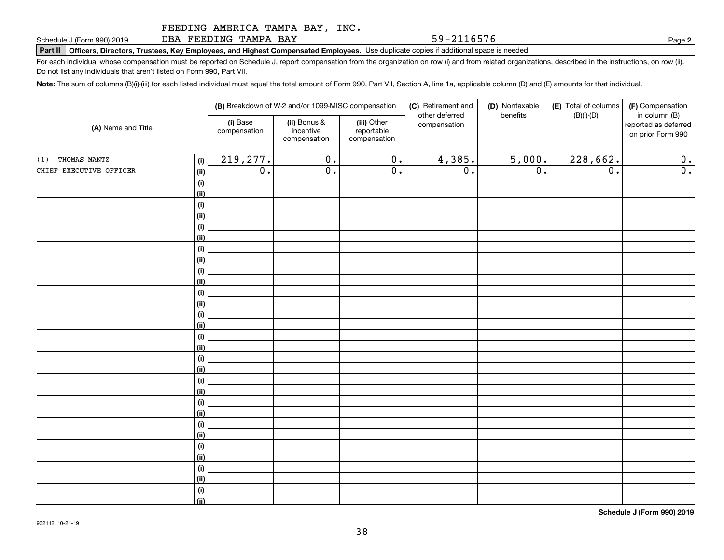DBA FEEDING TAMPA BAY

**Part II Officers, Directors, Trustees, Key Employees, and Highest Compensated Employees.**  Schedule J (Form 990) 2019 Page Use duplicate copies if additional space is needed.

For each individual whose compensation must be reported on Schedule J, report compensation from the organization on row (i) and from related organizations, described in the instructions, on row (ii). Do not list any individuals that aren't listed on Form 990, Part VII.

**Note:**  The sum of columns (B)(i)-(iii) for each listed individual must equal the total amount of Form 990, Part VII, Section A, line 1a, applicable column (D) and (E) amounts for that individual.

|                         |             | (B) Breakdown of W-2 and/or 1099-MISC compensation |                                           |                                           | (C) Retirement and<br>other deferred | (D) Nontaxable<br>benefits | (E) Total of columns<br>$(B)(i)-(D)$ | (F) Compensation<br>in column (B)         |
|-------------------------|-------------|----------------------------------------------------|-------------------------------------------|-------------------------------------------|--------------------------------------|----------------------------|--------------------------------------|-------------------------------------------|
| (A) Name and Title      |             | (i) Base<br>compensation                           | (ii) Bonus &<br>incentive<br>compensation | (iii) Other<br>reportable<br>compensation | compensation                         |                            |                                      | reported as deferred<br>on prior Form 990 |
| THOMAS MANTZ<br>(1)     | (i)         | 219,277.                                           | $\overline{0}$ .                          | $\overline{0}$ .                          | 4,385.                               | 5,000.                     | 228,662.                             | 0.                                        |
| CHIEF EXECUTIVE OFFICER | (ii)        | $\overline{\mathfrak{o}}$ .                        | $\overline{0}$ .                          | $\overline{\mathfrak{0}}$ .               | $\overline{0}$ .                     | $\overline{0}$ .           | $\overline{0}$ .                     | $\overline{0}$ .                          |
|                         | (i)         |                                                    |                                           |                                           |                                      |                            |                                      |                                           |
|                         | (ii)        |                                                    |                                           |                                           |                                      |                            |                                      |                                           |
|                         | (i)         |                                                    |                                           |                                           |                                      |                            |                                      |                                           |
|                         | (ii)        |                                                    |                                           |                                           |                                      |                            |                                      |                                           |
|                         | (i)         |                                                    |                                           |                                           |                                      |                            |                                      |                                           |
|                         | (ii)        |                                                    |                                           |                                           |                                      |                            |                                      |                                           |
|                         | (i)         |                                                    |                                           |                                           |                                      |                            |                                      |                                           |
|                         | (ii)        |                                                    |                                           |                                           |                                      |                            |                                      |                                           |
|                         | (i)         |                                                    |                                           |                                           |                                      |                            |                                      |                                           |
|                         | (ii)        |                                                    |                                           |                                           |                                      |                            |                                      |                                           |
|                         | (i)         |                                                    |                                           |                                           |                                      |                            |                                      |                                           |
|                         | (ii)        |                                                    |                                           |                                           |                                      |                            |                                      |                                           |
|                         | $(\sf{i})$  |                                                    |                                           |                                           |                                      |                            |                                      |                                           |
|                         | (ii)        |                                                    |                                           |                                           |                                      |                            |                                      |                                           |
|                         | (i)         |                                                    |                                           |                                           |                                      |                            |                                      |                                           |
|                         | (ii)<br>(i) |                                                    |                                           |                                           |                                      |                            |                                      |                                           |
|                         | (ii)        |                                                    |                                           |                                           |                                      |                            |                                      |                                           |
|                         | (i)         |                                                    |                                           |                                           |                                      |                            |                                      |                                           |
|                         | (ii)        |                                                    |                                           |                                           |                                      |                            |                                      |                                           |
|                         | (i)         |                                                    |                                           |                                           |                                      |                            |                                      |                                           |
|                         | (ii)        |                                                    |                                           |                                           |                                      |                            |                                      |                                           |
|                         | (i)         |                                                    |                                           |                                           |                                      |                            |                                      |                                           |
|                         | (ii)        |                                                    |                                           |                                           |                                      |                            |                                      |                                           |
|                         | (i)         |                                                    |                                           |                                           |                                      |                            |                                      |                                           |
|                         | (ii)        |                                                    |                                           |                                           |                                      |                            |                                      |                                           |
|                         | (i)         |                                                    |                                           |                                           |                                      |                            |                                      |                                           |
|                         | (ii)        |                                                    |                                           |                                           |                                      |                            |                                      |                                           |
|                         | (i)         |                                                    |                                           |                                           |                                      |                            |                                      |                                           |
|                         | (ii)        |                                                    |                                           |                                           |                                      |                            |                                      |                                           |

**Schedule J (Form 990) 2019**

**2**

59-2116576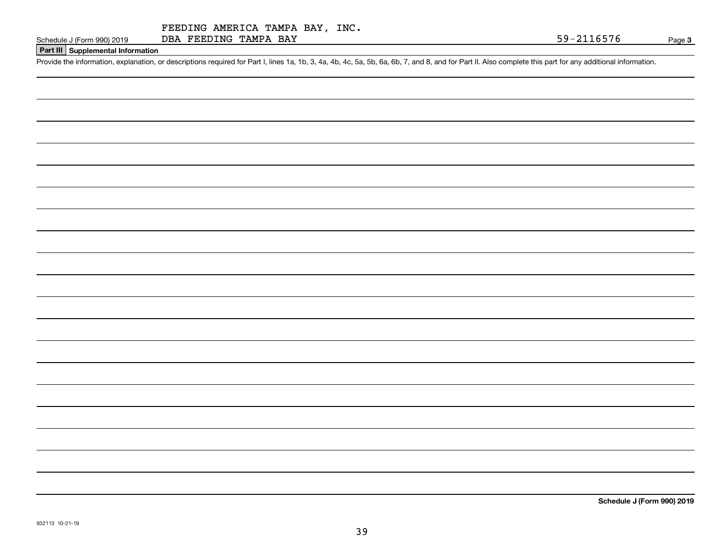# **Part III Supplemental Information**

Schedule J (Form 990) 2019 DBA FEEDING TAMPA BAY<br>Part III Supplemental Information<br>Provide the information, explanation, or descriptions required for Part I, lines 1a, 1b, 3, 4a, 4b, 4c, 5a, 5b, 6a, 6b, 7, and 8, and for P

**Schedule J (Form 990) 2019**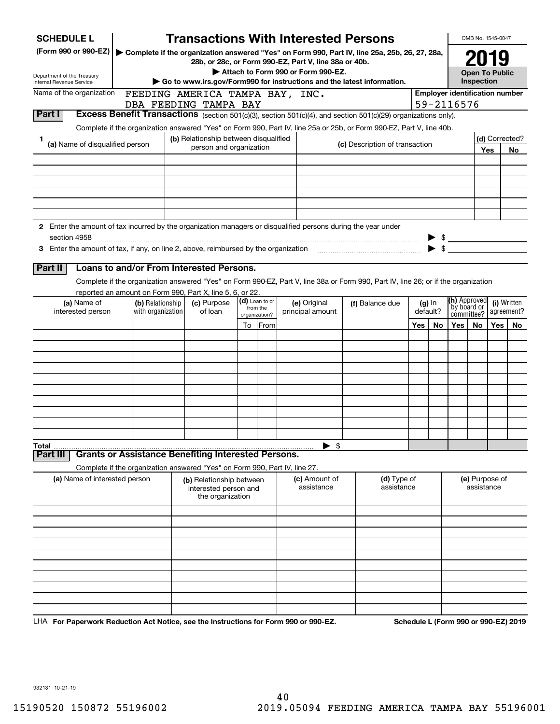| <b>SCHEDULE L</b>                                                                                                                       |                                                                            |                                                                       |                           | <b>Transactions With Interested Persons</b>           |                                                                                                                                    |     |                      |                                                 | OMB No. 1545-0047            |     |                           |
|-----------------------------------------------------------------------------------------------------------------------------------------|----------------------------------------------------------------------------|-----------------------------------------------------------------------|---------------------------|-------------------------------------------------------|------------------------------------------------------------------------------------------------------------------------------------|-----|----------------------|-------------------------------------------------|------------------------------|-----|---------------------------|
| (Form 990 or 990-EZ)                                                                                                                    |                                                                            |                                                                       |                           | 28b, or 28c, or Form 990-EZ, Part V, line 38a or 40b. | ▶ Complete if the organization answered "Yes" on Form 990, Part IV, line 25a, 25b, 26, 27, 28a,                                    |     |                      |                                                 | 2019                         |     |                           |
| Department of the Treasury                                                                                                              |                                                                            |                                                                       |                           | Attach to Form 990 or Form 990-EZ.                    |                                                                                                                                    |     |                      |                                                 | <b>Open To Public</b>        |     |                           |
| Internal Revenue Service                                                                                                                |                                                                            |                                                                       |                           |                                                       | Go to www.irs.gov/Form990 for instructions and the latest information.                                                             |     |                      |                                                 | Inspection                   |     |                           |
| Name of the organization                                                                                                                |                                                                            | FEEDING AMERICA TAMPA BAY, INC.                                       |                           |                                                       |                                                                                                                                    |     |                      | <b>Employer identification number</b>           |                              |     |                           |
| Part I                                                                                                                                  |                                                                            | DBA FEEDING TAMPA BAY                                                 |                           |                                                       | <b>Excess Benefit Transactions</b> (section 501(c)(3), section 501(c)(4), and section 501(c)(29) organizations only).              |     |                      | 59-2116576                                      |                              |     |                           |
|                                                                                                                                         |                                                                            |                                                                       |                           |                                                       | Complete if the organization answered "Yes" on Form 990, Part IV, line 25a or 25b, or Form 990-EZ, Part V, line 40b.               |     |                      |                                                 |                              |     |                           |
| 1                                                                                                                                       |                                                                            | (b) Relationship between disqualified                                 |                           |                                                       |                                                                                                                                    |     |                      |                                                 |                              |     | (d) Corrected?            |
| (a) Name of disqualified person                                                                                                         |                                                                            | person and organization                                               |                           |                                                       | (c) Description of transaction                                                                                                     |     |                      |                                                 |                              | Yes | No.                       |
|                                                                                                                                         |                                                                            |                                                                       |                           |                                                       |                                                                                                                                    |     |                      |                                                 |                              |     |                           |
|                                                                                                                                         |                                                                            |                                                                       |                           |                                                       |                                                                                                                                    |     |                      |                                                 |                              |     |                           |
|                                                                                                                                         |                                                                            |                                                                       |                           |                                                       |                                                                                                                                    |     |                      |                                                 |                              |     |                           |
|                                                                                                                                         |                                                                            |                                                                       |                           |                                                       |                                                                                                                                    |     |                      |                                                 |                              |     |                           |
|                                                                                                                                         |                                                                            |                                                                       |                           |                                                       |                                                                                                                                    |     |                      |                                                 |                              |     |                           |
| 2 Enter the amount of tax incurred by the organization managers or disqualified persons during the year under                           |                                                                            |                                                                       |                           |                                                       |                                                                                                                                    |     |                      |                                                 |                              |     |                           |
| section 4958<br>3 Enter the amount of tax, if any, on line 2, above, reimbursed by the organization <i>manumenon manumenon</i> summanum |                                                                            |                                                                       |                           |                                                       |                                                                                                                                    |     |                      | $\triangleright$ \$<br>$\blacktriangleright$ \$ |                              |     |                           |
|                                                                                                                                         |                                                                            |                                                                       |                           |                                                       |                                                                                                                                    |     |                      |                                                 |                              |     |                           |
| Part II                                                                                                                                 | Loans to and/or From Interested Persons.                                   |                                                                       |                           |                                                       |                                                                                                                                    |     |                      |                                                 |                              |     |                           |
|                                                                                                                                         |                                                                            |                                                                       |                           |                                                       | Complete if the organization answered "Yes" on Form 990-EZ, Part V, line 38a or Form 990, Part IV, line 26; or if the organization |     |                      |                                                 |                              |     |                           |
|                                                                                                                                         | reported an amount on Form 990, Part X, line 5, 6, or 22.                  |                                                                       | (d) Loan to or            |                                                       |                                                                                                                                    |     |                      | (h) Approved                                    |                              |     |                           |
| (a) Name of<br>interested person                                                                                                        | (b) Relationship<br>with organization                                      | (c) Purpose<br>of loan                                                | from the<br>organization? | (e) Original<br>principal amount                      | (f) Balance due                                                                                                                    |     | $(g)$ In<br>default? | by board or<br>committee?                       |                              |     | (i) Written<br>agreement? |
|                                                                                                                                         |                                                                            |                                                                       | To From                   |                                                       |                                                                                                                                    | Yes | No.                  | Yes                                             | No.                          | Yes | No.                       |
|                                                                                                                                         |                                                                            |                                                                       |                           |                                                       |                                                                                                                                    |     |                      |                                                 |                              |     |                           |
|                                                                                                                                         |                                                                            |                                                                       |                           |                                                       |                                                                                                                                    |     |                      |                                                 |                              |     |                           |
|                                                                                                                                         |                                                                            |                                                                       |                           |                                                       |                                                                                                                                    |     |                      |                                                 |                              |     |                           |
|                                                                                                                                         |                                                                            |                                                                       |                           |                                                       |                                                                                                                                    |     |                      |                                                 |                              |     |                           |
|                                                                                                                                         |                                                                            |                                                                       |                           |                                                       |                                                                                                                                    |     |                      |                                                 |                              |     |                           |
|                                                                                                                                         |                                                                            |                                                                       |                           |                                                       |                                                                                                                                    |     |                      |                                                 |                              |     |                           |
|                                                                                                                                         |                                                                            |                                                                       |                           |                                                       |                                                                                                                                    |     |                      |                                                 |                              |     |                           |
|                                                                                                                                         |                                                                            |                                                                       |                           |                                                       |                                                                                                                                    |     |                      |                                                 |                              |     |                           |
| Total                                                                                                                                   |                                                                            |                                                                       |                           | - \$<br>▶                                             |                                                                                                                                    |     |                      |                                                 |                              |     |                           |
| Part III                                                                                                                                | <b>Grants or Assistance Benefiting Interested Persons.</b>                 |                                                                       |                           |                                                       |                                                                                                                                    |     |                      |                                                 |                              |     |                           |
|                                                                                                                                         | Complete if the organization answered "Yes" on Form 990, Part IV, line 27. |                                                                       |                           |                                                       |                                                                                                                                    |     |                      |                                                 |                              |     |                           |
| (a) Name of interested person                                                                                                           |                                                                            | (b) Relationship between<br>interested person and<br>the organization |                           | (c) Amount of<br>assistance                           | (d) Type of<br>assistance                                                                                                          |     |                      |                                                 | (e) Purpose of<br>assistance |     |                           |
|                                                                                                                                         |                                                                            |                                                                       |                           |                                                       |                                                                                                                                    |     |                      |                                                 |                              |     |                           |
|                                                                                                                                         |                                                                            |                                                                       |                           |                                                       |                                                                                                                                    |     |                      |                                                 |                              |     |                           |
|                                                                                                                                         |                                                                            |                                                                       |                           |                                                       |                                                                                                                                    |     |                      |                                                 |                              |     |                           |
|                                                                                                                                         |                                                                            |                                                                       |                           |                                                       |                                                                                                                                    |     |                      |                                                 |                              |     |                           |
|                                                                                                                                         |                                                                            |                                                                       |                           |                                                       |                                                                                                                                    |     |                      |                                                 |                              |     |                           |
|                                                                                                                                         |                                                                            |                                                                       |                           |                                                       |                                                                                                                                    |     |                      |                                                 |                              |     |                           |
|                                                                                                                                         |                                                                            |                                                                       |                           |                                                       |                                                                                                                                    |     |                      |                                                 |                              |     |                           |
|                                                                                                                                         |                                                                            |                                                                       |                           |                                                       |                                                                                                                                    |     |                      |                                                 |                              |     |                           |
|                                                                                                                                         |                                                                            |                                                                       |                           |                                                       |                                                                                                                                    |     |                      |                                                 |                              |     |                           |

LHA For Paperwork Reduction Act Notice, see the Instructions for Form 990 or 990-EZ. Schedule L (Form 990 or 990-EZ) 2019

932131 10-21-19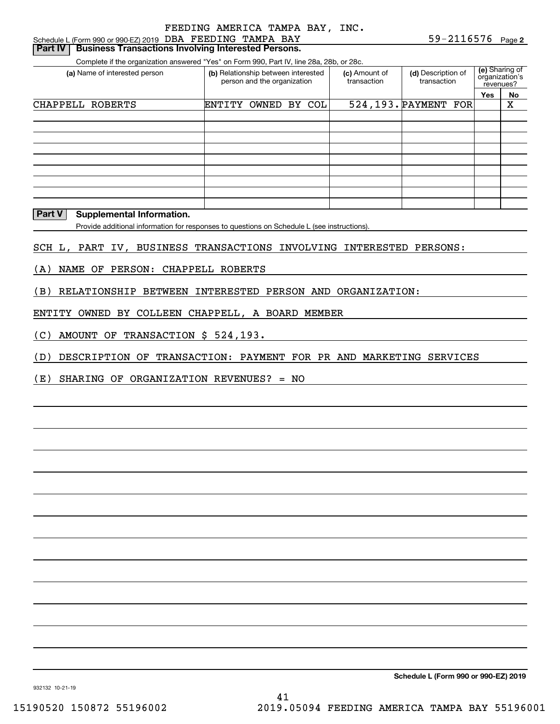# **Part IV | Business Transactions Involving Interested Persons.**

Complete if the organization answered "Yes" on Form 990, Part IV, line 28a, 28b, or 28c.

| (a) Name of interested person |        | (b) Relationship between interested<br>person and the organization |  | (c) Amount of<br>transaction | (d) Description of<br>transaction |     | (e) Sharing of<br>organization's<br>revenues? |
|-------------------------------|--------|--------------------------------------------------------------------|--|------------------------------|-----------------------------------|-----|-----------------------------------------------|
|                               |        |                                                                    |  |                              |                                   | Yes | <b>No</b>                                     |
| CHAPPELL ROBERTS              | ENTITY | OWNED BY COL                                                       |  |                              | 524,193. PAYMENT FOR              |     | x                                             |
|                               |        |                                                                    |  |                              |                                   |     |                                               |
|                               |        |                                                                    |  |                              |                                   |     |                                               |
|                               |        |                                                                    |  |                              |                                   |     |                                               |
|                               |        |                                                                    |  |                              |                                   |     |                                               |
|                               |        |                                                                    |  |                              |                                   |     |                                               |
|                               |        |                                                                    |  |                              |                                   |     |                                               |
|                               |        |                                                                    |  |                              |                                   |     |                                               |
|                               |        |                                                                    |  |                              |                                   |     |                                               |
|                               |        |                                                                    |  |                              |                                   |     |                                               |

#### **Part V Supplemental Information.**

Provide additional information for responses to questions on Schedule L (see instructions).

#### SCH L, PART IV, BUSINESS TRANSACTIONS INVOLVING INTERESTED PERSONS:

(A) NAME OF PERSON: CHAPPELL ROBERTS

(B) RELATIONSHIP BETWEEN INTERESTED PERSON AND ORGANIZATION:

ENTITY OWNED BY COLLEEN CHAPPELL, A BOARD MEMBER

(C) AMOUNT OF TRANSACTION \$ 524,193.

(D) DESCRIPTION OF TRANSACTION: PAYMENT FOR PR AND MARKETING SERVICES

(E) SHARING OF ORGANIZATION REVENUES? = NO

**Schedule L (Form 990 or 990-EZ) 2019**

932132 10-21-19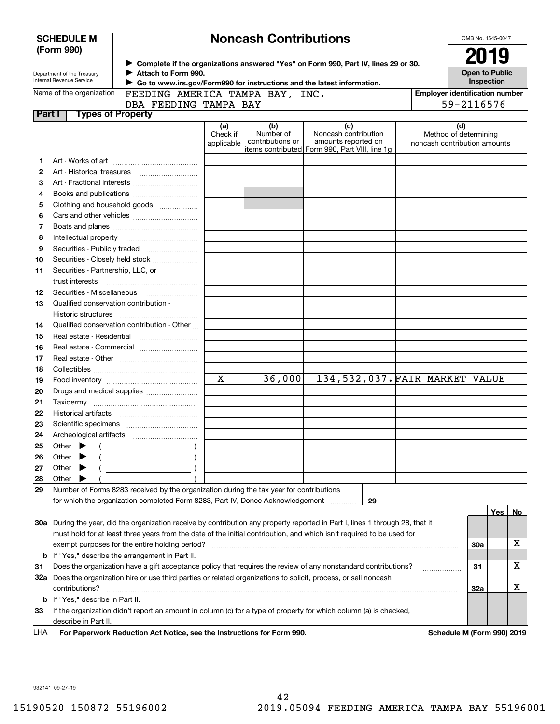|        | <b>SCHEDULE M</b>                       |                                                                                                                   |                 | <b>Noncash Contributions</b> |                                                                                                                                |                                       | OMB No. 1545-0047            |     |    |
|--------|-----------------------------------------|-------------------------------------------------------------------------------------------------------------------|-----------------|------------------------------|--------------------------------------------------------------------------------------------------------------------------------|---------------------------------------|------------------------------|-----|----|
|        | (Form 990)                              |                                                                                                                   |                 |                              |                                                                                                                                |                                       |                              |     |    |
|        |                                         |                                                                                                                   |                 |                              | ▶ Complete if the organizations answered "Yes" on Form 990, Part IV, lines 29 or 30.                                           |                                       | 2019                         |     |    |
|        | Department of the Treasury              | Attach to Form 990.                                                                                               |                 |                              |                                                                                                                                |                                       | <b>Open to Public</b>        |     |    |
|        | Internal Revenue Service                | Go to www.irs.gov/Form990 for instructions and the latest information.                                            |                 |                              |                                                                                                                                |                                       | Inspection                   |     |    |
|        | Name of the organization                | FEEDING AMERICA TAMPA BAY, INC.                                                                                   |                 |                              |                                                                                                                                | <b>Employer identification number</b> |                              |     |    |
|        |                                         | DBA FEEDING TAMPA BAY                                                                                             |                 |                              |                                                                                                                                |                                       | 59-2116576                   |     |    |
| Part I |                                         | <b>Types of Property</b>                                                                                          |                 |                              |                                                                                                                                |                                       |                              |     |    |
|        |                                         |                                                                                                                   | (a)<br>Check if | (b)<br>Number of             | (c)<br>Noncash contribution                                                                                                    |                                       | (d)<br>Method of determining |     |    |
|        |                                         |                                                                                                                   | applicable      | contributions or             | amounts reported on                                                                                                            | noncash contribution amounts          |                              |     |    |
|        |                                         |                                                                                                                   |                 |                              | items contributed Form 990, Part VIII, line 1q                                                                                 |                                       |                              |     |    |
| 1      |                                         |                                                                                                                   |                 |                              |                                                                                                                                |                                       |                              |     |    |
| 2      | Art - Historical treasures              |                                                                                                                   |                 |                              |                                                                                                                                |                                       |                              |     |    |
| 3      |                                         |                                                                                                                   |                 |                              |                                                                                                                                |                                       |                              |     |    |
| 4      |                                         |                                                                                                                   |                 |                              |                                                                                                                                |                                       |                              |     |    |
| 5      |                                         | Clothing and household goods                                                                                      |                 |                              |                                                                                                                                |                                       |                              |     |    |
| 6      |                                         |                                                                                                                   |                 |                              |                                                                                                                                |                                       |                              |     |    |
| 7      |                                         |                                                                                                                   |                 |                              |                                                                                                                                |                                       |                              |     |    |
| 8      | Intellectual property                   |                                                                                                                   |                 |                              |                                                                                                                                |                                       |                              |     |    |
| 9      |                                         |                                                                                                                   |                 |                              |                                                                                                                                |                                       |                              |     |    |
| 10     |                                         | Securities - Closely held stock                                                                                   |                 |                              |                                                                                                                                |                                       |                              |     |    |
| 11     | Securities - Partnership, LLC, or       |                                                                                                                   |                 |                              |                                                                                                                                |                                       |                              |     |    |
|        | trust interests                         |                                                                                                                   |                 |                              |                                                                                                                                |                                       |                              |     |    |
| 12     | Securities Miscellaneous                |                                                                                                                   |                 |                              |                                                                                                                                |                                       |                              |     |    |
| 13     | Qualified conservation contribution -   |                                                                                                                   |                 |                              |                                                                                                                                |                                       |                              |     |    |
|        | Historic structures                     |                                                                                                                   |                 |                              |                                                                                                                                |                                       |                              |     |    |
| 14     |                                         | Qualified conservation contribution - Other                                                                       |                 |                              |                                                                                                                                |                                       |                              |     |    |
| 15     | Real estate - Residential               |                                                                                                                   |                 |                              |                                                                                                                                |                                       |                              |     |    |
| 16     |                                         | Real estate - Commercial                                                                                          |                 |                              |                                                                                                                                |                                       |                              |     |    |
| 17     |                                         |                                                                                                                   |                 |                              |                                                                                                                                |                                       |                              |     |    |
| 18     |                                         |                                                                                                                   |                 |                              |                                                                                                                                |                                       |                              |     |    |
| 19     |                                         |                                                                                                                   | $\mathbf X$     | 36,000                       | 134, 532, 037. FAIR MARKET VALUE                                                                                               |                                       |                              |     |    |
| 20     |                                         | Drugs and medical supplies                                                                                        |                 |                              |                                                                                                                                |                                       |                              |     |    |
| 21     |                                         |                                                                                                                   |                 |                              |                                                                                                                                |                                       |                              |     |    |
| 22     | <b>Historical artifacts</b>             |                                                                                                                   |                 |                              |                                                                                                                                |                                       |                              |     |    |
| 23     |                                         |                                                                                                                   |                 |                              |                                                                                                                                |                                       |                              |     |    |
| 24     |                                         |                                                                                                                   |                 |                              |                                                                                                                                |                                       |                              |     |    |
| 25     | Other                                   |                                                                                                                   |                 |                              |                                                                                                                                |                                       |                              |     |    |
| 26     | Other                                   | $\overline{\phantom{a}}$ )                                                                                        |                 |                              |                                                                                                                                |                                       |                              |     |    |
| 27     | Other                                   |                                                                                                                   |                 |                              |                                                                                                                                |                                       |                              |     |    |
| 28     | Other                                   |                                                                                                                   |                 |                              |                                                                                                                                |                                       |                              |     |    |
| 29     |                                         | Number of Forms 8283 received by the organization during the tax year for contributions                           |                 |                              |                                                                                                                                |                                       |                              |     |    |
|        |                                         | for which the organization completed Form 8283, Part IV, Donee Acknowledgement                                    |                 |                              | 29                                                                                                                             |                                       |                              |     |    |
|        |                                         |                                                                                                                   |                 |                              |                                                                                                                                |                                       |                              | Yes | No |
|        |                                         |                                                                                                                   |                 |                              | 30a During the year, did the organization receive by contribution any property reported in Part I, lines 1 through 28, that it |                                       |                              |     |    |
|        |                                         |                                                                                                                   |                 |                              | must hold for at least three years from the date of the initial contribution, and which isn't required to be used for          |                                       |                              |     |    |
|        |                                         | exempt purposes for the entire holding period?                                                                    |                 |                              |                                                                                                                                |                                       | <b>30a</b>                   |     | х  |
| b      |                                         | If "Yes," describe the arrangement in Part II.                                                                    |                 |                              |                                                                                                                                |                                       |                              |     |    |
| 31     |                                         |                                                                                                                   |                 |                              | Does the organization have a gift acceptance policy that requires the review of any nonstandard contributions?                 |                                       | 31                           |     | x  |
|        |                                         | 32a Does the organization hire or use third parties or related organizations to solicit, process, or sell noncash |                 |                              |                                                                                                                                |                                       |                              |     |    |
|        | contributions?                          |                                                                                                                   |                 |                              |                                                                                                                                |                                       | 32a                          |     | х  |
|        | <b>b</b> If "Yes," describe in Part II. |                                                                                                                   |                 |                              |                                                                                                                                |                                       |                              |     |    |
| 33     |                                         |                                                                                                                   |                 |                              | If the organization didn't report an amount in column (c) for a type of property for which column (a) is checked,              |                                       |                              |     |    |
|        | describe in Part II.                    |                                                                                                                   |                 |                              |                                                                                                                                |                                       |                              |     |    |
| LHA    |                                         | For Paperwork Reduction Act Notice, see the Instructions for Form 990.                                            |                 |                              |                                                                                                                                |                                       | Schedule M (Form 990) 2019   |     |    |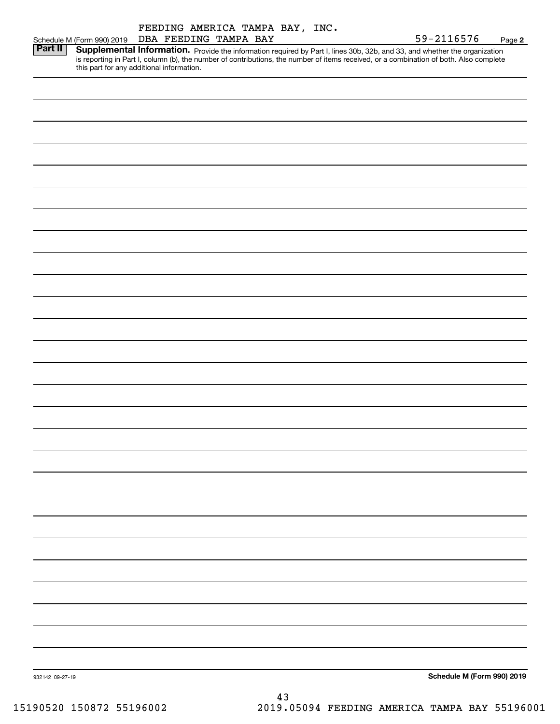|                 |                                                                                                                                                                                                                                                                                                                   |                       |  |    | FEEDING AMERICA TAMPA BAY, INC. |  |            |                            |        |
|-----------------|-------------------------------------------------------------------------------------------------------------------------------------------------------------------------------------------------------------------------------------------------------------------------------------------------------------------|-----------------------|--|----|---------------------------------|--|------------|----------------------------|--------|
|                 | Schedule M (Form 990) 2019                                                                                                                                                                                                                                                                                        | DBA FEEDING TAMPA BAY |  |    |                                 |  | 59-2116576 |                            | Page 2 |
| Part II         | Supplemental Information. Provide the information required by Part I, lines 30b, 32b, and 33, and whether the organization<br>is reporting in Part I, column (b), the number of contributions, the number of items received, or a combination of both. Also complete<br>this part for any additional information. |                       |  |    |                                 |  |            |                            |        |
|                 |                                                                                                                                                                                                                                                                                                                   |                       |  |    |                                 |  |            |                            |        |
|                 |                                                                                                                                                                                                                                                                                                                   |                       |  |    |                                 |  |            |                            |        |
|                 |                                                                                                                                                                                                                                                                                                                   |                       |  |    |                                 |  |            |                            |        |
|                 |                                                                                                                                                                                                                                                                                                                   |                       |  |    |                                 |  |            |                            |        |
|                 |                                                                                                                                                                                                                                                                                                                   |                       |  |    |                                 |  |            |                            |        |
|                 |                                                                                                                                                                                                                                                                                                                   |                       |  |    |                                 |  |            |                            |        |
|                 |                                                                                                                                                                                                                                                                                                                   |                       |  |    |                                 |  |            |                            |        |
|                 |                                                                                                                                                                                                                                                                                                                   |                       |  |    |                                 |  |            |                            |        |
|                 |                                                                                                                                                                                                                                                                                                                   |                       |  |    |                                 |  |            |                            |        |
|                 |                                                                                                                                                                                                                                                                                                                   |                       |  |    |                                 |  |            |                            |        |
|                 |                                                                                                                                                                                                                                                                                                                   |                       |  |    |                                 |  |            |                            |        |
|                 |                                                                                                                                                                                                                                                                                                                   |                       |  |    |                                 |  |            |                            |        |
|                 |                                                                                                                                                                                                                                                                                                                   |                       |  |    |                                 |  |            |                            |        |
|                 |                                                                                                                                                                                                                                                                                                                   |                       |  |    |                                 |  |            |                            |        |
|                 |                                                                                                                                                                                                                                                                                                                   |                       |  |    |                                 |  |            |                            |        |
|                 |                                                                                                                                                                                                                                                                                                                   |                       |  |    |                                 |  |            |                            |        |
|                 |                                                                                                                                                                                                                                                                                                                   |                       |  |    |                                 |  |            |                            |        |
|                 |                                                                                                                                                                                                                                                                                                                   |                       |  |    |                                 |  |            |                            |        |
|                 |                                                                                                                                                                                                                                                                                                                   |                       |  |    |                                 |  |            |                            |        |
|                 |                                                                                                                                                                                                                                                                                                                   |                       |  |    |                                 |  |            |                            |        |
|                 |                                                                                                                                                                                                                                                                                                                   |                       |  |    |                                 |  |            |                            |        |
|                 |                                                                                                                                                                                                                                                                                                                   |                       |  |    |                                 |  |            |                            |        |
|                 |                                                                                                                                                                                                                                                                                                                   |                       |  |    |                                 |  |            |                            |        |
|                 |                                                                                                                                                                                                                                                                                                                   |                       |  |    |                                 |  |            |                            |        |
|                 |                                                                                                                                                                                                                                                                                                                   |                       |  |    |                                 |  |            |                            |        |
|                 |                                                                                                                                                                                                                                                                                                                   |                       |  |    |                                 |  |            |                            |        |
|                 |                                                                                                                                                                                                                                                                                                                   |                       |  |    |                                 |  |            |                            |        |
|                 |                                                                                                                                                                                                                                                                                                                   |                       |  |    |                                 |  |            |                            |        |
|                 |                                                                                                                                                                                                                                                                                                                   |                       |  |    |                                 |  |            |                            |        |
|                 |                                                                                                                                                                                                                                                                                                                   |                       |  |    |                                 |  |            |                            |        |
|                 |                                                                                                                                                                                                                                                                                                                   |                       |  |    |                                 |  |            |                            |        |
|                 |                                                                                                                                                                                                                                                                                                                   |                       |  |    |                                 |  |            |                            |        |
|                 |                                                                                                                                                                                                                                                                                                                   |                       |  |    |                                 |  |            |                            |        |
|                 |                                                                                                                                                                                                                                                                                                                   |                       |  |    |                                 |  |            |                            |        |
|                 |                                                                                                                                                                                                                                                                                                                   |                       |  |    |                                 |  |            |                            |        |
|                 |                                                                                                                                                                                                                                                                                                                   |                       |  |    |                                 |  |            |                            |        |
|                 |                                                                                                                                                                                                                                                                                                                   |                       |  |    |                                 |  |            |                            |        |
|                 |                                                                                                                                                                                                                                                                                                                   |                       |  |    |                                 |  |            |                            |        |
|                 |                                                                                                                                                                                                                                                                                                                   |                       |  |    |                                 |  |            |                            |        |
| 932142 09-27-19 |                                                                                                                                                                                                                                                                                                                   |                       |  |    |                                 |  |            | Schedule M (Form 990) 2019 |        |
|                 |                                                                                                                                                                                                                                                                                                                   |                       |  |    |                                 |  |            |                            |        |
|                 |                                                                                                                                                                                                                                                                                                                   |                       |  | 43 |                                 |  |            |                            |        |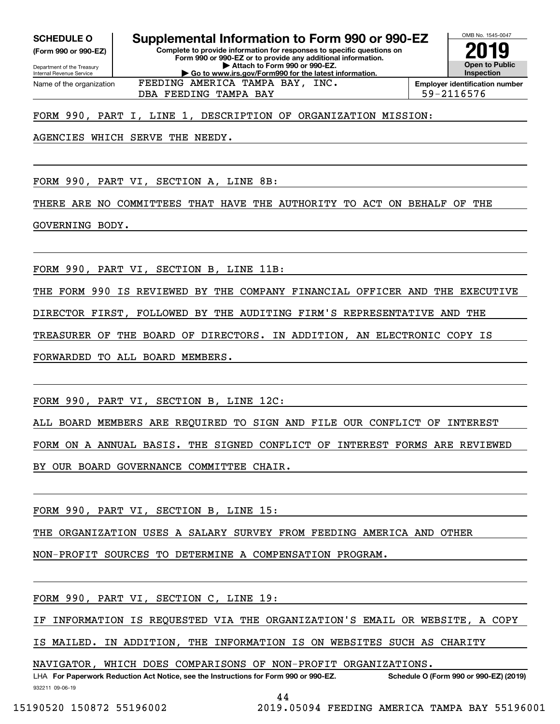Internal Revenue Service

Department of the Treasury **(Form 990 or 990-EZ)**

**Complete to provide information for responses to specific questions on Form 990 or 990-EZ or to provide any additional information. | Attach to Form 990 or 990-EZ. | Go to www.irs.gov/Form990 for the latest information. SCHEDULE O Supplemental Information to Form 990 or 990-EZ**



Name of the organization FEEDING AMERICA TAMPA BAY, INC.

**Employer identification number** DBA FEEDING TAMPA BAY 59-2116576

# FORM 990, PART I, LINE 1, DESCRIPTION OF ORGANIZATION MISSION:

AGENCIES WHICH SERVE THE NEEDY.

FORM 990, PART VI, SECTION A, LINE 8B:

THERE ARE NO COMMITTEES THAT HAVE THE AUTHORITY TO ACT ON BEHALF OF THE

GOVERNING BODY.

FORM 990, PART VI, SECTION B, LINE 11B:

THE FORM 990 IS REVIEWED BY THE COMPANY FINANCIAL OFFICER AND THE EXECUTIVE

DIRECTOR FIRST, FOLLOWED BY THE AUDITING FIRM'S REPRESENTATIVE AND THE

TREASURER OF THE BOARD OF DIRECTORS. IN ADDITION, AN ELECTRONIC COPY IS

FORWARDED TO ALL BOARD MEMBERS.

FORM 990, PART VI, SECTION B, LINE 12C:

ALL BOARD MEMBERS ARE REQUIRED TO SIGN AND FILE OUR CONFLICT OF INTEREST

FORM ON A ANNUAL BASIS. THE SIGNED CONFLICT OF INTEREST FORMS ARE REVIEWED

BY OUR BOARD GOVERNANCE COMMITTEE CHAIR.

FORM 990, PART VI, SECTION B, LINE 15:

THE ORGANIZATION USES A SALARY SURVEY FROM FEEDING AMERICA AND OTHER

NON-PROFIT SOURCES TO DETERMINE A COMPENSATION PROGRAM.

FORM 990, PART VI, SECTION C, LINE 19:

IF INFORMATION IS REQUESTED VIA THE ORGANIZATION'S EMAIL OR WEBSITE, A COPY

IS MAILED. IN ADDITION, THE INFORMATION IS ON WEBSITES SUCH AS CHARITY

NAVIGATOR, WHICH DOES COMPARISONS OF NON-PROFIT ORGANIZATIONS.

932211 09-06-19 LHA For Paperwork Reduction Act Notice, see the Instructions for Form 990 or 990-EZ. Schedule O (Form 990 or 990-EZ) (2019)

44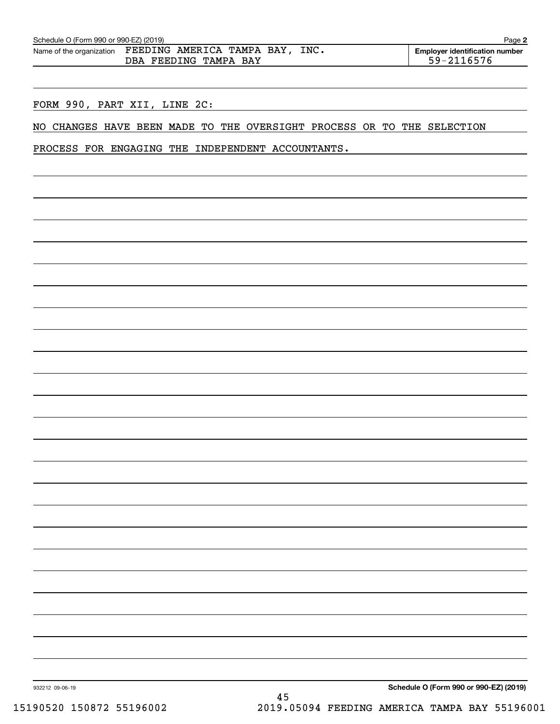| Schedule O (Form 990 or 990-EZ) (2019) |                                                          | Page 2                                              |
|----------------------------------------|----------------------------------------------------------|-----------------------------------------------------|
| Name of the organization               | FEEDING AMERICA TAMPA BAY, INC.<br>DBA FEEDING TAMPA BAY | <b>Employer identification number</b><br>59-2116576 |
|                                        |                                                          |                                                     |

FORM 990, PART XII, LINE 2C:

NO CHANGES HAVE BEEN MADE TO THE OVERSIGHT PROCESS OR TO THE SELECTION

PROCESS FOR ENGAGING THE INDEPENDENT ACCOUNTANTS.

**Schedule O (Form 990 or 990-EZ) (2019)**

932212 09-06-19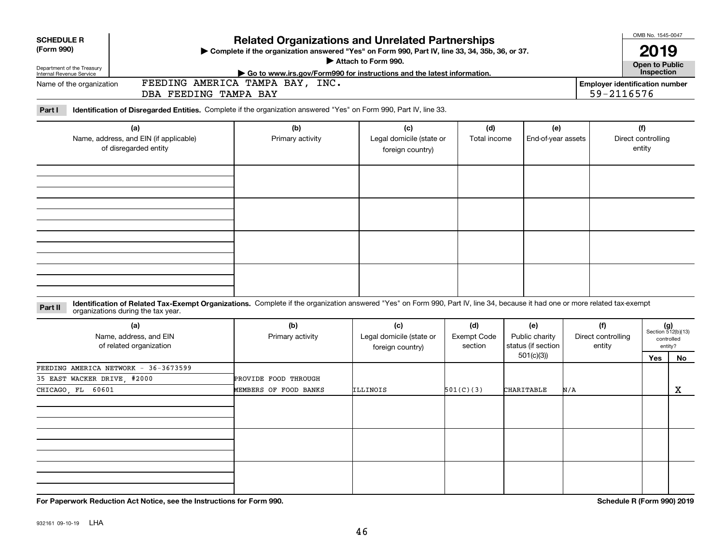| <b>Related Organizations and Unrelated Partnerships</b><br><b>SCHEDULE R</b><br>> Complete if the organization answered "Yes" on Form 990, Part IV, line 33, 34, 35b, 36, or 37. |  |                                                                     |                                                                                                                                                                              |                                                     |                                      |                                                          |     |                                                     |                                     | OMB No. 1545-0047                                                 |
|----------------------------------------------------------------------------------------------------------------------------------------------------------------------------------|--|---------------------------------------------------------------------|------------------------------------------------------------------------------------------------------------------------------------------------------------------------------|-----------------------------------------------------|--------------------------------------|----------------------------------------------------------|-----|-----------------------------------------------------|-------------------------------------|-------------------------------------------------------------------|
| (Form 990)                                                                                                                                                                       |  |                                                                     |                                                                                                                                                                              | Attach to Form 990.                                 |                                      |                                                          |     |                                                     | 2019                                |                                                                   |
| Department of the Treasury<br>Internal Revenue Service                                                                                                                           |  |                                                                     | Go to www.irs.gov/Form990 for instructions and the latest information.                                                                                                       |                                                     |                                      |                                                          |     |                                                     | <b>Open to Public</b><br>Inspection |                                                                   |
| Name of the organization                                                                                                                                                         |  | DBA FEEDING TAMPA BAY                                               | FEEDING AMERICA TAMPA BAY, INC.                                                                                                                                              |                                                     |                                      |                                                          |     | <b>Employer identification number</b><br>59-2116576 |                                     |                                                                   |
| Part I                                                                                                                                                                           |  |                                                                     | Identification of Disregarded Entities. Complete if the organization answered "Yes" on Form 990, Part IV, line 33.                                                           |                                                     |                                      |                                                          |     |                                                     |                                     |                                                                   |
| (a)<br>Name, address, and EIN (if applicable)<br>of disregarded entity                                                                                                           |  |                                                                     | (b)<br>Primary activity                                                                                                                                                      | (c)<br>Legal domicile (state or<br>foreign country) | (d)<br>Total income                  | (e)<br>End-of-year assets                                |     |                                                     | (f)<br>Direct controlling<br>entity |                                                                   |
|                                                                                                                                                                                  |  |                                                                     |                                                                                                                                                                              |                                                     |                                      |                                                          |     |                                                     |                                     |                                                                   |
|                                                                                                                                                                                  |  |                                                                     |                                                                                                                                                                              |                                                     |                                      |                                                          |     |                                                     |                                     |                                                                   |
| Part II                                                                                                                                                                          |  | organizations during the tax year.                                  | Identification of Related Tax-Exempt Organizations. Complete if the organization answered "Yes" on Form 990, Part IV, line 34, because it had one or more related tax-exempt |                                                     |                                      |                                                          |     |                                                     |                                     |                                                                   |
|                                                                                                                                                                                  |  | (a)<br>Name, address, and EIN<br>of related organization            | (b)<br>Primary activity                                                                                                                                                      | (c)<br>Legal domicile (state or<br>foreign country) | (d)<br><b>Exempt Code</b><br>section | (e)<br>Public charity<br>status (if section<br>501(c)(3) |     | (f)<br>Direct controlling<br>entity                 | <b>Yes</b>                          | $(g)$<br>Section 512(b)(13)<br>controlled<br>entity?<br><b>No</b> |
| CHICAGO FL 60601                                                                                                                                                                 |  | FEEDING AMERICA NETWORK - 36-3673599<br>35 EAST WACKER DRIVE, #2000 | PROVIDE FOOD THROUGH<br>MEMBERS OF FOOD BANKS                                                                                                                                | ILLINOIS                                            | 501(C)(3)                            | <b>CHARITABLE</b>                                        | N/A |                                                     |                                     | X                                                                 |
|                                                                                                                                                                                  |  |                                                                     |                                                                                                                                                                              |                                                     |                                      |                                                          |     |                                                     |                                     |                                                                   |
|                                                                                                                                                                                  |  |                                                                     |                                                                                                                                                                              |                                                     |                                      |                                                          |     |                                                     |                                     |                                                                   |
|                                                                                                                                                                                  |  |                                                                     |                                                                                                                                                                              |                                                     |                                      |                                                          |     |                                                     |                                     |                                                                   |

**For Paperwork Reduction Act Notice, see the Instructions for Form 990. Schedule R (Form 990) 2019**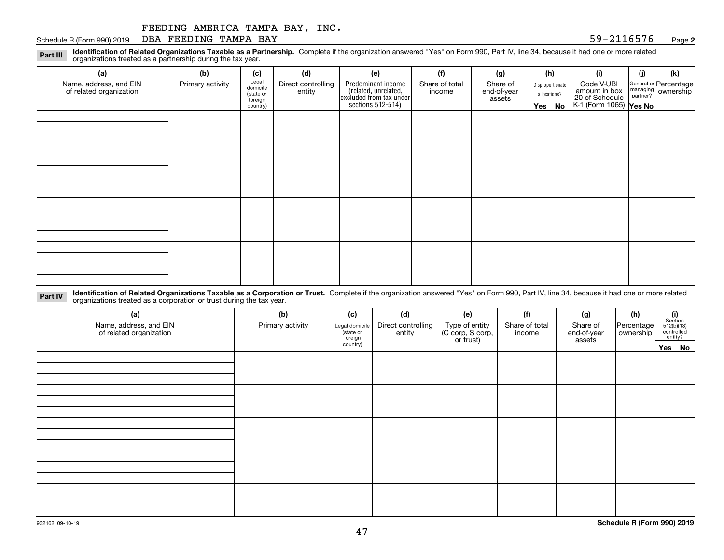Schedule R (Form 990) 2019 **DBA FEEDING TAMPA BAY** 59-2116576 <sub>Page</sub>

**2**

**Identification of Related Organizations Taxable as a Partnership.** Complete if the organization answered "Yes" on Form 990, Part IV, line 34, because it had one or more related **Part III** organizations treated as a partnership during the tax year.

| ◡<br>ັ<br>$\overline{\phantom{a}}$                |                  |                                                                |     |                                                                      |                          |                         |         |                                  |                                                           |     |                                                         |  |
|---------------------------------------------------|------------------|----------------------------------------------------------------|-----|----------------------------------------------------------------------|--------------------------|-------------------------|---------|----------------------------------|-----------------------------------------------------------|-----|---------------------------------------------------------|--|
| (a)                                               | (b)              | (c)                                                            | (d) | (e)                                                                  | (f)                      | (g)                     |         | (h)                              | (i)                                                       | (i) | (k)                                                     |  |
| Name, address, and EIN<br>of related organization | Primary activity | Legal<br>domicile<br>Direct controlling<br>entity<br>(state or |     | Predominant income                                                   | Share of total<br>income | Share of<br>end-of-year |         | Disproportionate<br>allocations? | Code V-UBI                                                |     | General or Percentage<br>managing ownership<br>partner? |  |
|                                                   |                  | foreign<br>country)                                            |     | (related, unrelated,<br>excluded from tax under<br>sections 512-514) |                          | assets                  | Yes $ $ | No                               | amount in box<br>20 of Schedule<br>K-1 (Form 1065) Yes No |     |                                                         |  |
|                                                   |                  |                                                                |     |                                                                      |                          |                         |         |                                  |                                                           |     |                                                         |  |
|                                                   |                  |                                                                |     |                                                                      |                          |                         |         |                                  |                                                           |     |                                                         |  |
|                                                   |                  |                                                                |     |                                                                      |                          |                         |         |                                  |                                                           |     |                                                         |  |
|                                                   |                  |                                                                |     |                                                                      |                          |                         |         |                                  |                                                           |     |                                                         |  |
|                                                   |                  |                                                                |     |                                                                      |                          |                         |         |                                  |                                                           |     |                                                         |  |
|                                                   |                  |                                                                |     |                                                                      |                          |                         |         |                                  |                                                           |     |                                                         |  |
|                                                   |                  |                                                                |     |                                                                      |                          |                         |         |                                  |                                                           |     |                                                         |  |
|                                                   |                  |                                                                |     |                                                                      |                          |                         |         |                                  |                                                           |     |                                                         |  |
|                                                   |                  |                                                                |     |                                                                      |                          |                         |         |                                  |                                                           |     |                                                         |  |
|                                                   |                  |                                                                |     |                                                                      |                          |                         |         |                                  |                                                           |     |                                                         |  |
|                                                   |                  |                                                                |     |                                                                      |                          |                         |         |                                  |                                                           |     |                                                         |  |
|                                                   |                  |                                                                |     |                                                                      |                          |                         |         |                                  |                                                           |     |                                                         |  |
|                                                   |                  |                                                                |     |                                                                      |                          |                         |         |                                  |                                                           |     |                                                         |  |
|                                                   |                  |                                                                |     |                                                                      |                          |                         |         |                                  |                                                           |     |                                                         |  |
|                                                   |                  |                                                                |     |                                                                      |                          |                         |         |                                  |                                                           |     |                                                         |  |
|                                                   |                  |                                                                |     |                                                                      |                          |                         |         |                                  |                                                           |     |                                                         |  |

**Identification of Related Organizations Taxable as a Corporation or Trust.** Complete if the organization answered "Yes" on Form 990, Part IV, line 34, because it had one or more related **Part IV** organizations treated as a corporation or trust during the tax year.

| (a)<br>Name, address, and EIN<br>of related organization | (b)<br>Primary activity | (c)<br>Legal domicile<br>(state or<br>foreign | (d)<br>Direct controlling<br>entity | (e)<br>Type of entity<br>(C corp, S corp,<br>or trust) | (f)<br>Share of total<br>income | (g)<br>Share of<br>end-of-year<br>assets | (h)<br> Percentage <br>ownership | $\begin{array}{c} \textbf{(i)}\\ \text{Section}\\ 512 \text{(b)} \text{(13)}\\ \text{controlled}\end{array}$<br>entity? |  |
|----------------------------------------------------------|-------------------------|-----------------------------------------------|-------------------------------------|--------------------------------------------------------|---------------------------------|------------------------------------------|----------------------------------|-------------------------------------------------------------------------------------------------------------------------|--|
|                                                          |                         | country)                                      |                                     |                                                        |                                 |                                          |                                  | Yes No                                                                                                                  |  |
|                                                          |                         |                                               |                                     |                                                        |                                 |                                          |                                  |                                                                                                                         |  |
|                                                          |                         |                                               |                                     |                                                        |                                 |                                          |                                  |                                                                                                                         |  |
|                                                          |                         |                                               |                                     |                                                        |                                 |                                          |                                  |                                                                                                                         |  |
|                                                          |                         |                                               |                                     |                                                        |                                 |                                          |                                  |                                                                                                                         |  |
|                                                          |                         |                                               |                                     |                                                        |                                 |                                          |                                  |                                                                                                                         |  |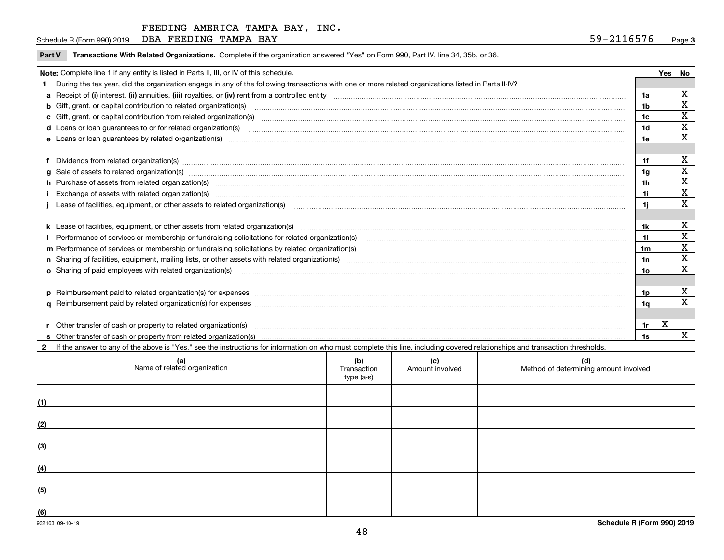Schedule R (Form 990) 2019 **DBA FEEDING TAMPA BAY** 59-2116576 <sub>Page</sub>

|  |  | Part V Transactions With Related Organizations. Complete if the organization answered "Yes" on Form 990, Part IV, line 34, 35b, or 36 |  |
|--|--|---------------------------------------------------------------------------------------------------------------------------------------|--|
|--|--|---------------------------------------------------------------------------------------------------------------------------------------|--|

|   | Note: Complete line 1 if any entity is listed in Parts II, III, or IV of this schedule.                                                                                                                                        |                | Yes   No |             |
|---|--------------------------------------------------------------------------------------------------------------------------------------------------------------------------------------------------------------------------------|----------------|----------|-------------|
|   | During the tax year, did the organization engage in any of the following transactions with one or more related organizations listed in Parts II-IV?                                                                            |                |          |             |
|   |                                                                                                                                                                                                                                | 1a             |          | X           |
|   | b Gift, grant, or capital contribution to related organization(s) manufaction contracts and contribution to related organization(s) manufaction contribution to related organization(s)                                        | 1b             |          | X           |
|   |                                                                                                                                                                                                                                | 1c             |          | X           |
|   |                                                                                                                                                                                                                                | 1 <sub>d</sub> |          | X           |
|   |                                                                                                                                                                                                                                | 1e             |          | X           |
|   |                                                                                                                                                                                                                                |                |          |             |
|   |                                                                                                                                                                                                                                | 1f             |          | X           |
| a | Sale of assets to related organization(s) material contents and content and content to the state of assets to related organization(s) material content of the set of assets to related organization(s) material content of the | 1 <sub>q</sub> |          | $\mathbf X$ |
|   | h Purchase of assets from related organization(s) manufactured content to content the content of the content of the content of the content of the content of the content of the content of the content of the content of the c | 1 <sub>h</sub> |          | X           |
|   |                                                                                                                                                                                                                                | 1i             |          | $\mathbf x$ |
|   | Lease of facilities, equipment, or other assets to related organization(s) manufactured content and content and content and content and content and content and content and content and content and content and content and co | 1i.            |          | X           |
|   |                                                                                                                                                                                                                                |                |          |             |
|   |                                                                                                                                                                                                                                | 1k             |          | X           |
|   |                                                                                                                                                                                                                                |                |          | $\mathbf X$ |
|   |                                                                                                                                                                                                                                | 1 <sub>m</sub> |          | $\mathbf X$ |
|   |                                                                                                                                                                                                                                | 1n             |          | X           |
|   | <b>o</b> Sharing of paid employees with related organization(s)                                                                                                                                                                | 10             |          | X           |
|   |                                                                                                                                                                                                                                |                |          |             |
|   | p Reimbursement paid to related organization(s) for expenses [1111] and the content of the content of the content of the content of the content of the content of the content of the content of the content of the content of  | 1p             |          | X           |
|   |                                                                                                                                                                                                                                | 1q             |          | X           |
|   |                                                                                                                                                                                                                                |                |          |             |
|   | r Other transfer of cash or property to related organization(s)                                                                                                                                                                | 1r             | X        |             |
|   |                                                                                                                                                                                                                                | 1s             |          | X           |
|   | 2 If the answer to any of the above is "Yes," see the instructions for information on who must complete this line, including covered relationships and transaction thresholds.                                                 |                |          |             |

| (a)<br>Name of related organization | (b)<br>Transaction<br>type (a-s) | (c)<br>Amount involved | (d)<br>Method of determining amount involved |
|-------------------------------------|----------------------------------|------------------------|----------------------------------------------|
| (1)                                 |                                  |                        |                                              |
| (2)                                 |                                  |                        |                                              |
| (3)                                 |                                  |                        |                                              |
| (4)                                 |                                  |                        |                                              |
| (5)                                 |                                  |                        |                                              |
| (6)                                 |                                  |                        |                                              |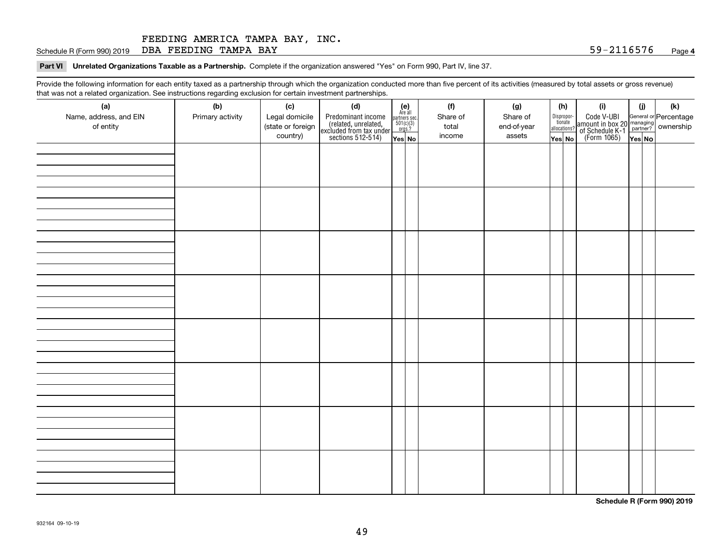Schedule R (Form 990) 2019 **DBA FEEDING TAMPA BAY** 59-2116576 <sub>Page</sub>

**Part VI Unrelated Organizations Taxable as a Partnership. Complete if the organization answered "Yes" on Form 990, Part IV, line 37.** 

Provide the following information for each entity taxed as a partnership through which the organization conducted more than five percent of its activities (measured by total assets or gross revenue) that was not a related organization. See instructions regarding exclusion for certain investment partnerships.

| (a)<br>Name, address, and EIN<br>of entity | (b)<br>Primary activity | (c)<br>Legal domicile<br>(state or foreign<br>country) | (d)<br>Predominant income<br>(related, unrelated,<br>excluded from tax under<br>sections 512-514) | $\begin{array}{c} \textbf{(e)}\\ \text{Are all} \\ \text{partners sec.}\\ 501(c)(3)\\ \text{orgs.?} \end{array}$<br>$Yes$ No | (f)<br>Share of<br>total<br>income | (g)<br>Share of<br>end-of-year<br>assets | (h)<br>Dispropor-<br>tionate<br>allocations?<br>Yes No | (i)<br>Code V-UBI<br>amount in box 20 managing<br>of Schedule K-1 partner? ownership<br>(Form 1065)<br>ves No | (i)<br>Yes No | (k) |
|--------------------------------------------|-------------------------|--------------------------------------------------------|---------------------------------------------------------------------------------------------------|------------------------------------------------------------------------------------------------------------------------------|------------------------------------|------------------------------------------|--------------------------------------------------------|---------------------------------------------------------------------------------------------------------------|---------------|-----|
|                                            |                         |                                                        |                                                                                                   |                                                                                                                              |                                    |                                          |                                                        |                                                                                                               |               |     |
|                                            |                         |                                                        |                                                                                                   |                                                                                                                              |                                    |                                          |                                                        |                                                                                                               |               |     |
|                                            |                         |                                                        |                                                                                                   |                                                                                                                              |                                    |                                          |                                                        |                                                                                                               |               |     |
|                                            |                         |                                                        |                                                                                                   |                                                                                                                              |                                    |                                          |                                                        |                                                                                                               |               |     |
|                                            |                         |                                                        |                                                                                                   |                                                                                                                              |                                    |                                          |                                                        |                                                                                                               |               |     |
|                                            |                         |                                                        |                                                                                                   |                                                                                                                              |                                    |                                          |                                                        |                                                                                                               |               |     |
|                                            |                         |                                                        |                                                                                                   |                                                                                                                              |                                    |                                          |                                                        |                                                                                                               |               |     |
|                                            |                         |                                                        |                                                                                                   |                                                                                                                              |                                    |                                          |                                                        |                                                                                                               |               |     |

**Schedule R (Form 990) 2019**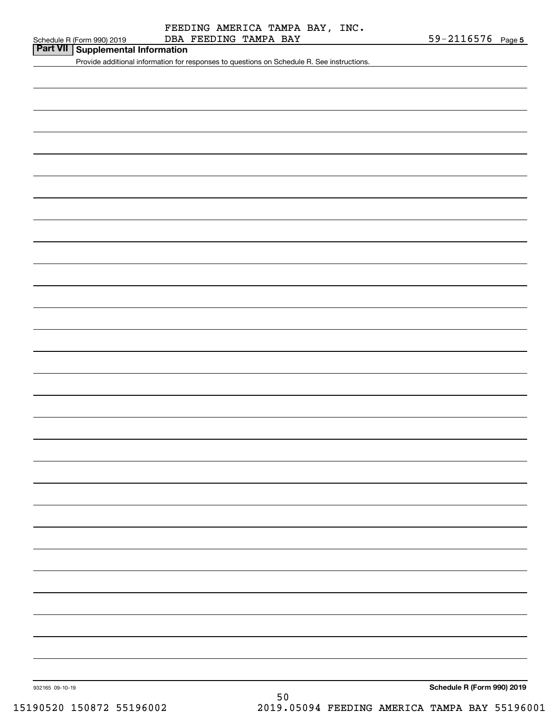| Part VII Supplemental Information |  |
|-----------------------------------|--|
|-----------------------------------|--|

Provide additional information for responses to questions on Schedule R. See instructions.

**Schedule R (Form 990) 2019**

932165 09-10-19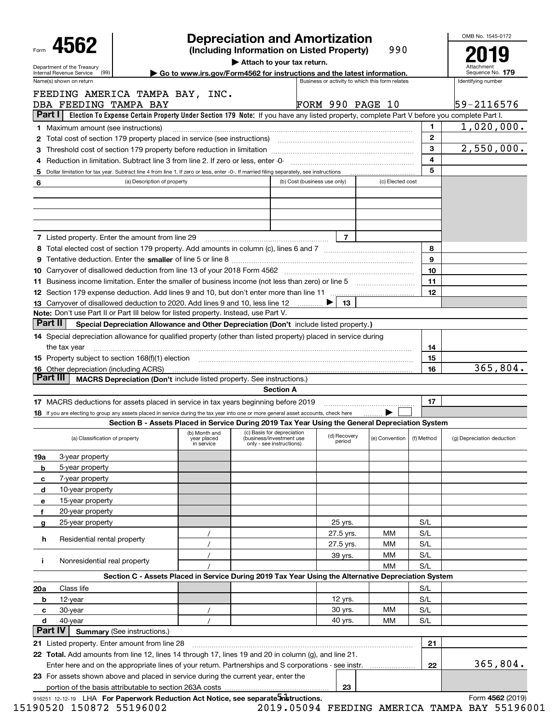|                                                                                                                                                                       |                                                                                                                                           |                                                                         |                                                      |                              | <b>Depreciation and Amortization</b>            |                  |            | OMB No. 1545-0172          |
|-----------------------------------------------------------------------------------------------------------------------------------------------------------------------|-------------------------------------------------------------------------------------------------------------------------------------------|-------------------------------------------------------------------------|------------------------------------------------------|------------------------------|-------------------------------------------------|------------------|------------|----------------------------|
| 4562                                                                                                                                                                  |                                                                                                                                           |                                                                         |                                                      |                              | (Including Information on Listed Property)      | 990              |            |                            |
| Department of the Treasury<br>(99)                                                                                                                                    |                                                                                                                                           |                                                                         | Attach to your tax return.                           |                              |                                                 |                  |            | Sequence No. 179           |
| Internal Revenue Service<br>Name(s) shown on return                                                                                                                   |                                                                                                                                           | Go to www.irs.gov/Form4562 for instructions and the latest information. |                                                      |                              | Business or activity to which this form relates |                  |            | Identifying number         |
| FEEDING AMERICA TAMPA BAY, INC.                                                                                                                                       |                                                                                                                                           |                                                                         |                                                      |                              |                                                 |                  |            |                            |
| DBA FEEDING TAMPA BAY                                                                                                                                                 |                                                                                                                                           |                                                                         |                                                      |                              | <b>FORM 990 PAGE 10</b>                         |                  |            | 59-2116576                 |
| Part I                                                                                                                                                                | Election To Expense Certain Property Under Section 179 Note: If you have any listed property, complete Part V before you complete Part I. |                                                                         |                                                      |                              |                                                 |                  |            |                            |
| <b>1</b> Maximum amount (see instructions)                                                                                                                            |                                                                                                                                           |                                                                         |                                                      |                              |                                                 |                  | 1.         | 1,020,000.                 |
| 2 Total cost of section 179 property placed in service (see instructions) manufactured cost of section 179 property placed in service (see instructions)              |                                                                                                                                           |                                                                         |                                                      |                              |                                                 |                  | 2          |                            |
|                                                                                                                                                                       |                                                                                                                                           |                                                                         |                                                      |                              |                                                 |                  | 3          | 2,550,000.                 |
|                                                                                                                                                                       |                                                                                                                                           |                                                                         |                                                      |                              |                                                 |                  | 4          |                            |
| 5 Dollar limitation for tax year. Subtract line 4 from line 1. If zero or less, enter -0-. If married filing separately, see instructions                             |                                                                                                                                           |                                                                         |                                                      |                              |                                                 |                  | 5          |                            |
| 6                                                                                                                                                                     | (a) Description of property                                                                                                               |                                                                         |                                                      | (b) Cost (business use only) |                                                 | (c) Elected cost |            |                            |
|                                                                                                                                                                       |                                                                                                                                           |                                                                         |                                                      |                              |                                                 |                  |            |                            |
|                                                                                                                                                                       |                                                                                                                                           |                                                                         |                                                      |                              |                                                 |                  |            |                            |
|                                                                                                                                                                       |                                                                                                                                           |                                                                         |                                                      |                              |                                                 |                  |            |                            |
|                                                                                                                                                                       |                                                                                                                                           |                                                                         |                                                      |                              |                                                 |                  |            |                            |
| <b>7</b> Listed property. Enter the amount from line 29                                                                                                               |                                                                                                                                           |                                                                         |                                                      |                              | 7                                               |                  |            |                            |
|                                                                                                                                                                       |                                                                                                                                           |                                                                         |                                                      |                              |                                                 |                  | 8          |                            |
|                                                                                                                                                                       |                                                                                                                                           |                                                                         |                                                      |                              |                                                 |                  | 9          |                            |
|                                                                                                                                                                       |                                                                                                                                           |                                                                         |                                                      |                              |                                                 |                  | 10         |                            |
|                                                                                                                                                                       |                                                                                                                                           |                                                                         |                                                      |                              |                                                 |                  |            |                            |
| 11 Business income limitation. Enter the smaller of business income (not less than zero) or line 5                                                                    |                                                                                                                                           |                                                                         |                                                      |                              |                                                 |                  | 11<br>12   |                            |
|                                                                                                                                                                       |                                                                                                                                           |                                                                         |                                                      |                              | ▶                                               |                  |            |                            |
| 13 Carryover of disallowed deduction to 2020. Add lines 9 and 10, less line 12<br>Note: Don't use Part II or Part III below for listed property. Instead, use Part V. |                                                                                                                                           |                                                                         |                                                      |                              | 13                                              |                  |            |                            |
| Part II                                                                                                                                                               |                                                                                                                                           |                                                                         |                                                      |                              |                                                 |                  |            |                            |
|                                                                                                                                                                       | Special Depreciation Allowance and Other Depreciation (Don't include listed property.)                                                    |                                                                         |                                                      |                              |                                                 |                  |            |                            |
| 14 Special depreciation allowance for qualified property (other than listed property) placed in service during                                                        |                                                                                                                                           |                                                                         |                                                      |                              |                                                 |                  |            |                            |
| the tax year                                                                                                                                                          |                                                                                                                                           |                                                                         |                                                      |                              |                                                 |                  | 14         |                            |
| 15 Property subject to section 168(f)(1) election material content content and property subject to section 168(f)(1) election                                         |                                                                                                                                           |                                                                         |                                                      |                              |                                                 |                  | 15         |                            |
| <b>16</b> Other depreciation (including ACRS)<br>Part III                                                                                                             |                                                                                                                                           |                                                                         |                                                      |                              |                                                 |                  | 16         | 365,804.                   |
|                                                                                                                                                                       | <b>MACRS Depreciation (Don't include listed property. See instructions.)</b>                                                              |                                                                         |                                                      |                              |                                                 |                  |            |                            |
|                                                                                                                                                                       |                                                                                                                                           |                                                                         |                                                      | <b>Section A</b>             |                                                 |                  |            |                            |
| 17 MACRS deductions for assets placed in service in tax years beginning before 2019                                                                                   |                                                                                                                                           |                                                                         |                                                      |                              |                                                 |                  | 17         |                            |
| 18 If you are electing to group any assets placed in service during the tax year into one or more general asset accounts, check here                                  |                                                                                                                                           |                                                                         |                                                      |                              |                                                 |                  |            |                            |
|                                                                                                                                                                       | Section B - Assets Placed in Service During 2019 Tax Year Using the General Depreciation System                                           | (b) Month and                                                           | (c) Basis for depreciation                           |                              |                                                 |                  |            |                            |
| (a) Classification of property                                                                                                                                        |                                                                                                                                           | year placed<br>in service                                               | (business/investment use<br>only - see instructions) |                              | (d) Recovery<br>period                          | (e) Convention   | (f) Method | (g) Depreciation deduction |
| 3-year property<br>19a                                                                                                                                                |                                                                                                                                           |                                                                         |                                                      |                              |                                                 |                  |            |                            |
| 5-year property<br>b                                                                                                                                                  |                                                                                                                                           |                                                                         |                                                      |                              |                                                 |                  |            |                            |
| 7-year property<br>с                                                                                                                                                  |                                                                                                                                           |                                                                         |                                                      |                              |                                                 |                  |            |                            |
| 10-year property<br>d                                                                                                                                                 |                                                                                                                                           |                                                                         |                                                      |                              |                                                 |                  |            |                            |
| 15-year property<br>е                                                                                                                                                 |                                                                                                                                           |                                                                         |                                                      |                              |                                                 |                  |            |                            |
| 20-year property<br>f                                                                                                                                                 |                                                                                                                                           |                                                                         |                                                      |                              |                                                 |                  |            |                            |
| 25-year property<br>g                                                                                                                                                 |                                                                                                                                           |                                                                         |                                                      |                              | 25 yrs.                                         |                  | S/L        |                            |
|                                                                                                                                                                       |                                                                                                                                           |                                                                         |                                                      |                              | 27.5 yrs.                                       | мм               | S/L        |                            |
| Residential rental property<br>h                                                                                                                                      |                                                                                                                                           |                                                                         |                                                      |                              | 27.5 yrs.                                       | мм               | S/L        |                            |
|                                                                                                                                                                       |                                                                                                                                           |                                                                         |                                                      |                              | 39 yrs.                                         | мм               | S/L        |                            |
| Nonresidential real property<br>j.                                                                                                                                    |                                                                                                                                           |                                                                         |                                                      |                              |                                                 | MМ               | S/L        |                            |
|                                                                                                                                                                       | Section C - Assets Placed in Service During 2019 Tax Year Using the Alternative Depreciation System                                       |                                                                         |                                                      |                              |                                                 |                  |            |                            |
| Class life<br>20 a                                                                                                                                                    |                                                                                                                                           |                                                                         |                                                      |                              |                                                 |                  | S/L        |                            |
| 12-year<br>b                                                                                                                                                          |                                                                                                                                           |                                                                         |                                                      |                              | 12 yrs.                                         |                  | S/L        |                            |
| 30-year<br>c                                                                                                                                                          |                                                                                                                                           |                                                                         |                                                      |                              | 30 yrs.                                         | мм               | S/L        |                            |
| 40-year<br>d                                                                                                                                                          |                                                                                                                                           |                                                                         |                                                      |                              | 40 yrs.                                         | МM               | S/L        |                            |
| <b>Part IV</b>                                                                                                                                                        | <b>Summary (See instructions.)</b>                                                                                                        |                                                                         |                                                      |                              |                                                 |                  |            |                            |
| 21 Listed property. Enter amount from line 28                                                                                                                         |                                                                                                                                           |                                                                         |                                                      |                              |                                                 |                  | 21         |                            |
| 22 Total. Add amounts from line 12, lines 14 through 17, lines 19 and 20 in column (g), and line 21.                                                                  |                                                                                                                                           |                                                                         |                                                      |                              |                                                 |                  |            |                            |
|                                                                                                                                                                       |                                                                                                                                           |                                                                         |                                                      |                              |                                                 |                  | 22         | 365,804.                   |
| Enter here and on the appropriate lines of your return. Partnerships and S corporations - see instr.                                                                  |                                                                                                                                           |                                                                         |                                                      |                              |                                                 |                  |            |                            |
| 23 For assets shown above and placed in service during the current year, enter the<br>portion of the basis attributable to section 263A costs                         |                                                                                                                                           |                                                                         |                                                      |                              | 23                                              |                  |            |                            |
| 916251 12-12-19 LHA For Paperwork Reduction Act Notice, see separate Instructions.                                                                                    |                                                                                                                                           |                                                                         |                                                      |                              |                                                 |                  |            | Form 4562 (2019)           |
|                                                                                                                                                                       |                                                                                                                                           |                                                                         |                                                      |                              |                                                 |                  |            |                            |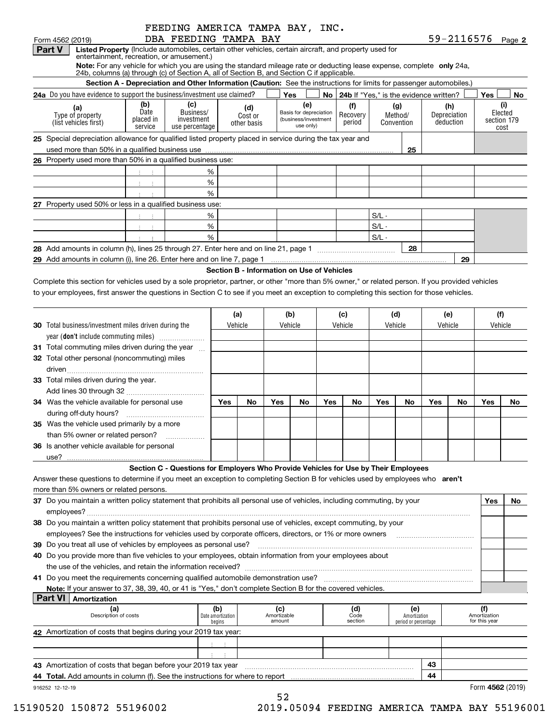|                                                                                                                                                                                                                                                                                                |                                     |                                                  |                               | FEEDING AMERICA TAMPA BAY, INC.                                                                                                                                                                                                 |                           |                                             |                                  |                                       |
|------------------------------------------------------------------------------------------------------------------------------------------------------------------------------------------------------------------------------------------------------------------------------------------------|-------------------------------------|--------------------------------------------------|-------------------------------|---------------------------------------------------------------------------------------------------------------------------------------------------------------------------------------------------------------------------------|---------------------------|---------------------------------------------|----------------------------------|---------------------------------------|
| Form 4562 (2019)                                                                                                                                                                                                                                                                               |                                     |                                                  | DBA FEEDING TAMPA BAY         |                                                                                                                                                                                                                                 |                           |                                             |                                  | 59-2116576 Page 2                     |
| Part V                                                                                                                                                                                                                                                                                         |                                     | entertainment, recreation, or amusement.)        |                               | Listed Property (Include automobiles, certain other vehicles, certain aircraft, and property used for<br>Note: For any vehicle for which you are using the standard mileage rate or deducting lease expense, complete only 24a, |                           |                                             |                                  |                                       |
|                                                                                                                                                                                                                                                                                                |                                     |                                                  |                               | 24b, columns (a) through (c) of Section A, all of Section B, and Section C if applicable.                                                                                                                                       |                           |                                             |                                  |                                       |
|                                                                                                                                                                                                                                                                                                |                                     |                                                  |                               | Section A - Depreciation and Other Information (Caution: See the instructions for limits for passenger automobiles.)                                                                                                            |                           |                                             |                                  |                                       |
| 24a Do you have evidence to support the business/investment use claimed?                                                                                                                                                                                                                       |                                     |                                                  |                               | <b>Yes</b>                                                                                                                                                                                                                      |                           | No   24b If "Yes," is the evidence written? |                                  | Yes<br>No.                            |
| (a)<br>Type of property<br>(list vehicles first)                                                                                                                                                                                                                                               | (b)<br>Date<br>placed in<br>service | (c)<br>Business/<br>investment<br>use percentage | (d)<br>Cost or<br>other basis | (e)<br>Basis for depreciation<br>(business/investment<br>use only)                                                                                                                                                              | (f)<br>Recovery<br>period | (g)<br>Method/<br>Convention                | (h)<br>Depreciation<br>deduction | (i)<br>Elected<br>section 179<br>cost |
| 25 Special depreciation allowance for qualified listed property placed in service during the tax year and                                                                                                                                                                                      |                                     |                                                  |                               |                                                                                                                                                                                                                                 |                           |                                             |                                  |                                       |
|                                                                                                                                                                                                                                                                                                |                                     |                                                  |                               |                                                                                                                                                                                                                                 |                           | 25                                          |                                  |                                       |
| 26 Property used more than 50% in a qualified business use:                                                                                                                                                                                                                                    |                                     |                                                  |                               |                                                                                                                                                                                                                                 |                           |                                             |                                  |                                       |
|                                                                                                                                                                                                                                                                                                |                                     | %                                                |                               |                                                                                                                                                                                                                                 |                           |                                             |                                  |                                       |
|                                                                                                                                                                                                                                                                                                |                                     | %                                                |                               |                                                                                                                                                                                                                                 |                           |                                             |                                  |                                       |
|                                                                                                                                                                                                                                                                                                |                                     | $\frac{0}{6}$                                    |                               |                                                                                                                                                                                                                                 |                           |                                             |                                  |                                       |
| 27 Property used 50% or less in a qualified business use:                                                                                                                                                                                                                                      |                                     |                                                  |                               |                                                                                                                                                                                                                                 |                           |                                             |                                  |                                       |
|                                                                                                                                                                                                                                                                                                |                                     | %                                                |                               |                                                                                                                                                                                                                                 |                           | $S/L -$                                     |                                  |                                       |
|                                                                                                                                                                                                                                                                                                |                                     | %                                                |                               |                                                                                                                                                                                                                                 |                           | $S/L -$                                     |                                  |                                       |
|                                                                                                                                                                                                                                                                                                |                                     | %                                                |                               |                                                                                                                                                                                                                                 |                           | $S/L -$                                     |                                  |                                       |
| 28 Add amounts in column (h), lines 25 through 27. Enter here and on line 21, page 1                                                                                                                                                                                                           |                                     |                                                  |                               |                                                                                                                                                                                                                                 |                           | 28                                          |                                  |                                       |
| 29 Add amounts in column (i), line 26. Enter here and on line 7, page 1                                                                                                                                                                                                                        |                                     |                                                  |                               |                                                                                                                                                                                                                                 |                           |                                             | 29                               |                                       |
|                                                                                                                                                                                                                                                                                                |                                     |                                                  |                               | Section B - Information on Use of Vehicles                                                                                                                                                                                      |                           |                                             |                                  |                                       |
| Complete this section for vehicles used by a sole proprietor, partner, or other "more than 5% owner," or related person. If you provided vehicles<br>to your employees, first answer the questions in Section C to see if you meet an exception to completing this section for those vehicles. |                                     |                                                  |                               |                                                                                                                                                                                                                                 |                           |                                             |                                  |                                       |
|                                                                                                                                                                                                                                                                                                |                                     |                                                  |                               |                                                                                                                                                                                                                                 |                           |                                             |                                  |                                       |

|                                                             | (a)        |         | (b)        |                    | (c)        |           | (d)        |    | (e)        |           | (f)     |    |
|-------------------------------------------------------------|------------|---------|------------|--------------------|------------|-----------|------------|----|------------|-----------|---------|----|
| <b>30</b> Total business/investment miles driven during the |            | Vehicle |            | Vehicle<br>Vehicle |            |           | Vehicle    |    | Vehicle    |           | Vehicle |    |
| year (don't include commuting miles)                        |            |         |            |                    |            |           |            |    |            |           |         |    |
| 31 Total commuting miles driven during the year             |            |         |            |                    |            |           |            |    |            |           |         |    |
| 32 Total other personal (noncommuting) miles                |            |         |            |                    |            |           |            |    |            |           |         |    |
| driven                                                      |            |         |            |                    |            |           |            |    |            |           |         |    |
| 33 Total miles driven during the year.                      |            |         |            |                    |            |           |            |    |            |           |         |    |
|                                                             |            |         |            |                    |            |           |            |    |            |           |         |    |
| 34 Was the vehicle available for personal use               | <b>Yes</b> | No      | <b>Yes</b> | No                 | <b>Yes</b> | <b>No</b> | <b>Yes</b> | No | <b>Yes</b> | <b>No</b> | Yes     | No |
|                                                             |            |         |            |                    |            |           |            |    |            |           |         |    |
| 35 Was the vehicle used primarily by a more                 |            |         |            |                    |            |           |            |    |            |           |         |    |
| than 5% owner or related person?                            |            |         |            |                    |            |           |            |    |            |           |         |    |
| <b>36</b> Is another vehicle available for personal         |            |         |            |                    |            |           |            |    |            |           |         |    |
| use?                                                        |            |         |            |                    |            |           |            |    |            |           |         |    |

#### **Section C - Questions for Employers Who Provide Vehicles for Use by Their Employees**

Answer these questions to determine if you meet an exception to completing Section B for vehicles used by employees who aren't more than 5% owners or related persons.

| Do you maintain a written policy statement that prohibits all personal use of vehicles, including commuting, by your<br>37 |                                                                                                                  |                                    |                              |                        |                                             |    | Yes                                  | No. |
|----------------------------------------------------------------------------------------------------------------------------|------------------------------------------------------------------------------------------------------------------|------------------------------------|------------------------------|------------------------|---------------------------------------------|----|--------------------------------------|-----|
|                                                                                                                            |                                                                                                                  |                                    |                              |                        |                                             |    |                                      |     |
|                                                                                                                            | 38 Do you maintain a written policy statement that prohibits personal use of vehicles, except commuting, by your |                                    |                              |                        |                                             |    |                                      |     |
|                                                                                                                            | employees? See the instructions for vehicles used by corporate officers, directors, or 1% or more owners         |                                    |                              |                        |                                             |    |                                      |     |
|                                                                                                                            |                                                                                                                  |                                    |                              |                        |                                             |    |                                      |     |
|                                                                                                                            | 40 Do you provide more than five vehicles to your employees, obtain information from your employees about        |                                    |                              |                        |                                             |    |                                      |     |
|                                                                                                                            |                                                                                                                  |                                    |                              |                        |                                             |    |                                      |     |
|                                                                                                                            | 41 Do you meet the requirements concerning qualified automobile demonstration use?                               |                                    |                              |                        |                                             |    |                                      |     |
|                                                                                                                            | Note: If your answer to 37, 38, 39, 40, or 41 is "Yes," don't complete Section B for the covered vehicles.       |                                    |                              |                        |                                             |    |                                      |     |
|                                                                                                                            | Part VI<br>Amortization                                                                                          |                                    |                              |                        |                                             |    |                                      |     |
|                                                                                                                            | (a)<br>Description of costs                                                                                      | (b)<br>Date amortization<br>begins | (c)<br>Amortizable<br>amount | (d)<br>Code<br>section | (e)<br>Amortization<br>period or percentage |    | (f)<br>Amortization<br>for this year |     |
|                                                                                                                            | 42 Amortization of costs that begins during your 2019 tax year:                                                  |                                    |                              |                        |                                             |    |                                      |     |
|                                                                                                                            |                                                                                                                  |                                    |                              |                        |                                             |    |                                      |     |
|                                                                                                                            |                                                                                                                  |                                    |                              |                        |                                             |    |                                      |     |
|                                                                                                                            | 43 Amortization of costs that began before your 2019 tax year                                                    |                                    |                              |                        |                                             | 43 |                                      |     |
|                                                                                                                            | <b>44 Total.</b> Add amounts in column (f). See the instructions for where to report                             |                                    |                              |                        |                                             | 44 |                                      |     |
|                                                                                                                            | 916252 12-12-19                                                                                                  |                                    |                              |                        |                                             |    | Form 4562 (2019)                     |     |